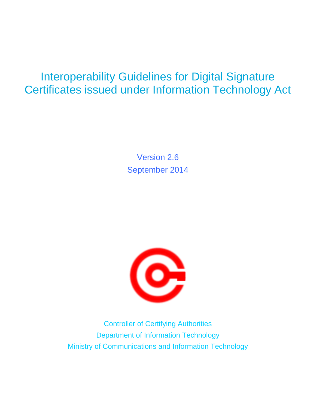### Interoperability Guidelines for Digital Signature Certificates issued under Information Technology Act

Version 2.6 September 2014



Controller of Certifying Authorities Department of Information Technology Ministry of Communications and Information Technology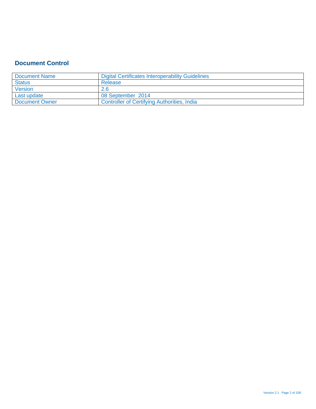### **Document Control**

| <b>Document Name</b>  | Digital Certificates Interoperability Guidelines   |
|-----------------------|----------------------------------------------------|
| <b>Status</b>         | Release                                            |
| Version               | 2.6                                                |
| Last update           | 08 September 2014                                  |
| <b>Document Owner</b> | <b>Controller of Certifying Authorities, India</b> |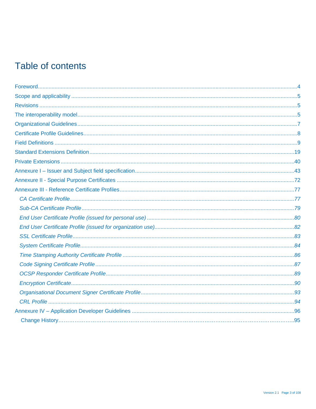### Table of contents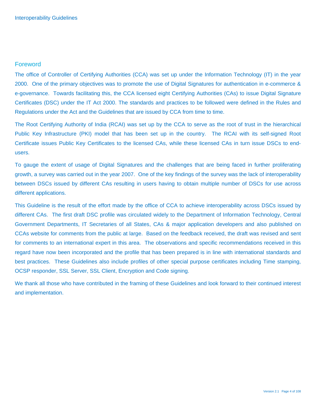### Foreword

The office of Controller of Certifying Authorities (CCA) was set up under the Information Technology (IT) in the year 2000. One of the primary objectives was to promote the use of Digital Signatures for authentication in e-commerce & e-governance. Towards facilitating this, the CCA licensed eight Certifying Authorities (CAs) to issue Digital Signature Certificates (DSC) under the IT Act 2000. The standards and practices to be followed were defined in the Rules and Regulations under the Act and the Guidelines that are issued by CCA from time to time.

The Root Certifying Authority of India (RCAI) was set up by the CCA to serve as the root of trust in the hierarchical Public Key Infrastructure (PKI) model that has been set up in the country. The RCAI with its self-signed Root Certificate issues Public Key Certificates to the licensed CAs, while these licensed CAs in turn issue DSCs to endusers.

To gauge the extent of usage of Digital Signatures and the challenges that are being faced in further proliferating growth, a survey was carried out in the year 2007. One of the key findings of the survey was the lack of interoperability between DSCs issued by different CAs resulting in users having to obtain multiple number of DSCs for use across different applications.

This Guideline is the result of the effort made by the office of CCA to achieve interoperability across DSCs issued by different CAs. The first draft DSC profile was circulated widely to the Department of Information Technology, Central Government Departments, IT Secretaries of all States, CAs & major application developers and also published on CCAs website for comments from the public at large. Based on the feedback received, the draft was revised and sent for comments to an international expert in this area. The observations and specific recommendations received in this regard have now been incorporated and the profile that has been prepared is in line with international standards and best practices. These Guidelines also include profiles of other special purpose certificates including Time stamping, OCSP responder, SSL Server, SSL Client, Encryption and Code signing.

We thank all those who have contributed in the framing of these Guidelines and look forward to their continued interest and implementation.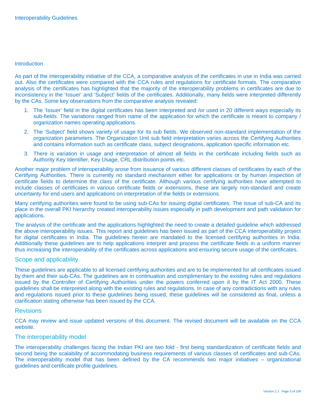#### **Introduction**

As part of the interoperability initiative of the CCA, a comparative analysis of the certificates in use in India was carried out. Also the certificates were compared with the CCA rules and regulations for certificate formats. The comparative analysis of the certificates has highlighted that the majority of the interoperability problems in certificates are due to inconsistency in the 'Issuer' and 'Subject' fields of the certificates. Additionally, many fields were interpreted differently by the CAs. Some key observations from the comparative analysis revealed:

- 1. The 'Issuer' field in the digital certificates has been interpreted and /or used in 20 different ways especially its sub-fields. The variations ranged from name of the application for which the certificate is meant to company / organization names operating applications.
- 2. The 'Subject' field shows variety of usage for its sub fields. We observed non-standard implementation of the organization parameters. The Organization Unit sub field interpretation varies across the Certifying Authorities and contains information such as certificate class, subject designations, application specific information etc.
- 3. There is variation in usage and interpretation of almost all fields in the certificate including fields such as Authority Key Identifier, Key Usage, CRL distribution points etc.

Another major problem of interoperability arose from issuance of various different classes of certificates by each of the Certifying Authorities. There is currently no standard mechanism either for applications or by human inspection of certificate fields to determine the class of the certificate. Although various certifying authorities have attempted to include classes of certificates in various certificate fields or extensions, these are largely non-standard and create uncertainty for end users and applications on interpretation of the fields or extensions.

Many certifying authorities were found to be using sub-CAs for issuing digital certificates. The issue of sub-CA and its place in the overall PKI hierarchy created interoperability issues especially in path development and path validation for applications.

The analysis of the certificate and the applications highlighted the need to create a detailed guideline which addressed the above interoperability issues. This report and guidelines has been issued as part of the CCA interoperability project for digital certificates in India. The guidelines herein are mandated to the licensed certifying authorities in India. Additionally these guidelines are to help applications interpret and process the certificate fields in a uniform manner thus increasing the interoperability of the certificates across applications and ensuring secure usage of the certificates.

#### Scope and applicability

These guidelines are applicable to all licensed certifying authorities and are to be implemented for all certificates issued by them and their sub-CAs. The guidelines are in continuation and complimentary to the existing rules and regulations issued by the Controller of Certifying Authorities under the powers conferred upon it by the IT Act 2000. These guidelines shall be interpreted along with the existing rules and regulations. In case of any contradictions with any rules and regulations issued prior to these guidelines being issued, these guidelines will be considered as final, unless a clarification stating otherwise has been issued by the CCA.

#### **Revisions**

CCA may review and issue updated versions of this document. The revised document will be available on the CCA website.

#### The interoperability model

The interoperability challenges facing the Indian PKI are two fold - first being standardization of certificate fields and second being the scalability of accommodating business requirements of various classes of certificates and sub-CAs. The interoperability model that has been defined by the CA recommends two major initiatives – organizational guidelines and certificate profile guidelines.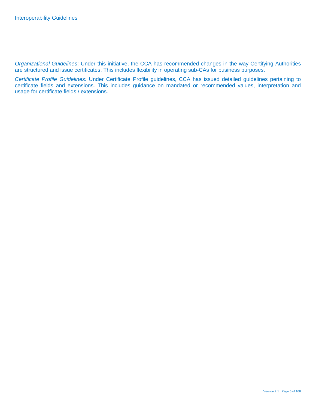*Organizational Guidelines*: Under this initiative, the CCA has recommended changes in the way Certifying Authorities are structured and issue certificates. This includes flexibility in operating sub-CAs for business purposes.

*Certificate Profile Guidelines:* Under Certificate Profile guidelines, CCA has issued detailed guidelines pertaining to certificate fields and extensions. This includes guidance on mandated or recommended values, interpretation and usage for certificate fields / extensions.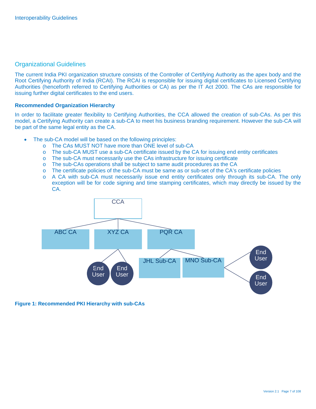### Organizational Guidelines

The current India PKI organization structure consists of the Controller of Certifying Authority as the apex body and the Root Certifying Authority of India (RCAI). The RCAI is responsible for issuing digital certificates to Licensed Certifying Authorities (henceforth referred to Certifying Authorities or CA) as per the IT Act 2000. The CAs are responsible for issuing further digital certificates to the end users.

#### **Recommended Organization Hierarchy**

In order to facilitate greater flexibility to Certifying Authorities, the CCA allowed the creation of sub-CAs. As per this model, a Certifying Authority can create a sub-CA to meet his business branding requirement. However the sub-CA will be part of the same legal entity as the CA.

- The sub-CA model will be based on the following principles:
	- o The CAs MUST NOT have more than ONE level of sub-CA
	- o The sub-CA MUST use a sub-CA certificate issued by the CA for issuing end entity certificates
	- o The sub-CA must necessarily use the CAs infrastructure for issuing certificate
	- o The sub-CAs operations shall be subject to same audit procedures as the CA
	- o The certificate policies of the sub-CA must be same as or sub-set of the CA's certificate policies
	- o A CA with sub-CA must necessarily issue end entity certificates only through its sub-CA. The only exception will be for code signing and time stamping certificates, which may directly be issued by the CA.



### **Figure 1: Recommended PKI Hierarchy with sub-CAs**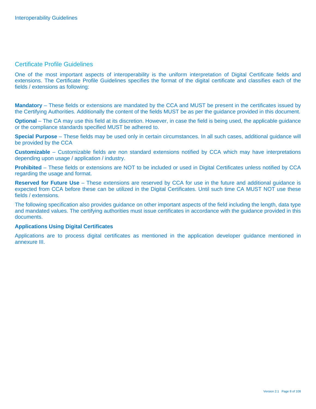### Certificate Profile Guidelines

One of the most important aspects of interoperability is the uniform interpretation of Digital Certificate fields and extensions. The Certificate Profile Guidelines specifies the format of the digital certificate and classifies each of the fields / extensions as following:

**Mandatory** – These fields or extensions are mandated by the CCA and MUST be present in the certificates issued by the Certifying Authorities. Additionally the content of the fields MUST be as per the guidance provided in this document.

**Optional** – The CA may use this field at its discretion. However, in case the field is being used, the applicable quidance or the compliance standards specified MUST be adhered to.

**Special Purpose** – These fields may be used only in certain circumstances. In all such cases, additional guidance will be provided by the CCA

**Customizable** – Customizable fields are non standard extensions notified by CCA which may have interpretations depending upon usage / application / industry.

**Prohibited** – These fields or extensions are NOT to be included or used in Digital Certificates unless notified by CCA regarding the usage and format.

**Reserved for Future Use** – These extensions are reserved by CCA for use in the future and additional guidance is expected from CCA before these can be utilized in the Digital Certificates. Until such time CA MUST NOT use these fields / extensions.

The following specification also provides guidance on other important aspects of the field including the length, data type and mandated values. The certifying authorities must issue certificates in accordance with the guidance provided in this documents.

#### **Applications Using Digital Certificates**

Applications are to process digital certificates as mentioned in the application developer guidance mentioned in annexure III.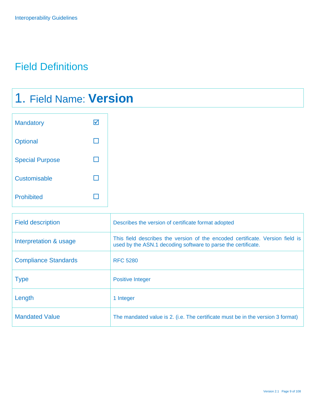### Field Definitions

## 1. Field Name: **Version**

| <b>Mandatory</b>       |  |
|------------------------|--|
| Optional               |  |
| <b>Special Purpose</b> |  |
| Customisable           |  |
| <b>Prohibited</b>      |  |

| <b>Field description</b>    | Describes the version of certificate format adopted                                                                                            |
|-----------------------------|------------------------------------------------------------------------------------------------------------------------------------------------|
| Interpretation & usage      | This field describes the version of the encoded certificate. Version field is<br>used by the ASN.1 decoding software to parse the certificate. |
| <b>Compliance Standards</b> | <b>RFC 5280</b>                                                                                                                                |
| <b>Type</b>                 | <b>Positive Integer</b>                                                                                                                        |
| Length                      | 1 Integer                                                                                                                                      |
| <b>Mandated Value</b>       | The mandated value is 2. (i.e. The certificate must be in the version 3 format)                                                                |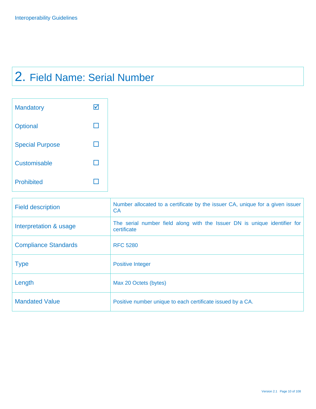## 2. Field Name: Serial Number

| <b>Mandatory</b>       |  |
|------------------------|--|
| Optional               |  |
| <b>Special Purpose</b> |  |
| Customisable           |  |
| <b>Prohibited</b>      |  |

| <b>Field description</b>    | Number allocated to a certificate by the issuer CA, unique for a given issuer<br><b>CA</b> |
|-----------------------------|--------------------------------------------------------------------------------------------|
| Interpretation & usage      | The serial number field along with the Issuer DN is unique identifier for<br>certificate   |
| <b>Compliance Standards</b> | <b>RFC 5280</b>                                                                            |
| <b>Type</b>                 | <b>Positive Integer</b>                                                                    |
| Length                      | Max 20 Octets (bytes)                                                                      |
| <b>Mandated Value</b>       | Positive number unique to each certificate issued by a CA.                                 |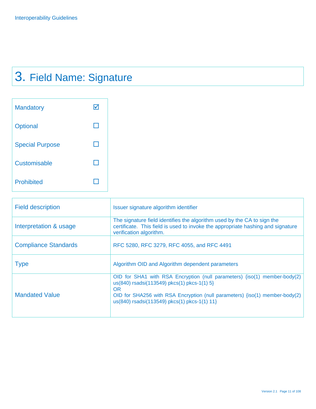# 3. Field Name: Signature

| <b>Mandatory</b>       |  |
|------------------------|--|
| Optional               |  |
| <b>Special Purpose</b> |  |
| Customisable           |  |
| <b>Prohibited</b>      |  |

| <b>Field description</b>    | Issuer signature algorithm identifier                                                                                                                                                                                                                         |
|-----------------------------|---------------------------------------------------------------------------------------------------------------------------------------------------------------------------------------------------------------------------------------------------------------|
| Interpretation & usage      | The signature field identifies the algorithm used by the CA to sign the<br>certificate. This field is used to invoke the appropriate hashing and signature<br>verification algorithm.                                                                         |
| <b>Compliance Standards</b> | RFC 5280, RFC 3279, RFC 4055, and RFC 4491                                                                                                                                                                                                                    |
| <b>Type</b>                 | Algorithm OID and Algorithm dependent parameters                                                                                                                                                                                                              |
| <b>Mandated Value</b>       | OID for SHA1 with RSA Encryption (null parameters) {iso(1) member-body(2)<br>us(840) rsadsi(113549) pkcs(1) pkcs-1(1) 5}<br>OR<br>OID for SHA256 with RSA Encryption (null parameters) {iso(1) member-body(2)<br>us(840) rsadsi(113549) pkcs(1) pkcs-1(1) 11} |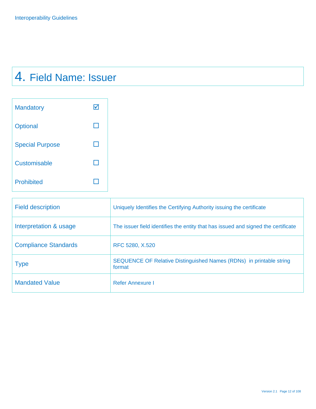## 4. Field Name: Issuer

| <b>Mandatory</b>       |  |
|------------------------|--|
| Optional               |  |
| <b>Special Purpose</b> |  |
| Customisable           |  |
| <b>Prohibited</b>      |  |

| <b>Field description</b>    | Uniquely Identifies the Certifying Authority issuing the certificate              |
|-----------------------------|-----------------------------------------------------------------------------------|
| Interpretation & usage      | The issuer field identifies the entity that has issued and signed the certificate |
| <b>Compliance Standards</b> | RFC 5280, X.520                                                                   |
| <b>Type</b>                 | SEQUENCE OF Relative Distinguished Names (RDNs) in printable string<br>format     |
| <b>Mandated Value</b>       | Refer Annexure I                                                                  |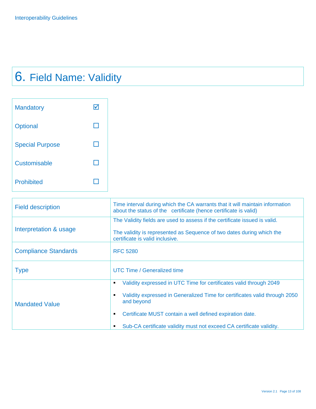# 6. Field Name: Validity

| <b>Mandatory</b>       |  |
|------------------------|--|
| Optional               |  |
| <b>Special Purpose</b> |  |
| <b>Customisable</b>    |  |
| <b>Prohibited</b>      |  |

| <b>Field description</b>    | Time interval during which the CA warrants that it will maintain information<br>about the status of the certificate (hence certificate is valid)                                                                                                                                                                       |
|-----------------------------|------------------------------------------------------------------------------------------------------------------------------------------------------------------------------------------------------------------------------------------------------------------------------------------------------------------------|
| Interpretation & usage      | The Validity fields are used to assess if the certificate issued is valid.<br>The validity is represented as Sequence of two dates during which the<br>certificate is valid inclusive.                                                                                                                                 |
| <b>Compliance Standards</b> | <b>RFC 5280</b>                                                                                                                                                                                                                                                                                                        |
| <b>Type</b>                 | UTC Time / Generalized time                                                                                                                                                                                                                                                                                            |
| <b>Mandated Value</b>       | Validity expressed in UTC Time for certificates valid through 2049<br>٠<br>Validity expressed in Generalized Time for certificates valid through 2050<br>٠<br>and beyond<br>Certificate MUST contain a well defined expiration date.<br>٠<br>Sub-CA certificate validity must not exceed CA certificate validity.<br>٠ |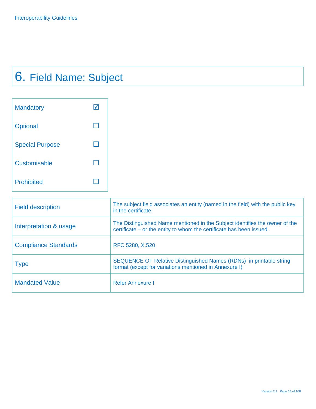# 6. Field Name: Subject

| <b>Mandatory</b>       |  |
|------------------------|--|
| Optional               |  |
| <b>Special Purpose</b> |  |
| <b>Customisable</b>    |  |
| <b>Prohibited</b>      |  |

| <b>Field description</b>    | The subject field associates an entity (named in the field) with the public key<br>in the certificate.                                              |
|-----------------------------|-----------------------------------------------------------------------------------------------------------------------------------------------------|
| Interpretation & usage      | The Distinguished Name mentioned in the Subject identifies the owner of the<br>certificate – or the entity to whom the certificate has been issued. |
| <b>Compliance Standards</b> | RFC 5280, X.520                                                                                                                                     |
| <b>Type</b>                 | SEQUENCE OF Relative Distinguished Names (RDNs) in printable string<br>format (except for variations mentioned in Annexure I)                       |
| <b>Mandated Value</b>       | <b>Refer Annexure I</b>                                                                                                                             |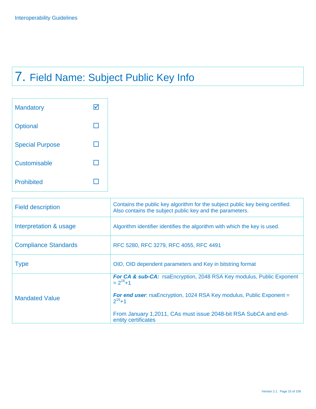# 7. Field Name: Subject Public Key Info

| <b>Mandatory</b>       |  |
|------------------------|--|
| Optional               |  |
| <b>Special Purpose</b> |  |
| Customisable           |  |
| <b>Prohibited</b>      |  |

| Contains the public key algorithm for the subject public key being certified.<br>Also contains the subject public key and the parameters.                                                                                                      |
|------------------------------------------------------------------------------------------------------------------------------------------------------------------------------------------------------------------------------------------------|
| Algorithm identifier identifies the algorithm with which the key is used.                                                                                                                                                                      |
| RFC 5280, RFC 3279, RFC 4055, RFC 4491                                                                                                                                                                                                         |
| OID, OID dependent parameters and Key in bitstring format                                                                                                                                                                                      |
| For CA & sub-CA: rsaEncryption, 2048 RSA Key modulus, Public Exponent<br>$= 2^{16}+1$<br>For end user: rsaEncryption, 1024 RSA Key modulus, Public Exponent =<br>$2^{16}+1$<br>From January 1,2011, CAs must issue 2048-bit RSA SubCA and end- |
| entity certificates                                                                                                                                                                                                                            |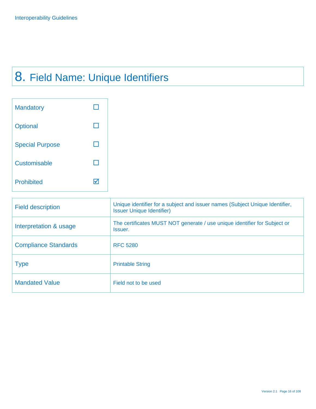## 8. Field Name: Unique Identifiers

| <b>Mandatory</b>       |  |
|------------------------|--|
| Optional               |  |
| <b>Special Purpose</b> |  |
| Customisable           |  |
| <b>Prohibited</b>      |  |

| <b>Field description</b>    | Unique identifier for a subject and issuer names (Subject Unique Identifier,<br><b>Issuer Unique Identifier)</b> |
|-----------------------------|------------------------------------------------------------------------------------------------------------------|
| Interpretation & usage      | The certificates MUST NOT generate / use unique identifier for Subject or<br><b>Issuer.</b>                      |
| <b>Compliance Standards</b> | <b>RFC 5280</b>                                                                                                  |
| <b>Type</b>                 | <b>Printable String</b>                                                                                          |
| <b>Mandated Value</b>       | Field not to be used                                                                                             |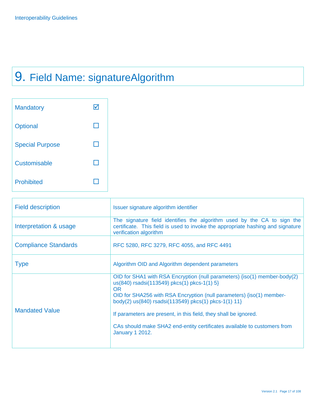## 9. Field Name: signatureAlgorithm

| <b>Mandatory</b>       |  |
|------------------------|--|
| Optional               |  |
| <b>Special Purpose</b> |  |
| Customisable           |  |
| <b>Prohibited</b>      |  |

| <b>Field description</b>    | Issuer signature algorithm identifier                                                                                                                                                                                                                                                                                                                                                                                                           |
|-----------------------------|-------------------------------------------------------------------------------------------------------------------------------------------------------------------------------------------------------------------------------------------------------------------------------------------------------------------------------------------------------------------------------------------------------------------------------------------------|
| Interpretation & usage      | The signature field identifies the algorithm used by the CA to sign the<br>certificate. This field is used to invoke the appropriate hashing and signature<br>verification algorithm                                                                                                                                                                                                                                                            |
| <b>Compliance Standards</b> | RFC 5280, RFC 3279, RFC 4055, and RFC 4491                                                                                                                                                                                                                                                                                                                                                                                                      |
| <b>Type</b>                 | Algorithm OID and Algorithm dependent parameters                                                                                                                                                                                                                                                                                                                                                                                                |
| <b>Mandated Value</b>       | OID for SHA1 with RSA Encryption (null parameters) {iso(1) member-body(2)<br>us(840) rsadsi(113549) pkcs(1) pkcs-1(1) 5}<br><b>OR</b><br>OID for SHA256 with RSA Encryption (null parameters) {iso(1) member-<br>body(2) us(840) rsadsi(113549) pkcs(1) pkcs-1(1) 11}<br>If parameters are present, in this field, they shall be ignored.<br>CAs should make SHA2 end-entity certificates available to customers from<br><b>January 1 2012.</b> |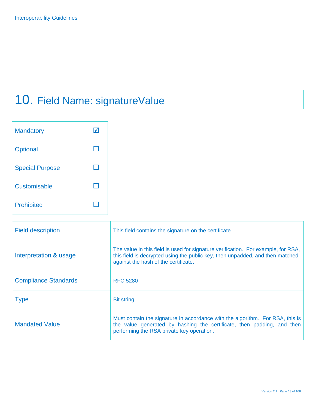## 10. Field Name: signatureValue

| <b>Mandatory</b>       |  |
|------------------------|--|
| Optional               |  |
| <b>Special Purpose</b> |  |
| Customisable           |  |
| <b>Prohibited</b>      |  |

| <b>Field description</b>    | This field contains the signature on the certificate                                                                                                                                                       |
|-----------------------------|------------------------------------------------------------------------------------------------------------------------------------------------------------------------------------------------------------|
| Interpretation & usage      | The value in this field is used for signature verification. For example, for RSA,<br>this field is decrypted using the public key, then unpadded, and then matched<br>against the hash of the certificate. |
| <b>Compliance Standards</b> | <b>RFC 5280</b>                                                                                                                                                                                            |
| <b>Type</b>                 | <b>Bit string</b>                                                                                                                                                                                          |
| <b>Mandated Value</b>       | Must contain the signature in accordance with the algorithm. For RSA, this is<br>the value generated by hashing the certificate, then padding, and then<br>performing the RSA private key operation.       |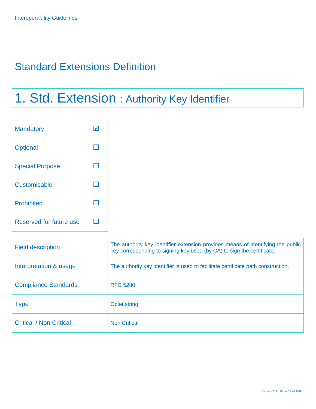### Standard Extensions Definition

## 1. Std. Extension : Authority Key Identifier

| <b>Mandatory</b>        | ☑ |  |
|-------------------------|---|--|
| Optional                |   |  |
| <b>Special Purpose</b>  | H |  |
| Customisable            | H |  |
| Prohibited              | П |  |
| Reserved for future use | H |  |

| <b>Field description</b>       | The authority key identifier extension provides means of identifying the public<br>key corresponding to signing key used (by CA) to sign the certificate. |
|--------------------------------|-----------------------------------------------------------------------------------------------------------------------------------------------------------|
| Interpretation & usage         | The authority key identifier is used to facilitate certificate path construction.                                                                         |
| <b>Compliance Standards</b>    | <b>RFC 5280</b>                                                                                                                                           |
| <b>Type</b>                    | Octet string                                                                                                                                              |
| <b>Critical / Non Critical</b> | <b>Non Critical</b>                                                                                                                                       |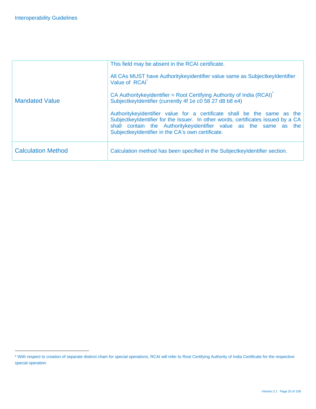-

|                           | This field may be absent in the RCAI certificate.                                                                                                                                                                                                                                     |
|---------------------------|---------------------------------------------------------------------------------------------------------------------------------------------------------------------------------------------------------------------------------------------------------------------------------------|
|                           | All CAs MUST have Authoritykeyidentifier value same as SubjectkeyIdentifier<br>Value of RCAI                                                                                                                                                                                          |
| <b>Mandated Value</b>     | CA Authoritykeyidentifier = Root Certifying Authority of India (RCAI)<br>SubjectkeyIdentifier (currently 4f 1e c0 58 27 d8 b8 e4)                                                                                                                                                     |
|                           | Authoritykeyidentifier value for a certificate shall be the same as the<br>SubjectkeyIdentifier for the Issuer. In other words, certificates issued by a CA<br>shall contain the Authoritykeyidentifier value as the same as the<br>SubjectkeyIdentifier in the CA's own certificate. |
| <b>Calculation Method</b> | Calculation method has been specified in the SubjectkeyIdentifier section.                                                                                                                                                                                                            |

<sup>\*</sup> With respect to creation of separate distinct chain for special operations, RCAI will refer to Root Certifying Authority of India Certificate for the respective special operation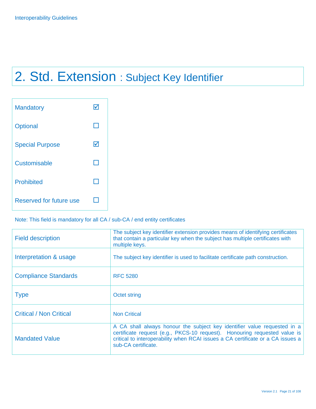## 2. Std. Extension : Subject Key Identifier

| <b>Mandatory</b>        |   |
|-------------------------|---|
| <b>Optional</b>         |   |
| <b>Special Purpose</b>  | M |
| Customisable            |   |
| <b>Prohibited</b>       |   |
| Reserved for future use |   |

### Note: This field is mandatory for all CA / sub-CA / end entity certificates

| <b>Field description</b>       | The subject key identifier extension provides means of identifying certificates<br>that contain a particular key when the subject has multiple certificates with<br>multiple keys.                                                                              |
|--------------------------------|-----------------------------------------------------------------------------------------------------------------------------------------------------------------------------------------------------------------------------------------------------------------|
| Interpretation & usage         | The subject key identifier is used to facilitate certificate path construction.                                                                                                                                                                                 |
| <b>Compliance Standards</b>    | <b>RFC 5280</b>                                                                                                                                                                                                                                                 |
| <b>Type</b>                    | Octet string                                                                                                                                                                                                                                                    |
| <b>Critical / Non Critical</b> | <b>Non Critical</b>                                                                                                                                                                                                                                             |
| <b>Mandated Value</b>          | A CA shall always honour the subject key identifier value requested in a<br>certificate request (e.g., PKCS-10 request). Honouring requested value is<br>critical to interoperability when RCAI issues a CA certificate or a CA issues a<br>sub-CA certificate. |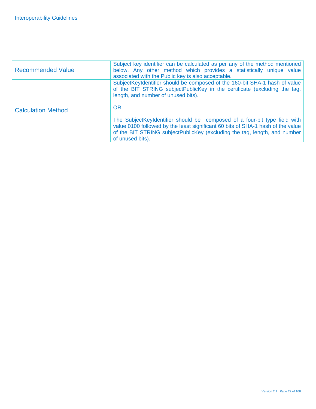| <b>Recommended Value</b>  | Subject key identifier can be calculated as per any of the method mentioned<br>below. Any other method which provides a statistically unique value<br>associated with the Public key is also acceptable.                                                      |
|---------------------------|---------------------------------------------------------------------------------------------------------------------------------------------------------------------------------------------------------------------------------------------------------------|
| <b>Calculation Method</b> | SubjectKeyIdentifier should be composed of the 160-bit SHA-1 hash of value<br>of the BIT STRING subjectPublicKey in the certificate (excluding the tag,<br>length, and number of unused bits).<br><b>OR</b>                                                   |
|                           | The SubjectKeyIdentifier should be composed of a four-bit type field with<br>value 0100 followed by the least significant 60 bits of SHA-1 hash of the value<br>of the BIT STRING subjectPublicKey (excluding the tag, length, and number<br>of unused bits). |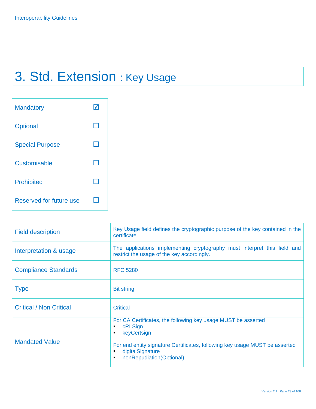## 3. Std. Extension : Key Usage

| <b>Mandatory</b>        |  |
|-------------------------|--|
| Optional                |  |
| <b>Special Purpose</b>  |  |
| Customisable            |  |
| <b>Prohibited</b>       |  |
| Reserved for future use |  |

| <b>Field description</b>       | Key Usage field defines the cryptographic purpose of the key contained in the<br>certificate.                                                                                                                                                           |
|--------------------------------|---------------------------------------------------------------------------------------------------------------------------------------------------------------------------------------------------------------------------------------------------------|
| Interpretation & usage         | The applications implementing cryptography must interpret this field and<br>restrict the usage of the key accordingly.                                                                                                                                  |
| <b>Compliance Standards</b>    | <b>RFC 5280</b>                                                                                                                                                                                                                                         |
| <b>Type</b>                    | <b>Bit string</b>                                                                                                                                                                                                                                       |
| <b>Critical / Non Critical</b> | Critical                                                                                                                                                                                                                                                |
| <b>Mandated Value</b>          | For CA Certificates, the following key usage MUST be asserted<br>cRLSign<br>٠<br>keyCertsign<br>٠<br>For end entity signature Certificates, following key usage MUST be asserted<br>digitalSignature<br>٠<br>nonRepudiation(Optional)<br>$\blacksquare$ |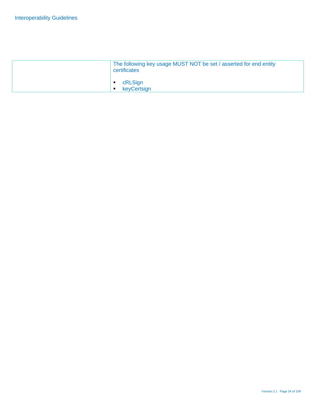| The following key usage MUST NOT be set / asserted for end entity<br>certificates |
|-----------------------------------------------------------------------------------|
| cRLSign<br>keyCertsign<br>$\blacksquare$                                          |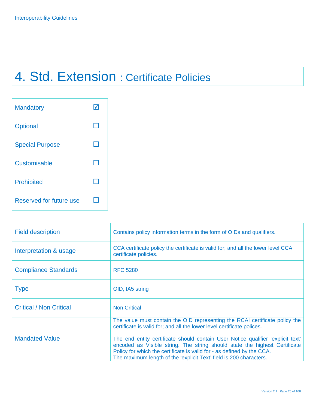## 4. Std. Extension : Certificate Policies

| <b>Mandatory</b>        |  |
|-------------------------|--|
| Optional                |  |
| <b>Special Purpose</b>  |  |
| Customisable            |  |
| <b>Prohibited</b>       |  |
| Reserved for future use |  |

| <b>Field description</b>       | Contains policy information terms in the form of OIDs and qualifiers.                                                                                                                                                                                                                                         |
|--------------------------------|---------------------------------------------------------------------------------------------------------------------------------------------------------------------------------------------------------------------------------------------------------------------------------------------------------------|
| Interpretation & usage         | CCA certificate policy the certificate is valid for; and all the lower level CCA<br>certificate policies.                                                                                                                                                                                                     |
| <b>Compliance Standards</b>    | <b>RFC 5280</b>                                                                                                                                                                                                                                                                                               |
| <b>Type</b>                    | OID, IA5 string                                                                                                                                                                                                                                                                                               |
| <b>Critical / Non Critical</b> | <b>Non Critical</b>                                                                                                                                                                                                                                                                                           |
|                                | The value must contain the OID representing the RCAI certificate policy the<br>certificate is valid for; and all the lower level certificate polices.                                                                                                                                                         |
| <b>Mandated Value</b>          | The end entity certificate should contain User Notice qualifier 'explicit text'<br>encoded as Visible string. The string should state the highest Certificate<br>Policy for which the certificate is valid for - as defined by the CCA.<br>The maximum length of the 'explicit Text' field is 200 characters. |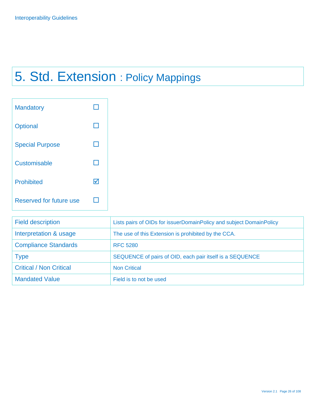## 5. Std. Extension : Policy Mappings

| <b>Mandatory</b>        |  |
|-------------------------|--|
| Optional                |  |
| <b>Special Purpose</b>  |  |
| Customisable            |  |
| <b>Prohibited</b>       |  |
| Reserved for future use |  |

| <b>Field description</b>       | Lists pairs of OIDs for issuerDomainPolicy and subject DomainPolicy |
|--------------------------------|---------------------------------------------------------------------|
| Interpretation & usage         | The use of this Extension is prohibited by the CCA.                 |
| <b>Compliance Standards</b>    | <b>RFC 5280</b>                                                     |
| <b>Type</b>                    | SEQUENCE of pairs of OID, each pair itself is a SEQUENCE            |
| <b>Critical / Non Critical</b> | <b>Non Critical</b>                                                 |
| <b>Mandated Value</b>          | Field is to not be used                                             |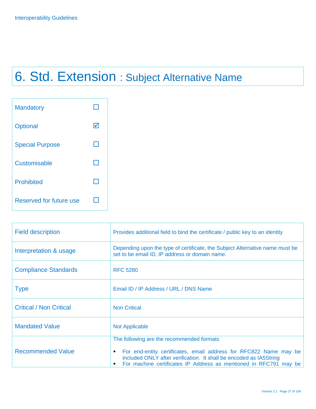# 6. Std. Extension : Subject Alternative Name

| <b>Mandatory</b>               |   |
|--------------------------------|---|
| <b>Optional</b>                | W |
| <b>Special Purpose</b>         |   |
| Customisable                   |   |
| <b>Prohibited</b>              |   |
| <b>Reserved for future use</b> |   |

| <b>Field description</b>       | Provides additional field to bind the certificate / public key to an identity                                                                                                                                          |
|--------------------------------|------------------------------------------------------------------------------------------------------------------------------------------------------------------------------------------------------------------------|
| Interpretation & usage         | Depending upon the type of certificate, the Subject Alternative name must be<br>set to be email ID, IP address or domain name.                                                                                         |
| <b>Compliance Standards</b>    | <b>RFC 5280</b>                                                                                                                                                                                                        |
| <b>Type</b>                    | Email ID / IP Address / URL / DNS Name                                                                                                                                                                                 |
| <b>Critical / Non Critical</b> | <b>Non Critical</b>                                                                                                                                                                                                    |
| <b>Mandated Value</b>          | <b>Not Applicable</b>                                                                                                                                                                                                  |
|                                | The following are the recommended formats                                                                                                                                                                              |
| <b>Recommended Value</b>       | For end-entity certificates, email address for RFC822 Name may be<br>٠<br>included ONLY after verification. It shall be encoded as IA5String<br>For machine certificates IP Address as mentioned in RFC791 may be<br>٠ |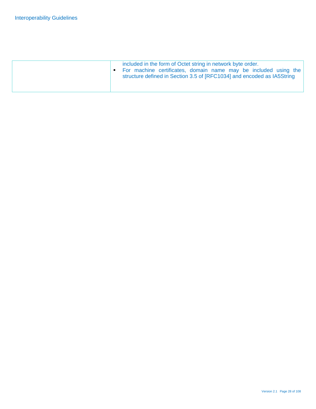| included in the form of Octet string in network byte order.<br>For machine certificates, domain name may be included using the<br>structure defined in Section 3.5 of [RFC1034] and encoded as IA5String |
|----------------------------------------------------------------------------------------------------------------------------------------------------------------------------------------------------------|
|                                                                                                                                                                                                          |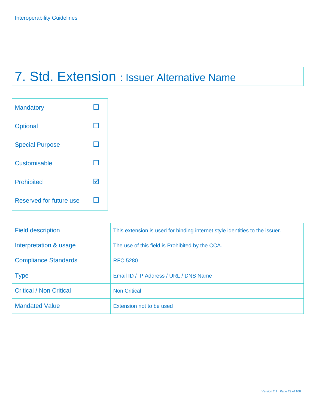## 7. Std. Extension : Issuer Alternative Name

| <b>Mandatory</b>        |   |
|-------------------------|---|
| <b>Optional</b>         |   |
| <b>Special Purpose</b>  |   |
| Customisable            |   |
| <b>Prohibited</b>       | M |
| Reserved for future use |   |

| <b>Field description</b>       | This extension is used for binding internet style identities to the issuer. |
|--------------------------------|-----------------------------------------------------------------------------|
| Interpretation & usage         | The use of this field is Prohibited by the CCA.                             |
| <b>Compliance Standards</b>    | <b>RFC 5280</b>                                                             |
| <b>Type</b>                    | Email ID / IP Address / URL / DNS Name                                      |
| <b>Critical / Non Critical</b> | <b>Non Critical</b>                                                         |
| <b>Mandated Value</b>          | Extension not to be used                                                    |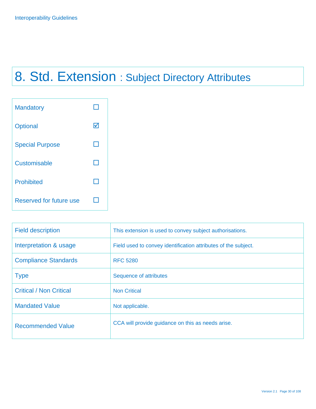## 8. Std. Extension : Subject Directory Attributes



| <b>Field description</b>       | This extension is used to convey subject authorisations.       |
|--------------------------------|----------------------------------------------------------------|
| Interpretation & usage         | Field used to convey identification attributes of the subject. |
| <b>Compliance Standards</b>    | <b>RFC 5280</b>                                                |
| <b>Type</b>                    | Sequence of attributes                                         |
| <b>Critical / Non Critical</b> | <b>Non Critical</b>                                            |
| <b>Mandated Value</b>          | Not applicable.                                                |
| <b>Recommended Value</b>       | CCA will provide guidance on this as needs arise.              |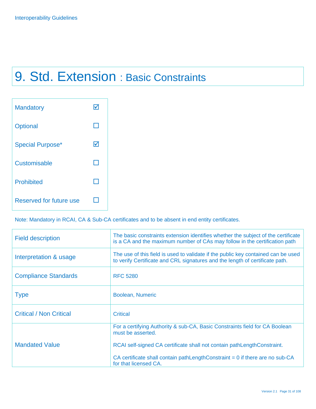## 9. Std. Extension : Basic Constraints

| <b>Mandatory</b>        |   |
|-------------------------|---|
| <b>Optional</b>         |   |
| <b>Special Purpose*</b> | M |
| Customisable            |   |
| <b>Prohibited</b>       |   |
| Reserved for future use |   |

Note: Mandatory in RCAI, CA & Sub-CA certificates and to be absent in end entity certificates.

| <b>Field description</b>       | The basic constraints extension identifies whether the subject of the certificate<br>is a CA and the maximum number of CAs may follow in the certification path   |
|--------------------------------|-------------------------------------------------------------------------------------------------------------------------------------------------------------------|
| Interpretation & usage         | The use of this field is used to validate if the public key contained can be used<br>to verify Certificate and CRL signatures and the length of certificate path. |
| <b>Compliance Standards</b>    | <b>RFC 5280</b>                                                                                                                                                   |
| <b>Type</b>                    | Boolean, Numeric                                                                                                                                                  |
| <b>Critical / Non Critical</b> | <b>Critical</b>                                                                                                                                                   |
|                                | For a certifying Authority & sub-CA, Basic Constraints field for CA Boolean<br>must be asserted.                                                                  |
| <b>Mandated Value</b>          | RCAI self-signed CA certificate shall not contain pathLengthConstraint.                                                                                           |
|                                | CA certificate shall contain pathLengthConstraint $= 0$ if there are no sub-CA<br>for that licensed CA.                                                           |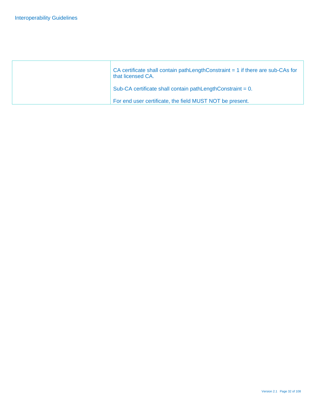| CA certificate shall contain pathLengthConstraint $= 1$ if there are sub-CAs for<br>that licensed CA. |
|-------------------------------------------------------------------------------------------------------|
| Sub-CA certificate shall contain pathLengthConstraint = 0.                                            |
| For end user certificate, the field MUST NOT be present.                                              |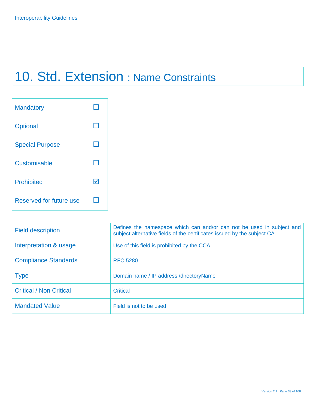## 10. Std. Extension : Name Constraints

| <b>Mandatory</b>        |   |
|-------------------------|---|
| Optional                |   |
| <b>Special Purpose</b>  |   |
| Customisable            |   |
| <b>Prohibited</b>       | W |
| Reserved for future use |   |

| <b>Field description</b>       | Defines the namespace which can and/or can not be used in subject and<br>subject alternative fields of the certificates issued by the subject CA |
|--------------------------------|--------------------------------------------------------------------------------------------------------------------------------------------------|
| Interpretation & usage         | Use of this field is prohibited by the CCA                                                                                                       |
| <b>Compliance Standards</b>    | <b>RFC 5280</b>                                                                                                                                  |
| <b>Type</b>                    | Domain name / IP address / directory Name                                                                                                        |
| <b>Critical / Non Critical</b> | <b>Critical</b>                                                                                                                                  |
| <b>Mandated Value</b>          | Field is not to be used                                                                                                                          |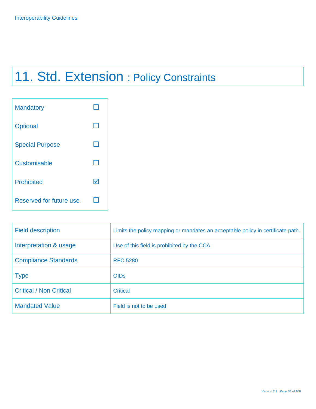## 11. Std. Extension : Policy Constraints

| <b>Mandatory</b>        |   |
|-------------------------|---|
| Optional                |   |
| <b>Special Purpose</b>  |   |
| Customisable            |   |
| <b>Prohibited</b>       | W |
| Reserved for future use |   |

| <b>Field description</b>       | Limits the policy mapping or mandates an acceptable policy in certificate path. |
|--------------------------------|---------------------------------------------------------------------------------|
| Interpretation & usage         | Use of this field is prohibited by the CCA                                      |
| <b>Compliance Standards</b>    | <b>RFC 5280</b>                                                                 |
| <b>Type</b>                    | <b>OIDs</b>                                                                     |
| <b>Critical / Non Critical</b> | <b>Critical</b>                                                                 |
| <b>Mandated Value</b>          | Field is not to be used                                                         |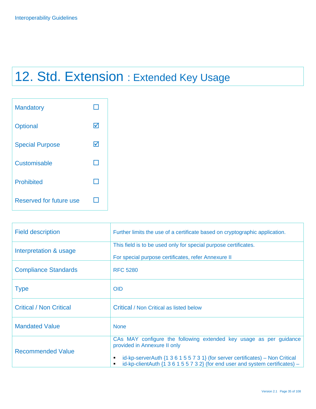## 12. Std. Extension : Extended Key Usage

| <b>Mandatory</b>        |   |
|-------------------------|---|
| Optional                | M |
| <b>Special Purpose</b>  | M |
| Customisable            |   |
| <b>Prohibited</b>       |   |
| Reserved for future use |   |

| <b>Field description</b>       | Further limits the use of a certificate based on cryptographic application.                                                                                                                                                                                                                        |
|--------------------------------|----------------------------------------------------------------------------------------------------------------------------------------------------------------------------------------------------------------------------------------------------------------------------------------------------|
| Interpretation & usage         | This field is to be used only for special purpose certificates.<br>For special purpose certificates, refer Annexure II                                                                                                                                                                             |
| <b>Compliance Standards</b>    | <b>RFC 5280</b>                                                                                                                                                                                                                                                                                    |
| <b>Type</b>                    | <b>OID</b>                                                                                                                                                                                                                                                                                         |
| <b>Critical / Non Critical</b> | Critical / Non Critical as listed below                                                                                                                                                                                                                                                            |
| <b>Mandated Value</b>          | <b>None</b>                                                                                                                                                                                                                                                                                        |
| <b>Recommended Value</b>       | CAs MAY configure the following extended key usage as per guidance<br>provided in Annexure II only<br>id-kp-server Auth $\{1\ 3\ 6\ 1\ 5\ 5\ 7\ 3\ 1\}$ (for server certificates) – Non Critical<br>id-kp-clientAuth $\{1\ 3\ 6\ 1\ 5\ 5\ 7\ 3\ 2\}$ (for end user and system certificates) –<br>٠ |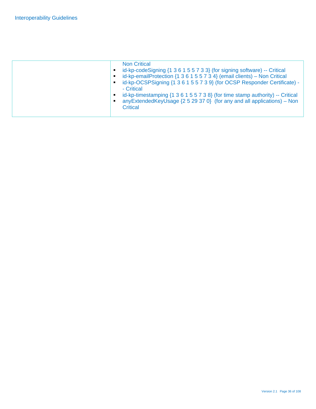| <b>Non Critical</b><br>id-kp-codeSigning {1 3 6 1 5 5 7 3 3} (for signing software) -- Critical<br>п<br>id-kp-emailProtection $\{1\ 3\ 6\ 1\ 5\ 5\ 7\ 3\ 4\}$ (email clients) – Non Critical<br>п<br>id-kp-OCSPSigning {1 3 6 1 5 5 7 3 9} (for OCSP Responder Certificate) -<br>п<br>- Critical<br>id-kp-timestamping {1 3 6 1 5 5 7 3 8} (for time stamp authority) -- Critical<br>п |
|----------------------------------------------------------------------------------------------------------------------------------------------------------------------------------------------------------------------------------------------------------------------------------------------------------------------------------------------------------------------------------------|
| anyExtendedKeyUsage $\{2\ 5\ 29\ 37\ 0\}$ (for any and all applications) – Non<br>п<br>Critical                                                                                                                                                                                                                                                                                        |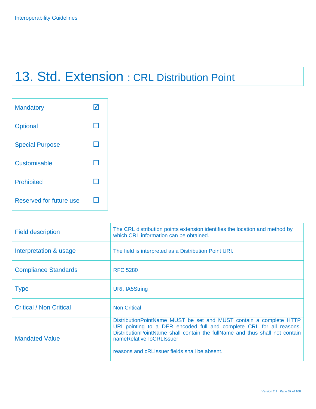# 13. Std. Extension : CRL Distribution Point

| <b>Mandatory</b>        |  |
|-------------------------|--|
| <b>Optional</b>         |  |
| <b>Special Purpose</b>  |  |
| Customisable            |  |
| <b>Prohibited</b>       |  |
| Reserved for future use |  |

| <b>Field description</b>       | The CRL distribution points extension identifies the location and method by<br>which CRL information can be obtained.                                                                                                                                                                                    |
|--------------------------------|----------------------------------------------------------------------------------------------------------------------------------------------------------------------------------------------------------------------------------------------------------------------------------------------------------|
| Interpretation & usage         | The field is interpreted as a Distribution Point URI.                                                                                                                                                                                                                                                    |
| <b>Compliance Standards</b>    | <b>RFC 5280</b>                                                                                                                                                                                                                                                                                          |
| <b>Type</b>                    | URI, IA5String                                                                                                                                                                                                                                                                                           |
| <b>Critical / Non Critical</b> | <b>Non Critical</b>                                                                                                                                                                                                                                                                                      |
| <b>Mandated Value</b>          | DistributionPointName MUST be set and MUST contain a complete HTTP<br>URI pointing to a DER encoded full and complete CRL for all reasons.<br>Distribution Point Name shall contain the full Name and thus shall not contain<br>nameRelativeToCRLIssuer<br>reasons and cRLIssuer fields shall be absent. |
|                                |                                                                                                                                                                                                                                                                                                          |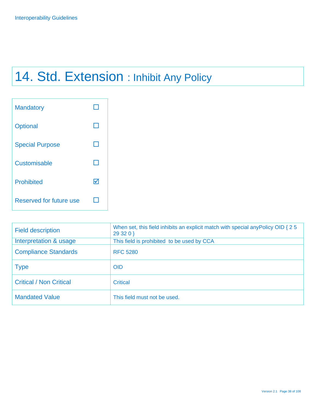# 14. Std. Extension : Inhibit Any Policy

| <b>Mandatory</b>        |  |
|-------------------------|--|
| Optional                |  |
| <b>Special Purpose</b>  |  |
| Customisable            |  |
| <b>Prohibited</b>       |  |
| Reserved for future use |  |

| <b>Field description</b>       | When set, this field inhibits an explicit match with special any Policy OID { 2 5<br>29320 |
|--------------------------------|--------------------------------------------------------------------------------------------|
| Interpretation & usage         | This field is prohibited to be used by CCA                                                 |
| <b>Compliance Standards</b>    | <b>RFC 5280</b>                                                                            |
| <b>Type</b>                    | <b>OID</b>                                                                                 |
| <b>Critical / Non Critical</b> | <b>Critical</b>                                                                            |
| <b>Mandated Value</b>          | This field must not be used.                                                               |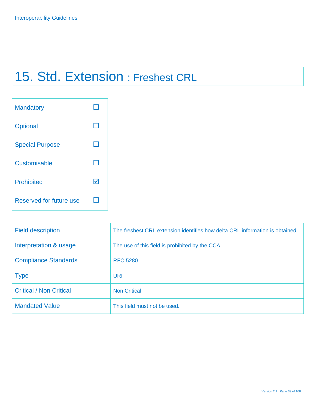# 15. Std. Extension : Freshest CRL

| <b>Mandatory</b>        |   |
|-------------------------|---|
| Optional                |   |
| <b>Special Purpose</b>  |   |
| Customisable            |   |
| <b>Prohibited</b>       | W |
| Reserved for future use |   |

| <b>Field description</b>       | The freshest CRL extension identifies how delta CRL information is obtained. |
|--------------------------------|------------------------------------------------------------------------------|
| Interpretation & usage         | The use of this field is prohibited by the CCA                               |
| <b>Compliance Standards</b>    | <b>RFC 5280</b>                                                              |
| <b>Type</b>                    | URI                                                                          |
| <b>Critical / Non Critical</b> | <b>Non Critical</b>                                                          |
| <b>Mandated Value</b>          | This field must not be used.                                                 |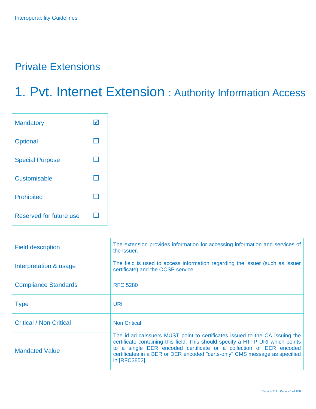## Private Extensions

# 1. Pvt. Internet Extension : Authority Information Access

| <b>Mandatory</b>        |  |
|-------------------------|--|
| Optional                |  |
| <b>Special Purpose</b>  |  |
| Customisable            |  |
| <b>Prohibited</b>       |  |
| Reserved for future use |  |

| <b>Field description</b>       | The extension provides information for accessing information and services of<br>the issuer.                                                                                                                                                                                                                                        |
|--------------------------------|------------------------------------------------------------------------------------------------------------------------------------------------------------------------------------------------------------------------------------------------------------------------------------------------------------------------------------|
| Interpretation & usage         | The field is used to access information regarding the issuer (such as issuer<br>certificate) and the OCSP service                                                                                                                                                                                                                  |
| <b>Compliance Standards</b>    | <b>RFC 5280</b>                                                                                                                                                                                                                                                                                                                    |
| <b>Type</b>                    | URI                                                                                                                                                                                                                                                                                                                                |
| <b>Critical / Non Critical</b> | <b>Non Critical</b>                                                                                                                                                                                                                                                                                                                |
| <b>Mandated Value</b>          | The id-ad-calssuers MUST point to certificates issued to the CA issuing the<br>certificate containing this field. This should specify a HTTP URI which points<br>to a single DER encoded certificate or a collection of DER encoded<br>certificates in a BER or DER encoded "certs-only" CMS message as specified<br>in [RFC3852]. |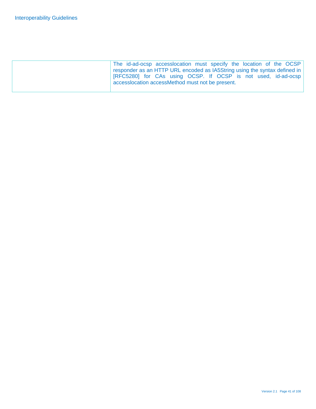| The id-ad-ocsp accesslocation must specify the location of the OCSP                   |  |
|---------------------------------------------------------------------------------------|--|
| responder as an HTTP URL encoded as IA5String using the syntax defined in $\parallel$ |  |
| [RFC5280] for CAs using OCSP. If OCSP is not used, id-ad-ocsp                         |  |
| accesslocation accessMethod must not be present.                                      |  |
|                                                                                       |  |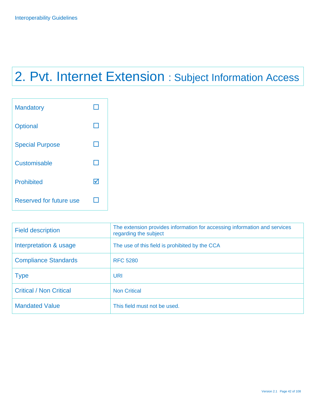# 2. Pvt. Internet Extension : Subject Information Access

| <b>Mandatory</b>        |   |
|-------------------------|---|
| Optional                |   |
| <b>Special Purpose</b>  |   |
| Customisable            |   |
| <b>Prohibited</b>       | W |
| Reserved for future use |   |

| <b>Field description</b>       | The extension provides information for accessing information and services<br>regarding the subject |
|--------------------------------|----------------------------------------------------------------------------------------------------|
| Interpretation & usage         | The use of this field is prohibited by the CCA                                                     |
| <b>Compliance Standards</b>    | <b>RFC 5280</b>                                                                                    |
| <b>Type</b>                    | URI                                                                                                |
| <b>Critical / Non Critical</b> | <b>Non Critical</b>                                                                                |
| <b>Mandated Value</b>          | This field must not be used.                                                                       |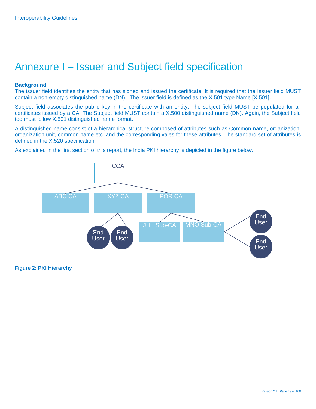## Annexure I – Issuer and Subject field specification

#### **Background**

The issuer field identifies the entity that has signed and issued the certificate. It is required that the Issuer field MUST contain a non-empty distinguished name (DN). The issuer field is defined as the X.501 type Name [X.501].

Subject field associates the public key in the certificate with an entity. The subject field MUST be populated for all certificates issued by a CA. The Subject field MUST contain a X.500 distinguished name (DN). Again, the Subject field too must follow X.501 distinguished name format.

A distinguished name consist of a hierarchical structure composed of attributes such as Common name, organization, organization unit, common name etc. and the corresponding vales for these attributes. The standard set of attributes is defined in the X.520 specification.

As explained in the first section of this report, the India PKI hierarchy is depicted in the figure below.



**Figure 2: PKI Hierarchy**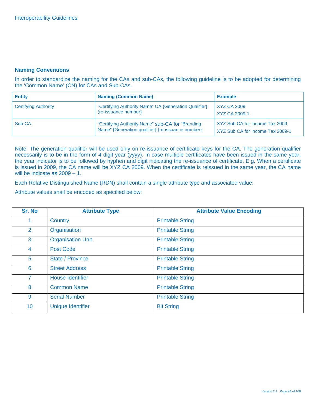#### **Naming Conventions**

In order to standardize the naming for the CAs and sub-CAs, the following guideline is to be adopted for determining the 'Common Name' (CN) for CAs and Sub-CAs.

| <b>Entity</b>               | <b>Naming (Common Name)</b>                                                                            | <b>Example</b>                                                     |
|-----------------------------|--------------------------------------------------------------------------------------------------------|--------------------------------------------------------------------|
| <b>Certifying Authority</b> | "Certifying Authority Name" CA {Generation Qualifier}<br>(re-issuance number)                          | XYZ CA 2009<br>XYZ CA 2009-1                                       |
| Sub-CA                      | "Certifying Authority Name" sub-CA for "Branding"<br>Name" {Generation qualifier} (re-issuance number} | XYZ Sub CA for Income Tax 2009<br>XYZ Sub CA for Income Tax 2009-1 |

Note: The generation qualifier will be used only on re-issuance of certificate keys for the CA. The generation qualifier necessarily is to be in the form of 4 digit year (yyyy). In case multiple certificates have been issued in the same year, the year indicator is to be followed by hyphen and digit indicating the re-issuance of certificate. E.g. When a certificate is issued in 2009, the CA name will be XYZ CA 2009. When the certificate is reissued in the same year, the CA name will be indicate as 2009 – 1.

Each Relative Distinguished Name (RDN) shall contain a single attribute type and associated value.

Attribute values shall be encoded as specified below:

| Sr. No         | <b>Attribute Type</b>    | <b>Attribute Value Encoding</b> |
|----------------|--------------------------|---------------------------------|
|                | Country                  | <b>Printable String</b>         |
| $\overline{2}$ | Organisation             | <b>Printable String</b>         |
| 3              | <b>Organisation Unit</b> | <b>Printable String</b>         |
| 4              | <b>Post Code</b>         | <b>Printable String</b>         |
| 5              | <b>State / Province</b>  | <b>Printable String</b>         |
| 6              | <b>Street Address</b>    | <b>Printable String</b>         |
| $\overline{7}$ | <b>House Identifier</b>  | <b>Printable String</b>         |
| 8              | <b>Common Name</b>       | <b>Printable String</b>         |
| 9              | <b>Serial Number</b>     | <b>Printable String</b>         |
| 10             | <b>Unique Identifier</b> | <b>Bit String</b>               |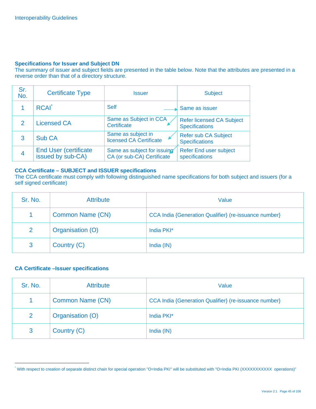#### **Specifications for Issuer and Subject DN**

The summary of issuer and subject fields are presented in the table below. Note that the attributes are presented in a reverse order than that of a directory structure.

| Sr.<br>No. | <b>Certificate Type</b>                            | <b>Issuer</b>                                             | <b>Subject</b>                                            |
|------------|----------------------------------------------------|-----------------------------------------------------------|-----------------------------------------------------------|
|            | <b>RCAI</b>                                        | <b>Self</b>                                               | Same as issuer                                            |
| 2          | <b>Licensed CA</b>                                 | Same as Subject in CCA<br>Certificate                     | <b>Refer licensed CA Subject</b><br><b>Specifications</b> |
| 3          | <b>Sub CA</b>                                      | Same as subject in<br>licensed CA Certificate             | <b>Refer sub CA Subject</b><br><b>Specifications</b>      |
| 4          | <b>End User (certificate)</b><br>issued by sub-CA) | Same as subject for issuing<br>CA (or sub-CA) Certificate | <b>Refer End user subject</b><br>specifications           |

#### **CCA Certificate – SUBJECT and ISSUER specifications**

The CCA certificate must comply with following distinguished name specifications for both subject and issuers (for a self signed certificate)

| Sr. No. | <b>Attribute</b>        | Value                                                 |
|---------|-------------------------|-------------------------------------------------------|
|         | <b>Common Name (CN)</b> | CCA India {Generation Qualifier} (re-issuance number} |
| 2       | Organisation (O)        | India PKI*                                            |
| 3       | Country (C)             | India (IN)                                            |

#### **CA Certificate –Issuer specifications**

| Sr. No.              | <b>Attribute</b>        | Value                                                 |
|----------------------|-------------------------|-------------------------------------------------------|
| $\blacktriangleleft$ | <b>Common Name (CN)</b> | CCA India {Generation Qualifier} (re-issuance number} |
| 2                    | Organisation (O)        | India PKI*                                            |
| 3                    | Country (C)             | India (IN)                                            |

<sup>\*</sup> With respect to creation of separate distinct chain for special operation "O=India PKI" will be substituted with "O=India PKI (XXXXXXXXXXX operations)"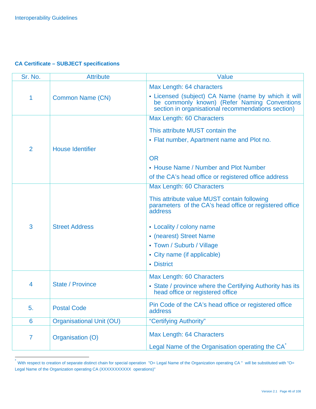-

#### **CA Certificate – SUBJECT specifications**

| Sr. No.        | <b>Attribute</b>                | Value                                                                                                                                                     |
|----------------|---------------------------------|-----------------------------------------------------------------------------------------------------------------------------------------------------------|
|                |                                 | Max Length: 64 characters                                                                                                                                 |
| 1              | <b>Common Name (CN)</b>         | • Licensed (subject) CA Name (name by which it will<br>be commonly known) (Refer Naming Conventions<br>section in organisational recommendations section) |
|                |                                 | Max Length: 60 Characters                                                                                                                                 |
|                |                                 | This attribute MUST contain the                                                                                                                           |
|                |                                 | • Flat number, Apartment name and Plot no.                                                                                                                |
| 2              | <b>House Identifier</b>         |                                                                                                                                                           |
|                |                                 | <b>OR</b>                                                                                                                                                 |
|                |                                 | • House Name / Number and Plot Number                                                                                                                     |
|                |                                 | of the CA's head office or registered office address                                                                                                      |
|                |                                 | Max Length: 60 Characters                                                                                                                                 |
| 3              | <b>Street Address</b>           | This attribute value MUST contain following<br>parameters of the CA's head office or registered office<br>address                                         |
|                |                                 | • Locality / colony name                                                                                                                                  |
|                |                                 | • (nearest) Street Name                                                                                                                                   |
|                |                                 | • Town / Suburb / Village                                                                                                                                 |
|                |                                 | • City name (if applicable)                                                                                                                               |
|                |                                 | • District                                                                                                                                                |
|                |                                 | Max Length: 60 Characters                                                                                                                                 |
| 4              | <b>State / Province</b>         | • State / province where the Certifying Authority has its<br>head office or registered office                                                             |
|                |                                 |                                                                                                                                                           |
| 5.             | <b>Postal Code</b>              | Pin Code of the CA's head office or registered office<br>address                                                                                          |
| 6              | <b>Organisational Unit (OU)</b> | "Certifying Authority"                                                                                                                                    |
| $\overline{7}$ | Organisation (O)                | Max Length: 64 Characters                                                                                                                                 |
|                |                                 | Legal Name of the Organisation operating the CA <sup>®</sup>                                                                                              |

With respect to creation of separate distinct chain for special operation "O= Legal Name of the Organization operating CA " will be substituted with "O= Legal Name of the Organization operating CA (XXXXXXXXXX operations)"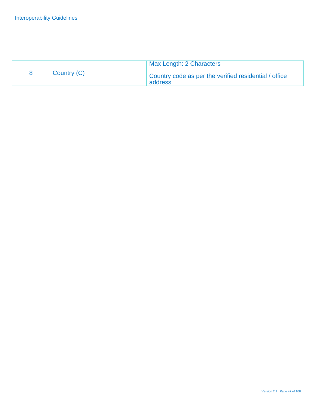|             | Max Length: 2 Characters                                         |
|-------------|------------------------------------------------------------------|
| Country (C) | Country code as per the verified residential / office<br>address |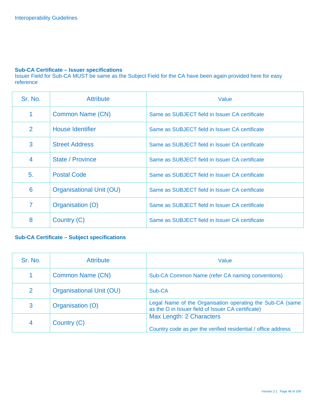#### **Sub-CA Certificate – Issuer specifications**

Issuer Field for Sub-CA MUST be same as the Subject Field for the CA have been again provided here for easy reference

| Sr. No.         | <b>Attribute</b>                | Value                                          |
|-----------------|---------------------------------|------------------------------------------------|
| 1               | Common Name (CN)                | Same as SUBJECT field in Issuer CA certificate |
| 2               | <b>House Identifier</b>         | Same as SUBJECT field in Issuer CA certificate |
| 3               | <b>Street Address</b>           | Same as SUBJECT field in Issuer CA certificate |
| $\overline{4}$  | State / Province                | Same as SUBJECT field in Issuer CA certificate |
| 5.              | <b>Postal Code</b>              | Same as SUBJECT field in Issuer CA certificate |
| $6\phantom{1}6$ | <b>Organisational Unit (OU)</b> | Same as SUBJECT field in Issuer CA certificate |
| $\overline{7}$  | Organisation (O)                | Same as SUBJECT field in Issuer CA certificate |
| 8               | Country (C)                     | Same as SUBJECT field in Issuer CA certificate |

#### **Sub-CA Certificate – Subject specifications**

| Sr. No.        | <b>Attribute</b>                | Value                                                                                                           |
|----------------|---------------------------------|-----------------------------------------------------------------------------------------------------------------|
| 1              | Common Name (CN)                | Sub-CA Common Name (refer CA naming conventions)                                                                |
| 2              | <b>Organisational Unit (OU)</b> | Sub-CA                                                                                                          |
| 3              | Organisation (O)                | Legal Name of the Organisation operating the Sub-CA (same<br>as the O in Issuer field of Issuer CA certificate) |
| $\overline{4}$ | Country (C)                     | Max Length: 2 Characters<br>Country code as per the verified residential / office address                       |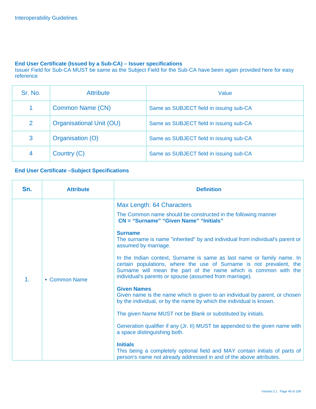#### **End User Certificate (Issued by a Sub-CA) – Issuer specifications**

Issuer Field for Sub-CA MUST be same as the Subject Field for the Sub-CA have been again provided here for easy reference

| Sr. No.        | <b>Attribute</b>                | Value                                   |
|----------------|---------------------------------|-----------------------------------------|
|                | Common Name (CN)                | Same as SUBJECT field in issuing sub-CA |
| 2              | <b>Organisational Unit (OU)</b> | Same as SUBJECT field in issuing sub-CA |
| 3              | Organisation (O)                | Same as SUBJECT field in issuing sub-CA |
| $\overline{4}$ | Country (C)                     | Same as SUBJECT field in issuing sub-CA |

#### **End User Certificate –Subject Specifications**

| Max Length: 64 Characters                                                                                                                                                                                                                                                                                                                                                                                                                                                                                                                                                                                                                                                                                                                                                                                                                                                                                                                                                                                                                                                     |
|-------------------------------------------------------------------------------------------------------------------------------------------------------------------------------------------------------------------------------------------------------------------------------------------------------------------------------------------------------------------------------------------------------------------------------------------------------------------------------------------------------------------------------------------------------------------------------------------------------------------------------------------------------------------------------------------------------------------------------------------------------------------------------------------------------------------------------------------------------------------------------------------------------------------------------------------------------------------------------------------------------------------------------------------------------------------------------|
| The Common name should be constructed in the following manner<br>CN = "Surname" "Given Name" "Initials"<br><b>Surname</b><br>The surname is name "inherited" by and individual from individual's parent or<br>assumed by marriage.<br>In the Indian context, Surname is same as last name or family name. In<br>certain populations, where the use of Surname is not prevalent, the<br>Surname will mean the part of the name which is common with the<br>individual's parents or spouse (assumed from marriage).<br>1.<br>• Common Name<br><b>Given Names</b><br>Given name is the name which is given to an individual by parent, or chosen<br>by the individual, or by the name by which the individual is known.<br>The given Name MUST not be Blank or substituted by initials.<br>Generation qualifier if any (Jr. II) MUST be appended to the given name with<br>a space distinguishing both.<br><b>Initials</b><br>This being a completely optional field and MAY contain initials of parts of<br>person's name not already addressed in and of the above attributes. |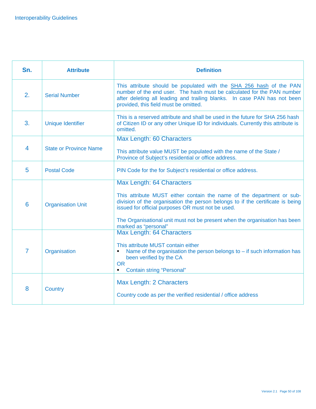| Sn.            | <b>Attribute</b>              | <b>Definition</b>                                                                                                                                                                                                                                                  |
|----------------|-------------------------------|--------------------------------------------------------------------------------------------------------------------------------------------------------------------------------------------------------------------------------------------------------------------|
| 2.             | <b>Serial Number</b>          | This attribute should be populated with the SHA 256 hash of the PAN<br>number of the end user. The hash must be calculated for the PAN number<br>after deleting all leading and trailing blanks. In case PAN has not been<br>provided, this field must be omitted. |
| 3.             | <b>Unique Identifier</b>      | This is a reserved attribute and shall be used in the future for SHA 256 hash<br>of Citizen ID or any other Unique ID for individuals. Currently this attribute is<br>omitted.                                                                                     |
|                |                               | <b>Max Length: 60 Characters</b>                                                                                                                                                                                                                                   |
| 4              | <b>State or Province Name</b> | This attribute value MUST be populated with the name of the State /<br>Province of Subject's residential or office address.                                                                                                                                        |
| 5              | <b>Postal Code</b>            | PIN Code for the for Subject's residential or office address.                                                                                                                                                                                                      |
|                |                               | Max Length: 64 Characters                                                                                                                                                                                                                                          |
| 6              | <b>Organisation Unit</b>      | This attribute MUST either contain the name of the department or sub-<br>division of the organisation the person belongs to if the certificate is being<br>issued for official purposes OR must not be used.                                                       |
|                |                               | The Organisational unit must not be present when the organisation has been<br>marked as "personal"                                                                                                                                                                 |
|                |                               | Max Length: 64 Characters                                                                                                                                                                                                                                          |
| $\overline{7}$ | Organisation                  | This attribute MUST contain either<br>Name of the organisation the person belongs to $-$ if such information has<br>been verified by the CA<br><b>OR</b><br><b>Contain string "Personal"</b><br>٠                                                                  |
|                | <b>Country</b>                | Max Length: 2 Characters                                                                                                                                                                                                                                           |
| 8              |                               | Country code as per the verified residential / office address                                                                                                                                                                                                      |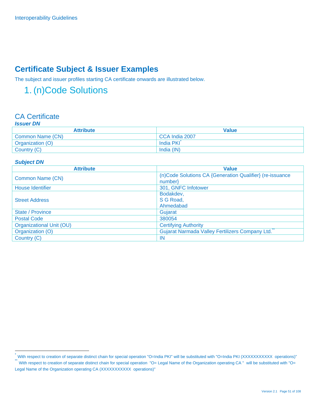## **Certificate Subject & Issuer Examples**

The subject and issuer profiles starting CA certificate onwards are illustrated below.

## 1. (n)Code Solutions

#### CA Certificate *Issuer DN*

| IJJUGI DIV       |                |  |
|------------------|----------------|--|
| <b>Attribute</b> | <b>Value</b>   |  |
| Common Name (CN) | CCA India 2007 |  |
| Organization (O) | India PKI      |  |
| Country (C)      | India (IN)     |  |

#### *Subject DN*

| <b>Attribute</b>         | <b>Value</b>                                             |
|--------------------------|----------------------------------------------------------|
|                          | (n)Code Solutions CA {Generation Qualifier} (re-issuance |
| Common Name (CN)         | $number\}$                                               |
| <b>House Identifier</b>  | 301, GNFC Infotower                                      |
|                          | Bodakdev,                                                |
| <b>Street Address</b>    | S G Road,                                                |
|                          | Ahmedabad                                                |
| State / Province         | Gujarat                                                  |
| <b>Postal Code</b>       | 380054                                                   |
| Organizational Unit (OU) | <b>Certifying Authority</b>                              |
| Organization (O)         | Gujarat Narmada Valley Fertilizers Company Ltd.          |
| Country (C)              | IN                                                       |

<sup>&</sup>quot;With respect to creation of separate distinct chain for special operation "O=India PKI" will be substituted with "O=India PKI (XXXXXXXXXXX operations)"<br>"With respect to creation of separate distinct chain for special oper Legal Name of the Organization operating CA (XXXXXXXXXXX operations)"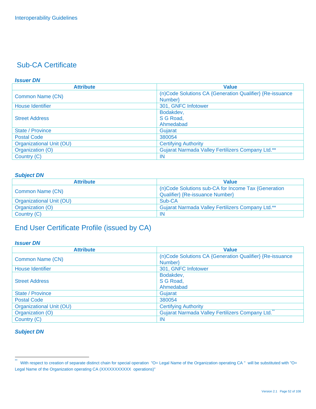#### *Issuer DN*

| <b>Attribute</b>         | <b>Value</b>                                             |
|--------------------------|----------------------------------------------------------|
|                          | (n)Code Solutions CA {Generation Qualifier} {Re-issuance |
| Common Name (CN)         | Number}                                                  |
| <b>House Identifier</b>  | 301, GNFC Infotower                                      |
|                          | Bodakdev,                                                |
| <b>Street Address</b>    | S G Road,                                                |
|                          | Ahmedabad                                                |
| State / Province         | Gujarat                                                  |
| <b>Postal Code</b>       | 380054                                                   |
| Organizational Unit (OU) | <b>Certifying Authority</b>                              |
| Organization (O)         | Gujarat Narmada Valley Fertilizers Company Ltd.**        |
| Country (C)              | -IN                                                      |

#### *Subject DN*

| <b>Attribute</b>         | <b>Value</b>                                             |
|--------------------------|----------------------------------------------------------|
| <b>Common Name (CN)</b>  | (n)Code Solutions sub-CA for Income Tax {Generation      |
|                          | Qualifier} {Re-issuance Number}                          |
| Organizational Unit (OU) | Sub-CA                                                   |
| Organization (O)         | <b>Gujarat Narmada Valley Fertilizers Company Ltd.**</b> |
| Country (C)              | -IN                                                      |

## End User Certificate Profile (issued by CA)

#### *Issuer DN*

| <b>Attribute</b>                | <b>Value</b>                                             |
|---------------------------------|----------------------------------------------------------|
|                                 | (n)Code Solutions CA {Generation Qualifier} {Re-issuance |
| Common Name (CN)                | Number}                                                  |
| <b>House Identifier</b>         | 301, GNFC Infotower                                      |
|                                 | Bodakdev,                                                |
| <b>Street Address</b>           | S G Road,                                                |
|                                 | Ahmedabad                                                |
| State / Province                | Gujarat                                                  |
| <b>Postal Code</b>              | 380054                                                   |
| <b>Organizational Unit (OU)</b> | <b>Certifying Authority</b>                              |
| Organization (O)                | Gujarat Narmada Valley Fertilizers Company Ltd.          |
| Country (C)                     | IN                                                       |

 $\ddot{\phantom{1}}$ With respect to creation of separate distinct chain for special operation "O= Legal Name of the Organization operating CA " will be substituted with "O= Legal Name of the Organization operating CA (XXXXXXXXXX operations)"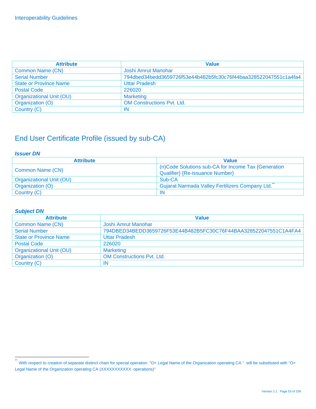| <b>Attribute</b>              | <b>Value</b>                                                     |
|-------------------------------|------------------------------------------------------------------|
| Common Name (CN)              | Joshi Amrut Manohar                                              |
| <b>Serial Number</b>          | 794dbed34bedd3659726f53e44b482b5fc30c76f44baa328522047551c1a4fa4 |
| <b>State or Province Name</b> | <b>Uttar Pradesh</b>                                             |
| <b>Postal Code</b>            | 226020                                                           |
| Organizational Unit (OU)      | <b>Marketing</b>                                                 |
| Organization (O)              | <b>OM Constructions Pvt. Ltd.</b>                                |
| Country (C)                   | IN                                                               |

## End User Certificate Profile (issued by sub-CA)

#### *Issuer DN*

| <b>Attribute</b>         | <b>Value</b>                                                                           |
|--------------------------|----------------------------------------------------------------------------------------|
| Common Name (CN)         | (n)Code Solutions sub-CA for Income Tax {Generation<br>Qualifier} {Re-issuance Number} |
| Organizational Unit (OU) | Sub-CA                                                                                 |
| Organization (O)         | Gujarat Narmada Valley Fertilizers Company Ltd.                                        |
| Country (C)              | IN                                                                                     |

| <b>Attribute</b>              | <b>Value</b>                                                     |
|-------------------------------|------------------------------------------------------------------|
| Common Name (CN)              | Joshi Amrut Manohar                                              |
| <b>Serial Number</b>          | 794DBED34BEDD3659726F53E44B482B5FC30C76F44BAA328522047551C1A4FA4 |
| <b>State or Province Name</b> | <b>Uttar Pradesh</b>                                             |
| <b>Postal Code</b>            | 226020                                                           |
| Organizational Unit (OU)      | <b>Marketing</b>                                                 |
| Organization (O)              | <b>OM Constructions Pvt. Ltd.</b>                                |
| Country (C)                   | -IN                                                              |

 $\ddot{\phantom{1}}$ With respect to creation of separate distinct chain for special operation "O= Legal Name of the Organization operating CA " will be substituted with "O= Legal Name of the Organization operating CA (XXXXXXXXXX operations)"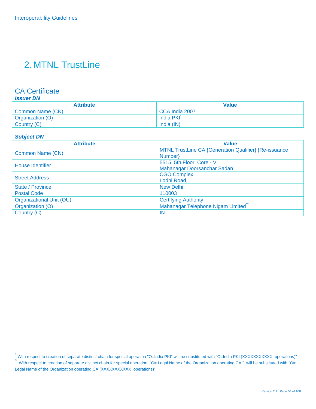## 2. MTNL TrustLine

#### CA Certificate

#### *Issuer DN*

| Attribute               | Value          |
|-------------------------|----------------|
| <b>Common Name (CN)</b> | CCA India 2007 |
| Organization (O)        | India PKI      |
| Country (C)             | India (IN)     |

#### *Subject DN*

| <b>Attribute</b>         | <b>Value</b>                                          |
|--------------------------|-------------------------------------------------------|
|                          | MTNL TrustLine CA {Generation Qualifier} {Re-issuance |
| Common Name (CN)         | Number}                                               |
| House Identifier         | 5515, 5th Floor, Core - V                             |
|                          | Mahanagar Doorsanchar Sadan                           |
| <b>Street Address</b>    | <b>CGO Complex,</b>                                   |
|                          | Lodhi Road,                                           |
| <b>State / Province</b>  | <b>New Delhi</b>                                      |
| <b>Postal Code</b>       | 110003                                                |
| Organizational Unit (OU) | <b>Certifying Authority</b>                           |
| Organization (O)         | Mahanagar Telephone Nigam Limited                     |
| Country (C)              | <b>IN</b>                                             |

<sup>.&</sup>lt;br>™With respect to creation of separate distinct chain for special operation "O=India PKI" will be substituted with "O=India PKI (XXXXXXXXXX operations)"<br>™With respect to creation of separate distinct chain for special op

Legal Name of the Organization operating CA (XXXXXXXXXX operations)"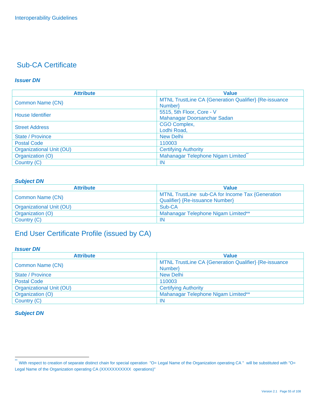#### *Issuer DN*

| <b>Attribute</b>                | <b>Value</b>                                          |
|---------------------------------|-------------------------------------------------------|
| Common Name (CN)                | MTNL TrustLine CA {Generation Qualifier} {Re-issuance |
|                                 | Number}                                               |
| House Identifier                | 5515, 5th Floor, Core - V                             |
|                                 | Mahanagar Doorsanchar Sadan                           |
| <b>Street Address</b>           | <b>CGO Complex,</b>                                   |
|                                 | Lodhi Road,                                           |
| <b>State / Province</b>         | <b>New Delhi</b>                                      |
| <b>Postal Code</b>              | 110003                                                |
| <b>Organizational Unit (OU)</b> | <b>Certifying Authority</b>                           |
| Organization (O)                | Mahanagar Telephone Nigam Limited                     |
| Country (C)                     | -IN                                                   |

#### *Subject DN*

| <b>Attribute</b>         | <b>Value</b>                                                                        |
|--------------------------|-------------------------------------------------------------------------------------|
| Common Name (CN)         | MTNL TrustLine sub-CA for Income Tax {Generation<br>Qualifier} {Re-issuance Number} |
| Organizational Unit (OU) | Sub-CA                                                                              |
| Organization (O)         | Mahanagar Telephone Nigam Limited**                                                 |
| Country (C)              | -IN                                                                                 |

## End User Certificate Profile (issued by CA)

#### *Issuer DN*

| <b>Attribute</b>         | <b>Value</b>                                          |
|--------------------------|-------------------------------------------------------|
| Common Name (CN)         | MTNL TrustLine CA {Generation Qualifier} {Re-issuance |
|                          | Number                                                |
| State / Province         | <b>New Delhi</b>                                      |
| <b>Postal Code</b>       | 110003                                                |
| Organizational Unit (OU) | <b>Certifying Authority</b>                           |
| Organization (O)         | Mahanagar Telephone Nigam Limited**                   |
| Country (C)              | -IN                                                   |

 $\ddot{\ast}$ With respect to creation of separate distinct chain for special operation "O= Legal Name of the Organization operating CA " will be substituted with "O= Legal Name of the Organization operating CA (XXXXXXXXXX operations)"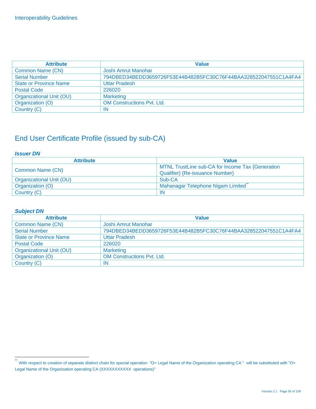| <b>Attribute</b>              | <b>Value</b>                                                     |
|-------------------------------|------------------------------------------------------------------|
| Common Name (CN)              | Joshi Amrut Manohar                                              |
| <b>Serial Number</b>          | 794DBED34BEDD3659726F53E44B482B5FC30C76F44BAA328522047551C1A4FA4 |
| <b>State or Province Name</b> | <b>Uttar Pradesh</b>                                             |
| <b>Postal Code</b>            | 226020                                                           |
| Organizational Unit (OU)      | <b>Marketing</b>                                                 |
| Organization (O)              | <b>OM Constructions Pyt. Ltd.</b>                                |
| Country (C)                   | IN                                                               |

## End User Certificate Profile (issued by sub-CA)

#### *Issuer DN*

| <b>Attribute</b>         | <b>Value</b>                                     |
|--------------------------|--------------------------------------------------|
| Common Name (CN)         | MTNL TrustLine sub-CA for Income Tax {Generation |
|                          | Qualifier} {Re-issuance Number}                  |
| Organizational Unit (OU) | Sub-CA                                           |
| Organization (O)         | Mahanagar Telephone Nigam Limited                |
| Country (C)              | IN                                               |

| <b>Attribute</b>              | <b>Value</b>                                                     |
|-------------------------------|------------------------------------------------------------------|
| Common Name (CN)              | Joshi Amrut Manohar                                              |
| <b>Serial Number</b>          | 794DBED34BEDD3659726F53E44B482B5FC30C76F44BAA328522047551C1A4FA4 |
| <b>State or Province Name</b> | <b>Uttar Pradesh</b>                                             |
| <b>Postal Code</b>            | 226020                                                           |
| Organizational Unit (OU)      | <b>Marketing</b>                                                 |
| Organization (O)              | <b>OM Constructions Pvt. Ltd.</b>                                |
| Country (C)                   | IN                                                               |

 $\ddot{\phantom{1}}$ With respect to creation of separate distinct chain for special operation "O= Legal Name of the Organization operating CA " will be substituted with "O= Legal Name of the Organization operating CA (XXXXXXXXXX operations)"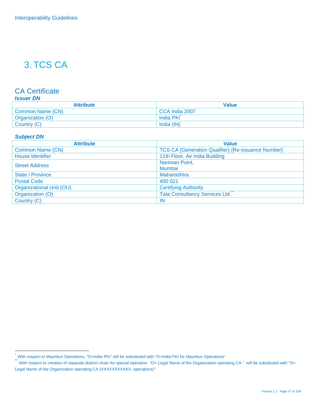## 3. TCS CA

#### CA Certificate

#### *Issuer DN*

| <b>Attribute</b> | <b>Value</b>   |
|------------------|----------------|
| Common Name (CN) | CCA India 2007 |
| Organization (O) | India PKI      |
| Country (C)      | India (IN)     |

#### *Subject DN*

| <b>Attribute</b>         | <b>Value</b>                                              |
|--------------------------|-----------------------------------------------------------|
| Common Name (CN)         | <b>TCS CA {Generation Qualifier} {Re-issuance Number}</b> |
| <b>House Identifier</b>  | 11th Floor, Air India Building                            |
| <b>Street Address</b>    | Nariman Point,                                            |
|                          | Mumbai                                                    |
| <b>State / Province</b>  | Maharashtra                                               |
| <b>Postal Code</b>       | 400 021                                                   |
| Organizational Unit (OU) | <b>Certifying Authority</b>                               |
| Organization (O)         | <b>Tata Consultancy Services Ltd.</b>                     |
| Country (C)              | -IN                                                       |

<sup>\*</sup> With respect to Mauritius Operations, "O=India PKI" will be substituted with "O=India PKI for Mauritius Operations"

<sup>\*\*&</sup>lt;br>With respect to creation of separate distinct chain for special operation "O= Legal Name of the Organization operating CA " will be substituted with "O= Legal Name of the Organization operating CA (XXXXXXXXXX operations)"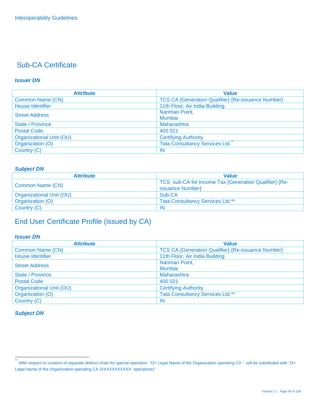#### *Issuer DN*

| <b>Attribute</b>         | <b>Value</b>                                              |
|--------------------------|-----------------------------------------------------------|
| Common Name (CN)         | <b>TCS CA {Generation Qualifier} {Re-issuance Number}</b> |
| <b>House Identifier</b>  | 11th Floor, Air India Building                            |
| <b>Street Address</b>    | Nariman Point,                                            |
|                          | Mumbai                                                    |
| <b>State / Province</b>  | Maharashtra                                               |
| <b>Postal Code</b>       | 400 021                                                   |
| Organizational Unit (OU) | <b>Certifying Authority</b>                               |
| Organization (O)         | Tata Consultancy Services Ltd.                            |
| Country (C)              | -IN                                                       |

#### *Subject DN*

| <b>Attribute</b>         | <b>Value</b>                                                              |
|--------------------------|---------------------------------------------------------------------------|
| Common Name (CN)         | TCS sub-CA for Income Tax {Generation Qualifier} {Re-<br>issuance Number} |
| Organizational Unit (OU) | Sub-CA                                                                    |
| Organization (O)         | <b>Tata Consultancy Services Ltd.**</b>                                   |
| Country (C)              | IN                                                                        |

## End User Certificate Profile (issued by CA)

#### *Issuer DN*

| <b>Attribute</b>         | <b>Value</b>                                              |
|--------------------------|-----------------------------------------------------------|
| Common Name (CN)         | <b>TCS CA {Generation Qualifier} {Re-issuance Number}</b> |
| <b>House Identifier</b>  | 11th Floor, Air India Building                            |
| <b>Street Address</b>    | Nariman Point,                                            |
|                          | Mumbai                                                    |
| <b>State / Province</b>  | Maharashtra                                               |
| <b>Postal Code</b>       | 400 021                                                   |
| Organizational Unit (OU) | <b>Certifying Authority</b>                               |
| Organization (O)         | <b>Tata Consultancy Services Ltd.**</b>                   |
| Country (C)              | -IN                                                       |

 $\ddot{\ast}$ With respect to creation of separate distinct chain for special operation "O= Legal Name of the Organization operating CA " will be substituted with "O= Legal Name of the Organization operating CA (XXXXXXXXXX operations)"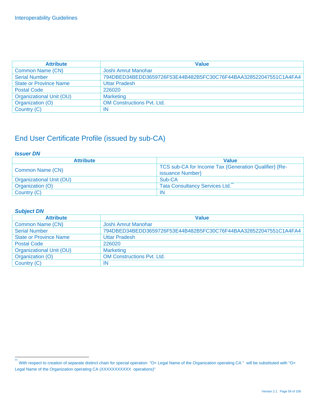| <b>Attribute</b>              | <b>Value</b>                                                     |
|-------------------------------|------------------------------------------------------------------|
| Common Name (CN)              | Joshi Amrut Manohar                                              |
| <b>Serial Number</b>          | 794DBED34BEDD3659726F53E44B482B5FC30C76F44BAA328522047551C1A4FA4 |
| <b>State or Province Name</b> | <b>Uttar Pradesh</b>                                             |
| <b>Postal Code</b>            | 226020                                                           |
| Organizational Unit (OU)      | <b>Marketing</b>                                                 |
| Organization (O)              | <b>OM Constructions Pyt. Ltd.</b>                                |
| Country (C)                   | ΙN                                                               |

## End User Certificate Profile (issued by sub-CA)

#### *Issuer DN*

| <b>Attribute</b>         | <b>Value</b>                                          |
|--------------------------|-------------------------------------------------------|
| Common Name (CN)         | TCS sub-CA for Income Tax {Generation Qualifier} {Re- |
|                          | issuance Number}                                      |
| Organizational Unit (OU) | Sub-CA                                                |
| Organization (O)         | <b>Tata Consultancy Services Ltd.</b>                 |
| Country (C)              | -IN                                                   |

| <b>Attribute</b>              | <b>Value</b>                                                     |
|-------------------------------|------------------------------------------------------------------|
| Common Name (CN)              | Joshi Amrut Manohar                                              |
| <b>Serial Number</b>          | 794DBED34BEDD3659726F53E44B482B5FC30C76F44BAA328522047551C1A4FA4 |
| <b>State or Province Name</b> | <b>Uttar Pradesh</b>                                             |
| <b>Postal Code</b>            | 226020                                                           |
| Organizational Unit (OU)      | <b>Marketing</b>                                                 |
| Organization (O)              | <b>OM Constructions Pvt. Ltd.</b>                                |
| Country (C)                   | -IN                                                              |

 $\ddot{\phantom{1}}$ With respect to creation of separate distinct chain for special operation "O= Legal Name of the Organization operating CA " will be substituted with "O= Legal Name of the Organization operating CA (XXXXXXXXXX operations)"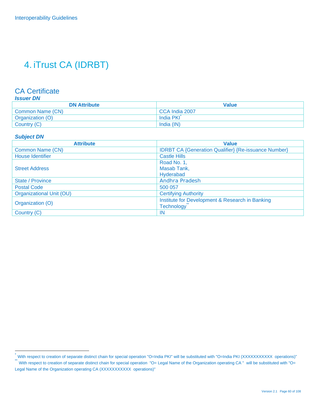## 4. iTrust CA (IDRBT)

#### CA Certificate

#### *Issuer DN*

| <b>DN Attribute</b> | Value          |
|---------------------|----------------|
| Common Name (CN)    | CCA India 2007 |
| Organization (O)    | India PKI      |
| Country (C)         | India (IN)     |

#### *Subject DN*

| <b>Attribute</b>                | <b>Value</b>                                                |
|---------------------------------|-------------------------------------------------------------|
| Common Name (CN)                | <b>IDRBT CA {Generation Qualifier} {Re-issuance Number}</b> |
| <b>House Identifier</b>         | <b>Castle Hills</b>                                         |
|                                 | Road No. 1,                                                 |
| <b>Street Address</b>           | Masab Tank,                                                 |
|                                 | Hyderabad                                                   |
| State / Province                | <b>Andhra Pradesh</b>                                       |
| <b>Postal Code</b>              | 500 057                                                     |
| <b>Organizational Unit (OU)</b> | <b>Certifying Authority</b>                                 |
| Organization (O)                | Institute for Development & Research in Banking             |
|                                 | <b>Technology</b>                                           |
| Country (C)                     | <b>IN</b>                                                   |

With respect to creation of separate distinct chain for special operation "O=India PKI" will be substituted with "O=India PKI (XXXXXXXXXXX operations)"<br>With respect to creation of separate distinct chain for special operat Legal Name of the Organization operating CA (XXXXXXXXXX operations)"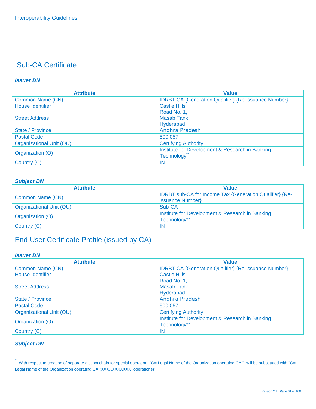#### *Issuer DN*

| <b>Attribute</b>         | <b>Value</b>                                                |
|--------------------------|-------------------------------------------------------------|
| Common Name (CN)         | <b>IDRBT CA {Generation Qualifier} {Re-issuance Number}</b> |
| <b>House Identifier</b>  | <b>Castle Hills</b>                                         |
|                          | Road No. 1,                                                 |
| <b>Street Address</b>    | Masab Tank,                                                 |
|                          | Hyderabad                                                   |
| State / Province         | <b>Andhra Pradesh</b>                                       |
| <b>Postal Code</b>       | 500 057                                                     |
| Organizational Unit (OU) | <b>Certifying Authority</b>                                 |
| Organization (O)         | Institute for Development & Research in Banking             |
|                          | Technology                                                  |
| Country (C)              | IN                                                          |

#### *Subject DN*

| <b>Attribute</b>         | <b>Value</b>                                                                |
|--------------------------|-----------------------------------------------------------------------------|
| Common Name (CN)         | IDRBT sub-CA for Income Tax {Generation Qualifier} {Re-<br>issuance Number} |
| Organizational Unit (OU) | Sub-CA                                                                      |
| Organization (O)         | Institute for Development & Research in Banking<br>Technology**             |
| Country (C)              | -IN                                                                         |

## End User Certificate Profile (issued by CA)

#### *Issuer DN*

| <b>Attribute</b>         | <b>Value</b>                                                |
|--------------------------|-------------------------------------------------------------|
| Common Name (CN)         | <b>IDRBT CA {Generation Qualifier} {Re-issuance Number}</b> |
| House Identifier         | <b>Castle Hills</b>                                         |
|                          | Road No. 1,                                                 |
| <b>Street Address</b>    | Masab Tank,                                                 |
|                          | Hyderabad                                                   |
| State / Province         | <b>Andhra Pradesh</b>                                       |
| <b>Postal Code</b>       | 500 057                                                     |
| Organizational Unit (OU) | <b>Certifying Authority</b>                                 |
| Organization (O)         | Institute for Development & Research in Banking             |
|                          | Technology**                                                |
| Country (C)              | -IN                                                         |

#### *Subject DN*

<sup>\*\*&</sup>lt;br>With respect to creation of separate distinct chain for special operation "O= Legal Name of the Organization operating CA " will be substituted with "O= Legal Name of the Organization operating CA (XXXXXXXXXX operations)"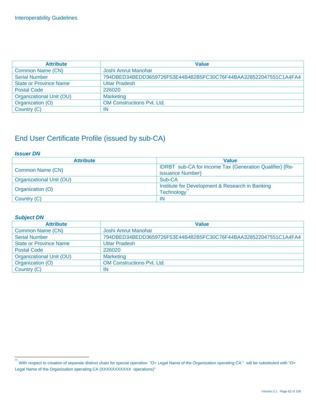| <b>Attribute</b>              | <b>Value</b>                                                     |
|-------------------------------|------------------------------------------------------------------|
| Common Name (CN)              | Joshi Amrut Manohar                                              |
| <b>Serial Number</b>          | 794DBED34BEDD3659726F53E44B482B5FC30C76F44BAA328522047551C1A4FA4 |
| <b>State or Province Name</b> | <b>Uttar Pradesh</b>                                             |
| <b>Postal Code</b>            | 226020                                                           |
| Organizational Unit (OU)      | <b>Marketing</b>                                                 |
| Organization (O)              | <b>OM Constructions Pvt. Ltd.</b>                                |
| Country (C)                   | IN                                                               |

## End User Certificate Profile (issued by sub-CA)

#### *Issuer DN*

| <b>Attribute</b>         | <b>Value</b>                                                                |
|--------------------------|-----------------------------------------------------------------------------|
| Common Name (CN)         | IDRBT sub-CA for Income Tax {Generation Qualifier} {Re-<br>issuance Number} |
| Organizational Unit (OU) | Sub-CA                                                                      |
| Organization (O)         | Institute for Development & Research in Banking<br><b>Technology</b>        |
| Country (C)              | IN                                                                          |

| <b>Attribute</b>              | <b>Value</b>                                                     |
|-------------------------------|------------------------------------------------------------------|
| Common Name (CN)              | Joshi Amrut Manohar                                              |
| <b>Serial Number</b>          | 794DBED34BEDD3659726F53E44B482B5FC30C76F44BAA328522047551C1A4FA4 |
| <b>State or Province Name</b> | <b>Uttar Pradesh</b>                                             |
| <b>Postal Code</b>            | 226020                                                           |
| Organizational Unit (OU)      | <b>Marketing</b>                                                 |
| Organization (O)              | <b>OM Constructions Pvt. Ltd.</b>                                |
| Country (C)                   | IN                                                               |

 $\ddot{\phantom{1}}$ With respect to creation of separate distinct chain for special operation "O= Legal Name of the Organization operating CA " will be substituted with "O= Legal Name of the Organization operating CA (XXXXXXXXXX operations)"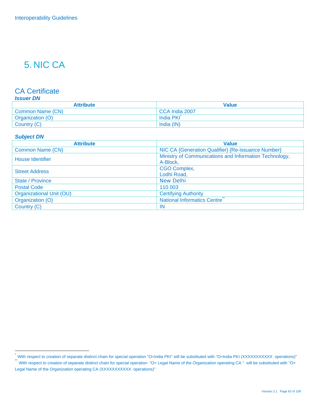## 5. NIC CA

#### CA Certificate

#### *Issuer DN*

| <b>Attribute</b> | Value          |
|------------------|----------------|
| Common Name (CN) | CCA India 2007 |
| Organization (O) | India PKI      |
| Country (C)      | India (IN)     |

#### *Subject DN*

| <b>Attribute</b>         | <b>Value</b>                                           |
|--------------------------|--------------------------------------------------------|
| Common Name (CN)         | NIC CA {Generation Qualifier} {Re-issuance Number}     |
| <b>House Identifier</b>  | Ministry of Communications and Information Technology, |
|                          | A-Block,                                               |
| <b>Street Address</b>    | <b>CGO Complex,</b>                                    |
|                          | Lodhi Road,                                            |
| <b>State / Province</b>  | <b>New Delhi</b>                                       |
| <b>Postal Code</b>       | 110 003                                                |
| Organizational Unit (OU) | <b>Certifying Authority</b>                            |
| Organization (O)         | National Informatics Centre                            |
| Country (C)              | -IN                                                    |

<sup>.&</sup>lt;br>™With respect to creation of separate distinct chain for special operation "O=India PKI" will be substituted with "O=India PKI (XXXXXXXXXX operations)"<br>™With respect to creation of separate distinct chain for special op

Legal Name of the Organization operating CA (XXXXXXXXXX operations)"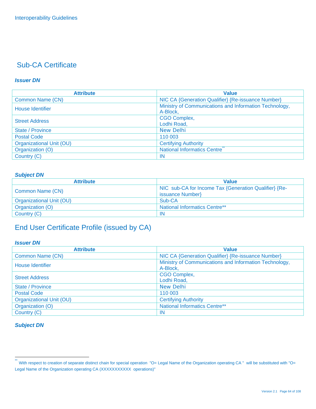#### *Issuer DN*

| <b>Attribute</b>         | <b>Value</b>                                                       |
|--------------------------|--------------------------------------------------------------------|
| Common Name (CN)         | NIC CA {Generation Qualifier} {Re-issuance Number}                 |
| House Identifier         | Ministry of Communications and Information Technology,<br>A-Block, |
| <b>Street Address</b>    | <b>CGO Complex,</b><br>Lodhi Road,                                 |
| State / Province         | <b>New Delhi</b>                                                   |
| <b>Postal Code</b>       | 110 003                                                            |
| Organizational Unit (OU) | <b>Certifying Authority</b>                                        |
| Organization (O)         | National Informatics Centre                                        |
| Country (C)              | -IN                                                                |

#### *Subject DN*

| <b>Attribute</b>         | <b>Value</b>                                                              |
|--------------------------|---------------------------------------------------------------------------|
| Common Name (CN)         | NIC sub-CA for Income Tax {Generation Qualifier} {Re-<br>issuance Number} |
| Organizational Unit (OU) | Sub-CA                                                                    |
| Organization (O)         | <b>National Informatics Centre**</b>                                      |
| Country (C)              | IN                                                                        |

## End User Certificate Profile (issued by CA)

#### *Issuer DN*

| <b>Attribute</b>         | <b>Value</b>                                                       |
|--------------------------|--------------------------------------------------------------------|
| <b>Common Name (CN)</b>  | NIC CA {Generation Qualifier} {Re-issuance Number}                 |
| <b>House Identifier</b>  | Ministry of Communications and Information Technology,<br>A-Block, |
| <b>Street Address</b>    | <b>CGO Complex,</b><br>Lodhi Road,                                 |
| State / Province         | New Delhi                                                          |
| <b>Postal Code</b>       | 110 003                                                            |
| Organizational Unit (OU) | <b>Certifying Authority</b>                                        |
| Organization (O)         | <b>National Informatics Centre**</b>                               |
| Country (C)              | -IN                                                                |

 $\ddot{\phantom{1}}$ With respect to creation of separate distinct chain for special operation "O= Legal Name of the Organization operating CA " will be substituted with "O= Legal Name of the Organization operating CA (XXXXXXXXXX operations)"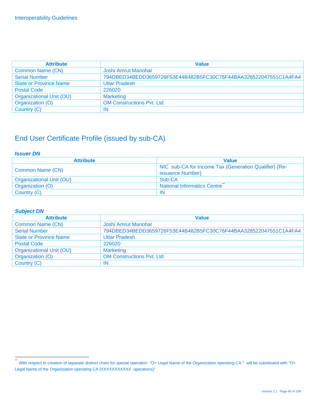| <b>Attribute</b>              | <b>Value</b>                                                     |
|-------------------------------|------------------------------------------------------------------|
| Common Name (CN)              | Joshi Amrut Manohar                                              |
| <b>Serial Number</b>          | 794DBED34BEDD3659726F53E44B482B5FC30C76F44BAA328522047551C1A4FA4 |
| <b>State or Province Name</b> | <b>Uttar Pradesh</b>                                             |
| <b>Postal Code</b>            | 226020                                                           |
| Organizational Unit (OU)      | <b>Marketing</b>                                                 |
| Organization (O)              | <b>OM Constructions Pyt. Ltd.</b>                                |
| Country (C)                   | ΙN                                                               |

## End User Certificate Profile (issued by sub-CA)

#### *Issuer DN*

| <b>Attribute</b>         | <b>Value</b>                                          |
|--------------------------|-------------------------------------------------------|
| Common Name (CN)         | NIC sub-CA for Income Tax {Generation Qualifier} {Re- |
|                          | issuance Number}                                      |
| Organizational Unit (OU) | Sub-CA                                                |
| Organization (O)         | <b>National Informatics Centre</b>                    |
| Country (C)              | -IN                                                   |

| <b>Attribute</b>              | <b>Value</b>                                                     |
|-------------------------------|------------------------------------------------------------------|
| Common Name (CN)              | Joshi Amrut Manohar                                              |
| <b>Serial Number</b>          | 794DBED34BEDD3659726F53E44B482B5FC30C76F44BAA328522047551C1A4FA4 |
| <b>State or Province Name</b> | <b>Uttar Pradesh</b>                                             |
| <b>Postal Code</b>            | 226020                                                           |
| Organizational Unit (OU)      | <b>Marketing</b>                                                 |
| Organization (O)              | <b>OM Constructions Pvt. Ltd.</b>                                |
| Country (C)                   | ΙN                                                               |

 $\ddot{\phantom{1}}$ With respect to creation of separate distinct chain for special operation "O= Legal Name of the Organization operating CA " will be substituted with "O= Legal Name of the Organization operating CA (XXXXXXXXXX operations)"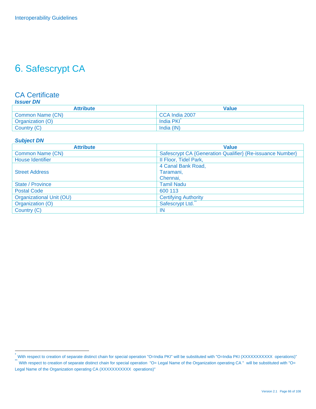## 6. Safescrypt CA

#### CA Certificate *Issuer DN*

| <b>Attribute</b> | <b>Value</b>   |
|------------------|----------------|
| Common Name (CN) | CCA India 2007 |
| Organization (O) | India PKI      |
| Country (C)      | India (IN)     |

#### *Subject DN*

| <b>Attribute</b>         | <b>Value</b>                                              |
|--------------------------|-----------------------------------------------------------|
| Common Name (CN)         | Safescrypt CA {Generation Qualifier} {Re-issuance Number} |
| <b>House Identifier</b>  | Il Floor, Tidel Park,                                     |
|                          | 4 Canal Bank Road,                                        |
| <b>Street Address</b>    | Taramani,                                                 |
|                          | Chennai.                                                  |
| State / Province         | <b>Tamil Nadu</b>                                         |
| <b>Postal Code</b>       | 600 113                                                   |
| Organizational Unit (OU) | <b>Certifying Authority</b>                               |
| Organization (O)         | Safescrypt Ltd.                                           |
| Country (C)              | IN                                                        |

<sup>.&</sup>lt;br>™With respect to creation of separate distinct chain for special operation "O=India PKI" will be substituted with "O=India PKI (XXXXXXXXXX operations)"<br>™With respect to creation of separate distinct chain for special op

Legal Name of the Organization operating CA (XXXXXXXXXX operations)"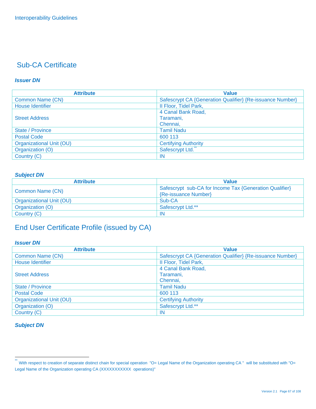#### *Issuer DN*

| <b>Attribute</b>         | <b>Value</b>                                              |
|--------------------------|-----------------------------------------------------------|
| Common Name (CN)         | Safescrypt CA {Generation Qualifier} {Re-issuance Number} |
| House Identifier         | Il Floor, Tidel Park,                                     |
|                          | 4 Canal Bank Road,                                        |
| <b>Street Address</b>    | Taramani,                                                 |
|                          | Chennai,                                                  |
| <b>State / Province</b>  | <b>Tamil Nadu</b>                                         |
| <b>Postal Code</b>       | 600 113                                                   |
| Organizational Unit (OU) | <b>Certifying Authority</b>                               |
| Organization (O)         | Safescrypt Ltd.                                           |
| Country (C)              | -IN                                                       |

#### *Subject DN*

| <b>Attribute</b>         | <b>Value</b>                                            |
|--------------------------|---------------------------------------------------------|
| Common Name (CN)         | Safescrypt sub-CA for Income Tax {Generation Qualifier} |
|                          | {Re-issuance Number}                                    |
| Organizational Unit (OU) | Sub-CA                                                  |
| Organization (O)         | Safescrypt Ltd.**                                       |
| Country (C)              | IN                                                      |

## End User Certificate Profile (issued by CA)

#### *Issuer DN*

| <b>Attribute</b>         | <b>Value</b>                                              |
|--------------------------|-----------------------------------------------------------|
| Common Name (CN)         | Safescrypt CA {Generation Qualifier} {Re-issuance Number} |
| House Identifier         | II Floor, Tidel Park,                                     |
|                          | 4 Canal Bank Road,                                        |
| <b>Street Address</b>    | Taramani,                                                 |
|                          | Chennai.                                                  |
| State / Province         | <b>Tamil Nadu</b>                                         |
| <b>Postal Code</b>       | 600 113                                                   |
| Organizational Unit (OU) | <b>Certifying Authority</b>                               |
| Organization (O)         | Safescrypt Ltd.**                                         |
| Country (C)              | IN                                                        |

 $\ddot{\phantom{1}}$ With respect to creation of separate distinct chain for special operation "O= Legal Name of the Organization operating CA " will be substituted with "O= Legal Name of the Organization operating CA (XXXXXXXXXX operations)"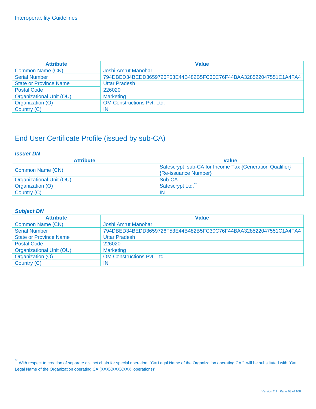| <b>Attribute</b>              | <b>Value</b>                                                     |
|-------------------------------|------------------------------------------------------------------|
| Common Name (CN)              | Joshi Amrut Manohar                                              |
| <b>Serial Number</b>          | 794DBED34BEDD3659726F53E44B482B5FC30C76F44BAA328522047551C1A4FA4 |
| <b>State or Province Name</b> | <b>Uttar Pradesh</b>                                             |
| <b>Postal Code</b>            | 226020                                                           |
| Organizational Unit (OU)      | <b>Marketing</b>                                                 |
| Organization (O)              | <b>OM Constructions Pyt. Ltd.</b>                                |
| Country (C)                   | IN                                                               |

## End User Certificate Profile (issued by sub-CA)

#### *Issuer DN*

| <b>Attribute</b>         | <b>Value</b>                                                                    |
|--------------------------|---------------------------------------------------------------------------------|
| Common Name (CN)         | Safescrypt sub-CA for Income Tax {Generation Qualifier}<br>{Re-issuance Number} |
| Organizational Unit (OU) | Sub-CA                                                                          |
| Organization (O)         | Safescrypt Ltd.                                                                 |
| Country (C)              | -IN                                                                             |

| <b>Attribute</b>              | <b>Value</b>                                                     |
|-------------------------------|------------------------------------------------------------------|
| Common Name (CN)              | Joshi Amrut Manohar                                              |
| <b>Serial Number</b>          | 794DBED34BEDD3659726F53E44B482B5FC30C76F44BAA328522047551C1A4FA4 |
| <b>State or Province Name</b> | <b>Uttar Pradesh</b>                                             |
| <b>Postal Code</b>            | 226020                                                           |
| Organizational Unit (OU)      | <b>Marketing</b>                                                 |
| Organization (O)              | <b>OM Constructions Pvt. Ltd.</b>                                |
| Country (C)                   | -IN                                                              |

 $\ddot{\phantom{1}}$ With respect to creation of separate distinct chain for special operation "O= Legal Name of the Organization operating CA " will be substituted with "O= Legal Name of the Organization operating CA (XXXXXXXXXX operations)"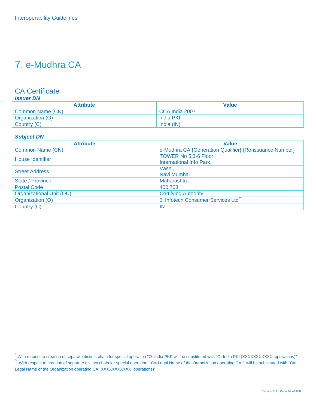## 7. e-Mudhra CA

### CA Certificate

#### *Issuer DN*

| <b>Attribute</b> | Value          |
|------------------|----------------|
| Common Name (CN) | CCA India 2007 |
| Organization (O) | ⊺India PKI     |
| Country (C)      | India (IN)     |

#### *Subject DN*

| <b>Attribute</b>         | <b>Value</b>                                            |
|--------------------------|---------------------------------------------------------|
| Common Name (CN)         | e-Mudhra CA {Generation Qualifier} {Re-issuance Number} |
| House Identifier         | TOWER No 5,3-6 Floor,                                   |
|                          | International Info Park,                                |
| <b>Street Address</b>    | Vashi,                                                  |
|                          | Navi Mumbai                                             |
| State / Province         | Maharashtra                                             |
| <b>Postal Code</b>       | 400 703                                                 |
| Organizational Unit (OU) | <b>Certifying Authority</b>                             |
| Organization (O)         | 3i Infotech Consumer Services Ltd                       |
| Country (C)              | -IN                                                     |

<sup>.&</sup>lt;br>™With respect to creation of separate distinct chain for special operation "O=India PKI" will be substituted with "O=India PKI (XXXXXXXXXX operations)"<br>™With respect to creation of separate distinct chain for special op

Legal Name of the Organization operating CA (XXXXXXXXXX operations)"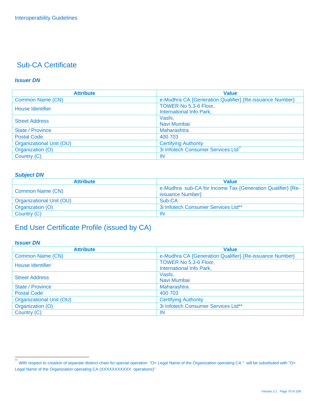#### *Issuer DN*

| <b>Attribute</b>         | <b>Value</b>                                            |
|--------------------------|---------------------------------------------------------|
| Common Name (CN)         | e-Mudhra CA {Generation Qualifier} {Re-issuance Number} |
| House Identifier         | TOWER No 5,3-6 Floor,                                   |
|                          | International Info Park,                                |
| <b>Street Address</b>    | Vashi,                                                  |
|                          | Navi Mumbai                                             |
| State / Province         | Maharashtra                                             |
| <b>Postal Code</b>       | 400 703                                                 |
| Organizational Unit (OU) | <b>Certifying Authority</b>                             |
| Organization (O)         | 3i Infotech Consumer Services Ltd                       |
| Country (C)              | <b>IN</b>                                               |

#### *Subject DN*

| <b>Attribute</b>         | <b>Value</b>                                                                   |
|--------------------------|--------------------------------------------------------------------------------|
| <b>Common Name (CN)</b>  | e-Mudhra sub-CA for Income Tax {Generation Qualifier} {Re-<br>issuance Number} |
| Organizational Unit (OU) | Sub-CA                                                                         |
| Organization (O)         | 3i Infotech Consumer Services Ltd**                                            |
| Country (C)              | -IN                                                                            |

## End User Certificate Profile (issued by CA)

#### *Issuer DN*

| <b>Attribute</b>                | <b>Value</b>                                            |
|---------------------------------|---------------------------------------------------------|
| Common Name (CN)                | e-Mudhra CA {Generation Qualifier} {Re-issuance Number} |
| <b>House Identifier</b>         | TOWER No 5,3-6 Floor,<br>International Info Park,       |
| <b>Street Address</b>           | Vashi,<br>Navi Mumbai                                   |
| State / Province                | Maharashtra                                             |
| <b>Postal Code</b>              | 400 703                                                 |
| <b>Organizational Unit (OU)</b> | <b>Certifying Authority</b>                             |
| Organization (O)                | 3i Infotech Consumer Services Ltd**                     |
| Country (C)                     | <b>IN</b>                                               |

 $\ddot{\ast}$ With respect to creation of separate distinct chain for special operation "O= Legal Name of the Organization operating CA " will be substituted with "O= Legal Name of the Organization operating CA (XXXXXXXXXX operations)"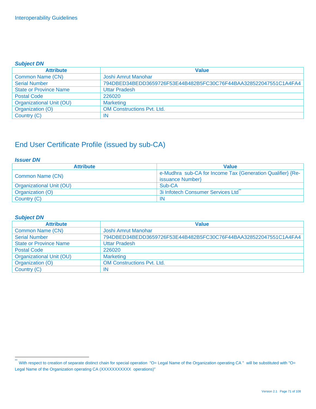#### *Subject DN*

| <b>Attribute</b>              | <b>Value</b>                                                     |
|-------------------------------|------------------------------------------------------------------|
| Common Name (CN)              | Joshi Amrut Manohar                                              |
| <b>Serial Number</b>          | 794DBED34BEDD3659726F53E44B482B5FC30C76F44BAA328522047551C1A4FA4 |
| <b>State or Province Name</b> | <b>Uttar Pradesh</b>                                             |
| <b>Postal Code</b>            | 226020                                                           |
| Organizational Unit (OU)      | <b>Marketing</b>                                                 |
| Organization (O)              | <b>OM Constructions Pvt. Ltd.</b>                                |
| Country (C)                   | IN.                                                              |

## End User Certificate Profile (issued by sub-CA)

#### *Issuer DN*

| <b>Attribute</b>         | <b>Value</b>                                                                   |
|--------------------------|--------------------------------------------------------------------------------|
| Common Name (CN)         | e-Mudhra sub-CA for Income Tax {Generation Qualifier} {Re-<br>issuance Number} |
| Organizational Unit (OU) | Sub-CA                                                                         |
| Organization (O)         | 3i Infotech Consumer Services Ltd                                              |
| Country (C)              | -IN                                                                            |

| <b>Attribute</b>              | <b>Value</b>                                                     |
|-------------------------------|------------------------------------------------------------------|
| Common Name (CN)              | Joshi Amrut Manohar                                              |
| <b>Serial Number</b>          | 794DBED34BEDD3659726F53E44B482B5FC30C76F44BAA328522047551C1A4FA4 |
| <b>State or Province Name</b> | <b>Uttar Pradesh</b>                                             |
| <b>Postal Code</b>            | 226020                                                           |
| Organizational Unit (OU)      | <b>Marketing</b>                                                 |
| Organization (O)              | <b>OM Constructions Pyt. Ltd.</b>                                |
| Country (C)                   | IN                                                               |

 $\ddot{\phantom{1}}$ With respect to creation of separate distinct chain for special operation "O= Legal Name of the Organization operating CA " will be substituted with "O= Legal Name of the Organization operating CA (XXXXXXXXXX operations)"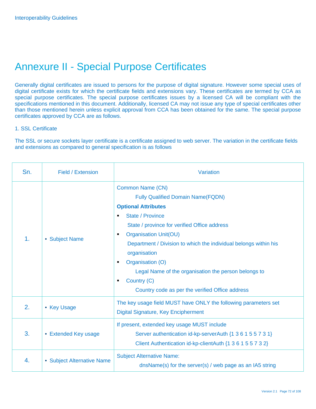## Annexure II - Special Purpose Certificates

Generally digital certificates are issued to persons for the purpose of digital signature. However some special uses of digital certificate exists for which the certificate fields and extensions vary. These certificates are termed by CCA as special purpose certificates. The special purpose certificates issues by a licensed CA will be compliant with the specifications mentioned in this document. Additionally, licensed CA may not issue any type of special certificates other than those mentioned herein unless explicit approval from CCA has been obtained for the same. The special purpose certificates approved by CCA are as follows.

#### 1. SSL Certificate

The SSL or secure sockets layer certificate is a certificate assigned to web server. The variation in the certificate fields and extensions as compared to general specification is as follows

| Sn.           | Field / Extension          | Variation                                                                                                                                                                                                                                                                                                                                                                                                                                                                                    |
|---------------|----------------------------|----------------------------------------------------------------------------------------------------------------------------------------------------------------------------------------------------------------------------------------------------------------------------------------------------------------------------------------------------------------------------------------------------------------------------------------------------------------------------------------------|
| $\mathbf 1$ . | • Subject Name             | <b>Common Name (CN)</b><br><b>Fully Qualified Domain Name(FQDN)</b><br><b>Optional Attributes</b><br><b>State / Province</b><br>$\blacksquare$<br>State / province for verified Office address<br><b>Organisation Unit(OU)</b><br>٠<br>Department / Division to which the individual belongs within his<br>organisation<br>Organisation (O)<br>$\blacksquare$<br>Legal Name of the organisation the person belongs to<br>Country (C)<br>п<br>Country code as per the verified Office address |
| 2.            | • Key Usage                | The key usage field MUST have ONLY the following parameters set<br><b>Digital Signature, Key Encipherment</b>                                                                                                                                                                                                                                                                                                                                                                                |
| 3.            | • Extended Key usage       | If present, extended key usage MUST include<br>Server authentication id-kp-serverAuth {1 3 6 1 5 5 7 3 1}<br>Client Authentication id-kp-clientAuth {1 3 6 1 5 5 7 3 2}                                                                                                                                                                                                                                                                                                                      |
| 4.            | • Subject Alternative Name | <b>Subject Alternative Name:</b><br>dnsName(s) for the server(s) / web page as an IA5 string                                                                                                                                                                                                                                                                                                                                                                                                 |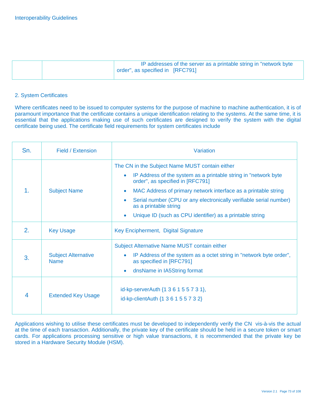|  | IP addresses of the server as a printable string in "network byte |
|--|-------------------------------------------------------------------|
|  | $\sqrt{1}$ order", as specified in $[RFC791]$                     |
|  |                                                                   |

#### 2. System Certificates

Where certificates need to be issued to computer systems for the purpose of machine to machine authentication, it is of paramount importance that the certificate contains a unique identification relating to the systems. At the same time, it is essential that the applications making use of such certificates are designed to verify the system with the digital certificate being used. The certificate field requirements for system certificates include

| Sn.            | Field / Extension                         | Variation                                                                                                                                                                                                                                                                                                                                                                                                                               |
|----------------|-------------------------------------------|-----------------------------------------------------------------------------------------------------------------------------------------------------------------------------------------------------------------------------------------------------------------------------------------------------------------------------------------------------------------------------------------------------------------------------------------|
| 1.             | <b>Subject Name</b>                       | The CN in the Subject Name MUST contain either<br>IP Address of the system as a printable string in "network byte"<br>$\bullet$<br>order", as specified in [RFC791]<br>MAC Address of primary network interface as a printable string<br>$\bullet$<br>Serial number (CPU or any electronically verifiable serial number)<br>$\bullet$<br>as a printable string<br>Unique ID (such as CPU identifier) as a printable string<br>$\bullet$ |
| 2 <sub>1</sub> | <b>Key Usage</b>                          | Key Encipherment, Digital Signature                                                                                                                                                                                                                                                                                                                                                                                                     |
| 3.             | <b>Subject Alternative</b><br><b>Name</b> | Subject Alternative Name MUST contain either<br>IP Address of the system as a octet string in "network byte order",<br>$\bullet$<br>as specified in [RFC791]<br>dnsName in IA5String format<br>$\bullet$                                                                                                                                                                                                                                |
| 4              | <b>Extended Key Usage</b>                 | id-kp-serverAuth {1 3 6 1 5 5 7 3 1},<br>id-kp-clientAuth {1 3 6 1 5 5 7 3 2}                                                                                                                                                                                                                                                                                                                                                           |

Applications wishing to utilise these certificates must be developed to independently verify the CN vis-à-vis the actual at the time of each transaction. Additionally, the private key of the certificate should be held in a secure token or smart cards. For applications processing sensitive or high value transactions, it is recommended that the private key be stored in a Hardware Security Module (HSM).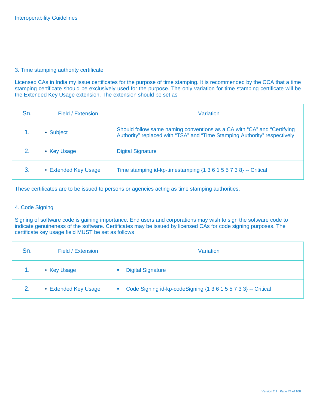#### 3. Time stamping authority certificate

Licensed CAs in India my issue certificates for the purpose of time stamping. It is recommended by the CCA that a time stamping certificate should be exclusively used for the purpose. The only variation for time stamping certificate will be the Extended Key Usage extension. The extension should be set as

| Sn. | Field / Extension    | Variation                                                                                                                                            |
|-----|----------------------|------------------------------------------------------------------------------------------------------------------------------------------------------|
|     | • Subject            | Should follow same naming conventions as a CA with "CA" and "Certifying<br>Authority" replaced with "TSA" and "Time Stamping Authority" respectively |
| 2.  | • Key Usage          | <b>Digital Signature</b>                                                                                                                             |
| 3.  | • Extended Key Usage | Time stamping id-kp-timestamping $\{1\ 3\ 6\ 1\ 5\ 5\ 7\ 3\ 8\}$ -- Critical                                                                         |

These certificates are to be issued to persons or agencies acting as time stamping authorities.

#### 4. Code Signing

Signing of software code is gaining importance. End users and corporations may wish to sign the software code to indicate genuineness of the software. Certificates may be issued by licensed CAs for code signing purposes. The certificate key usage field MUST be set as follows

| Sn. | Field / Extension    | Variation                                                      |  |
|-----|----------------------|----------------------------------------------------------------|--|
|     | • Key Usage          | <b>Digital Signature</b>                                       |  |
| 2.  | • Extended Key Usage | Code Signing id-kp-codeSigning {1 3 6 1 5 5 7 3 3} -- Critical |  |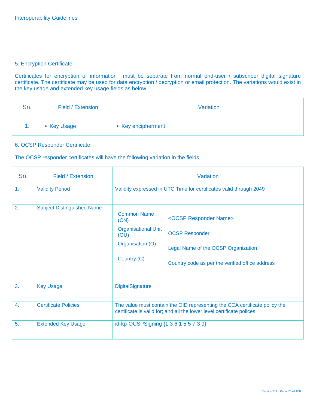#### 5. Encryption Certificate

Certificates for encryption of information must be separate from normal end-user / subscriber digital signature certificate. The certificate may be used for data encryption / decryption or email protection. The variations would exist in the key usage and extended key usage fields as below

| Sn. | Field / Extension | Variation          |
|-----|-------------------|--------------------|
|     | • Key Usage       | • Key encipherment |

#### 6. OCSP Responder Certificate

The OCSP responder certificates will have the following variation in the fields.

| Sn.          | Field / Extension                 | Variation                                                                                                                                            |                                                                                                                                                          |  |  |  |  |
|--------------|-----------------------------------|------------------------------------------------------------------------------------------------------------------------------------------------------|----------------------------------------------------------------------------------------------------------------------------------------------------------|--|--|--|--|
| 1.           | <b>Validity Period</b>            | Validity expressed in UTC Time for certificates valid through 2049                                                                                   |                                                                                                                                                          |  |  |  |  |
| 2.           | <b>Subject Distinguished Name</b> | <b>Common Name</b><br>(CN)<br><b>Organisational Unit</b><br>(OU)<br>Organisation (O)<br>Country (C)                                                  | <ocsp name="" responder=""><br/><b>OCSP Responder</b><br/>Legal Name of the OCSP Organization<br/>Country code as per the verified office address</ocsp> |  |  |  |  |
| 3.           | <b>Key Usage</b>                  | DigitalSignature                                                                                                                                     |                                                                                                                                                          |  |  |  |  |
| $\mathbf{4}$ | <b>Certificate Policies</b>       | The value must contain the OID representing the CCA certificate policy the<br>certificate is valid for; and all the lower level certificate polices. |                                                                                                                                                          |  |  |  |  |
| 5.           | <b>Extended Key Usage</b>         | id-kp-OCSPSigning {1 3 6 1 5 5 7 3 9}                                                                                                                |                                                                                                                                                          |  |  |  |  |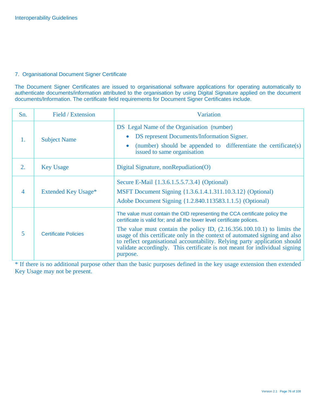#### 7. Organisational Document Signer Certificate

The Document Signer Certificates are issued to organisational software applications for operating automatically to authenticate documents/information attributed to the organisation by using Digital Signature applied on the document documents/Information. The certificate field requirements for Document Signer Certificates include.

| Sn. | Field / Extension           | Variation                                                                                                                                                                                                                                                                                                                                                                                                                                                                                |
|-----|-----------------------------|------------------------------------------------------------------------------------------------------------------------------------------------------------------------------------------------------------------------------------------------------------------------------------------------------------------------------------------------------------------------------------------------------------------------------------------------------------------------------------------|
| 1.  | <b>Subject Name</b>         | DS Legal Name of the Organisation (number)<br>DS represent Documents/Information Signer.<br>$\bullet$<br>(number) should be appended to differentiate the certificate(s)<br>$\bullet$<br>issued to same organisation                                                                                                                                                                                                                                                                     |
| 2.  | <b>Key Usage</b>            | Digital Signature, nonRepudiation(O)                                                                                                                                                                                                                                                                                                                                                                                                                                                     |
| 4   | Extended Key Usage*         | Secure E-Mail {1.3.6.1.5.5.7.3.4} (Optional)<br>MSFT Document Signing {1.3.6.1.4.1.311.10.3.12} (Optional)<br>Adobe Document Signing {1.2.840.113583.1.1.5} (Optional)                                                                                                                                                                                                                                                                                                                   |
| 5   | <b>Certificate Policies</b> | The value must contain the OID representing the CCA certificate policy the<br>certificate is valid for; and all the lower level certificate polices.<br>The value must contain the policy ID, $(2.16.356.100.10.1)$ to limits the<br>usage of this certificate only in the context of automated signing and also<br>to reflect organisational accountability. Relying party application should<br>validate accordingly. This certificate is not meant for individual signing<br>purpose. |

\* If there is no additional purpose other than the basic purposes defined in the key usage extension then extended Key Usage may not be present.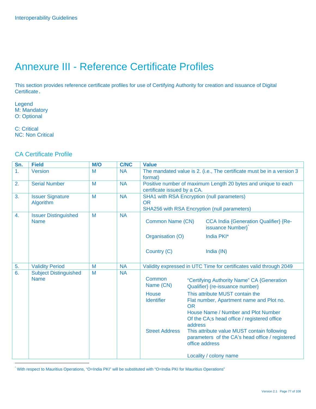# Annexure III - Reference Certificate Profiles

This section provides reference certificate profiles for use of Certifying Authority for creation and issuance of Digital Certificate.

Legend M: Mandatory O: Optional

C: Critical NC: Non Critical

### CA Certificate Profile

| Sn.              | <b>Field</b>                                | M/O | <b>C/NC</b> | <b>Value</b>                                                                      |           |                                                                                                                                                                 |
|------------------|---------------------------------------------|-----|-------------|-----------------------------------------------------------------------------------|-----------|-----------------------------------------------------------------------------------------------------------------------------------------------------------------|
| $\mathbf{1}$ .   | Version                                     | M   | <b>NA</b>   | The mandated value is 2. (i.e., The certificate must be in a version 3<br>format) |           |                                                                                                                                                                 |
| 2.               | <b>Serial Number</b>                        | M   | <b>NA</b>   | certificate issued by a CA.                                                       |           | Positive number of maximum Length 20 bytes and unique to each                                                                                                   |
| 3.               | <b>Issuer Signature</b><br>Algorithm        | M   | <b>NA</b>   | <b>OR</b>                                                                         |           | <b>SHA1 with RSA Encryption (null parameters)</b><br><b>SHA256 with RSA Encryption (null parameters)</b>                                                        |
| $\overline{4}$ . | <b>Issuer Distinguished</b><br><b>Name</b>  | M   | <b>NA</b>   | <b>Common Name (CN)</b>                                                           |           | <b>CCA India {Generation Qualifier} {Re-</b><br>issuance Number}                                                                                                |
|                  |                                             |     |             | Organisation (O)                                                                  |           | India PKI*                                                                                                                                                      |
|                  |                                             |     |             | Country (C)                                                                       |           | India (IN)                                                                                                                                                      |
| 5.               | <b>Validity Period</b>                      | M   | <b>NA</b>   |                                                                                   |           | Validity expressed in UTC Time for certificates valid through 2049                                                                                              |
| 6.               | <b>Subject Distinguished</b><br><b>Name</b> | M   | <b>NA</b>   | Common<br>Name (CN)                                                               |           | "Certifying Authority Name" CA {Generation<br>Qualifier} (re-issuance number)                                                                                   |
|                  |                                             |     |             | House<br><b>Identifier</b>                                                        | <b>OR</b> | This attribute MUST contain the<br>Flat number, Apartment name and Plot no.<br>House Name / Number and Plot Number                                              |
|                  |                                             |     |             | <b>Street Address</b>                                                             | address   | Of the CA;s head office / registered office<br>This attribute value MUST contain following<br>parameters of the CA's head office / registered<br>office address |
|                  |                                             |     |             |                                                                                   |           | Locality / colony name                                                                                                                                          |

\* With respect to Mauritius Operations, "O=India PKI" will be substituted with "O=India PKI for Mauritius Operations"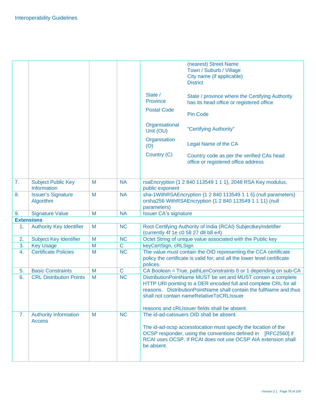|    |                                                 |   |             |                                                                                                                                            | (nearest) Street Name<br>Town / Suburb / Village<br>City name (if applicable)<br><b>District</b>                                                                                                                                                     |  |
|----|-------------------------------------------------|---|-------------|--------------------------------------------------------------------------------------------------------------------------------------------|------------------------------------------------------------------------------------------------------------------------------------------------------------------------------------------------------------------------------------------------------|--|
|    |                                                 |   |             | State /<br>Province                                                                                                                        | State / province where the Certifying Authority<br>has its head office or registered office                                                                                                                                                          |  |
|    |                                                 |   |             | <b>Postal Code</b>                                                                                                                         | <b>Pin Code</b>                                                                                                                                                                                                                                      |  |
|    |                                                 |   |             | Organisational<br>Unit (OU)                                                                                                                | "Certifying Authority"                                                                                                                                                                                                                               |  |
|    |                                                 |   |             | Organisation<br>(O)                                                                                                                        | Legal Name of the CA                                                                                                                                                                                                                                 |  |
|    |                                                 |   |             | Country (C)                                                                                                                                | Country code as per the verified CAs head<br>office or registered office address                                                                                                                                                                     |  |
| 7. | <b>Subject Public Key</b><br><b>Information</b> | M | <b>NA</b>   | public exponent                                                                                                                            | rsaEncryption {1 2 840 113549 1 1 1}, 2048 RSA Key modulus,                                                                                                                                                                                          |  |
| 8. | <b>Issuer's Signature</b><br>Algorithm          | M | <b>NA</b>   | sha-1WithRSAEncryption {1 2 840 113549 1 1 5} (null parameters)<br>orsha256 WithRSAEncryption {1 2 840 113549 1 1 11} (null<br>parameters) |                                                                                                                                                                                                                                                      |  |
| 9. | <b>Signature Value</b>                          | M | <b>NA</b>   | <b>Issuer CA's signature</b>                                                                                                               |                                                                                                                                                                                                                                                      |  |
|    | <b>Extensions</b>                               |   |             |                                                                                                                                            |                                                                                                                                                                                                                                                      |  |
| 1. | <b>Authority Key Identifier</b>                 | M | <b>NC</b>   | (currently 4f 1e c0 58 27 d8 b8 e4)                                                                                                        | Root Certifying Authority of India (RCAI) SubjectkeyIndetifier                                                                                                                                                                                       |  |
| 2. | <b>Subject Key Identifier</b>                   | M | <b>NC</b>   | Octet String of unique value associated with the Public key                                                                                |                                                                                                                                                                                                                                                      |  |
| 3. | <b>Key Usage</b>                                | M | $\mathbf C$ | keyCertSign, cRLSign                                                                                                                       |                                                                                                                                                                                                                                                      |  |
| 4. | <b>Certificate Policies</b>                     | M | <b>NC</b>   | polices.                                                                                                                                   | The value must contain the OID representing the CCA certificate<br>policy the certificate is valid for; and all the lower level certificate                                                                                                          |  |
| 5. | <b>Basic Constraints</b>                        | M | $\mathbf C$ |                                                                                                                                            | CA Boolean = True, pathLenConstraints 0 or 1 depending on sub-CA                                                                                                                                                                                     |  |
| 6. | <b>CRL Distribution Points</b>                  | M | <b>NC</b>   |                                                                                                                                            | DistributionPointName MUST be set and MUST contain a complete<br>HTTP URI pointing to a DER encoded full and complete CRL for all<br>reasons. DistributionPointName shall contain the fullName and thus<br>shall not contain nameRelativeToCRLIssuer |  |
|    |                                                 |   |             |                                                                                                                                            | reasons and cRLIssuer fields shall be absent.                                                                                                                                                                                                        |  |
| 7. | <b>Authority Information</b><br><b>Access</b>   | M | <b>NC</b>   | be absent.                                                                                                                                 | The id-ad-calssuers OID shall be absent.<br>The id-ad-ocsp accesslocation must specify the location of the<br>OCSP responder, using the conventions defined in [RFC2560] if<br>RCAI uses OCSP. If RCAI does not use OCSP AIA extension shall         |  |
|    |                                                 |   |             |                                                                                                                                            |                                                                                                                                                                                                                                                      |  |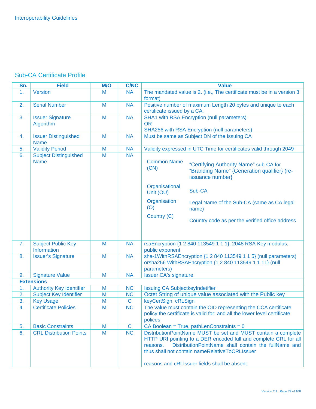### Sub-CA Certificate Profile

| Sn. | <b>Field</b>                                | M/O | <b>C/NC</b> | <b>Value</b>                                                                                                                                                                                                                                                                                                                     |  |  |
|-----|---------------------------------------------|-----|-------------|----------------------------------------------------------------------------------------------------------------------------------------------------------------------------------------------------------------------------------------------------------------------------------------------------------------------------------|--|--|
| 1.  | <b>Version</b>                              | M   | <b>NA</b>   | The mandated value is 2. (i.e., The certificate must be in a version 3<br>format)                                                                                                                                                                                                                                                |  |  |
| 2.  | <b>Serial Number</b>                        | M   | <b>NA</b>   | Positive number of maximum Length 20 bytes and unique to each<br>certificate issued by a CA.                                                                                                                                                                                                                                     |  |  |
| 3.  | <b>Issuer Signature</b><br>Algorithm        | M   | <b>NA</b>   | <b>SHA1 with RSA Encryption (null parameters)</b><br><b>OR</b><br><b>SHA256 with RSA Encryption (null parameters)</b>                                                                                                                                                                                                            |  |  |
| 4.  | <b>Issuer Distinguished</b><br><b>Name</b>  | M   | <b>NA</b>   | Must be same as Subject DN of the Issuing CA                                                                                                                                                                                                                                                                                     |  |  |
| 5.  | <b>Validity Period</b>                      | M   | <b>NA</b>   | Validity expressed in UTC Time for certificates valid through 2049                                                                                                                                                                                                                                                               |  |  |
| 6.  | <b>Subject Distinguished</b><br><b>Name</b> | M   | <b>NA</b>   | <b>Common Name</b><br>"Certifying Authority Name" sub-CA for<br>(CN)<br>"Branding Name" {Generation qualifier} (re-<br>issuance number}<br>Organisational<br>Sub-CA<br>Unit (OU)<br>Organisation<br>Legal Name of the Sub-CA (same as CA legal<br>(O)<br>name)<br>Country (C)<br>Country code as per the verified office address |  |  |
| 7.  | <b>Subject Public Key</b><br>Information    | M   | <b>NA</b>   | rsaEncryption {1 2 840 113549 1 1 1}, 2048 RSA Key modulus,<br>public exponent                                                                                                                                                                                                                                                   |  |  |
| 8.  | <b>Issuer's Signature</b>                   | M   | <b>NA</b>   | sha-1WithRSAEncryption {1 2 840 113549 1 1 5} (null parameters)<br>orsha256 WithRSAEncryption {1 2 840 113549 1 1 11} (null<br>parameters)                                                                                                                                                                                       |  |  |
| 9.  | <b>Signature Value</b>                      | M   | <b>NA</b>   | <b>Issuer CA's signature</b>                                                                                                                                                                                                                                                                                                     |  |  |
|     | <b>Extensions</b>                           |     |             |                                                                                                                                                                                                                                                                                                                                  |  |  |
| 1.  | <b>Authority Key Identifier</b>             | M   | <b>NC</b>   | <b>Issuing CA SubjectkeyIndetifier</b>                                                                                                                                                                                                                                                                                           |  |  |
| 2.  | <b>Subject Key Identifier</b>               | M   | <b>NC</b>   | Octet String of unique value associated with the Public key                                                                                                                                                                                                                                                                      |  |  |
| 3.  | <b>Key Usage</b>                            | M   | $\mathbf C$ | keyCertSign, cRLSign                                                                                                                                                                                                                                                                                                             |  |  |
| 4.  | <b>Certificate Policies</b>                 | M   | <b>NC</b>   | The value must contain the OID representing the CCA certificate<br>policy the certificate is valid for; and all the lower level certificate<br>polices.                                                                                                                                                                          |  |  |
| 5.  | <b>Basic Constraints</b>                    | M   | $\mathbf C$ | $CA$ Boolean = True, pathLenConstraints = 0                                                                                                                                                                                                                                                                                      |  |  |
| 6.  | <b>CRL Distribution Points</b>              | M   | <b>NC</b>   | DistributionPointName MUST be set and MUST contain a complete<br>HTTP URI pointing to a DER encoded full and complete CRL for all<br>DistributionPointName shall contain the fullName and<br>reasons.<br>thus shall not contain nameRelativeToCRLIssuer<br>reasons and cRLIssuer fields shall be absent.                         |  |  |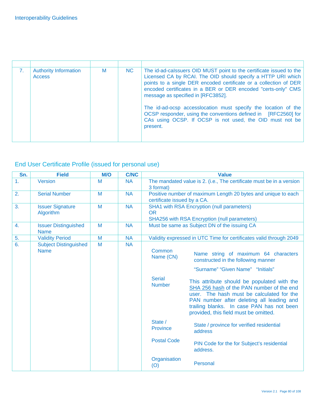| <b>Authority Information</b><br><b>Access</b> | М | NC. | The id-ad-calssuers OID MUST point to the certificate issued to the<br>Licensed CA by RCAI. The OID should specify a HTTP URI which<br>points to a single DER encoded certificate or a collection of DER<br>encoded certificates in a BER or DER encoded "certs-only" CMS<br>message as specified in [RFC3852].<br>The id-ad-ocsp accesslocation must specify the location of the<br>OCSP responder, using the conventions defined in [RFC2560] for<br>CAs using OCSP. If OCSP is not used, the OID must not be<br>present. |
|-----------------------------------------------|---|-----|-----------------------------------------------------------------------------------------------------------------------------------------------------------------------------------------------------------------------------------------------------------------------------------------------------------------------------------------------------------------------------------------------------------------------------------------------------------------------------------------------------------------------------|

# End User Certificate Profile (issued for personal use)

| Sn. | <b>Field</b>                                | M/O | <b>C/NC</b> | <b>Value</b>                                                                      |                                                                                                                                                                                                                                                                                                                                                                                              |  |
|-----|---------------------------------------------|-----|-------------|-----------------------------------------------------------------------------------|----------------------------------------------------------------------------------------------------------------------------------------------------------------------------------------------------------------------------------------------------------------------------------------------------------------------------------------------------------------------------------------------|--|
| 1.  | Version                                     | M   | <b>NA</b>   | The mandated value is 2. (i.e., The certificate must be in a version<br>3 format) |                                                                                                                                                                                                                                                                                                                                                                                              |  |
| 2.  | <b>Serial Number</b>                        | M   | <b>NA</b>   | certificate issued by a CA.                                                       | Positive number of maximum Length 20 bytes and unique to each                                                                                                                                                                                                                                                                                                                                |  |
| 3.  | <b>Issuer Signature</b><br>Algorithm        | M   | <b>NA</b>   | <b>OR</b>                                                                         | <b>SHA1</b> with RSA Encryption (null parameters)<br>SHA256 with RSA Encryption (null parameters)                                                                                                                                                                                                                                                                                            |  |
| 4.  | <b>Issuer Distinguished</b><br><b>Name</b>  | M   | <b>NA</b>   |                                                                                   | Must be same as Subject DN of the issuing CA                                                                                                                                                                                                                                                                                                                                                 |  |
| 5.  | <b>Validity Period</b>                      | M   | <b>NA</b>   |                                                                                   | Validity expressed in UTC Time for certificates valid through 2049                                                                                                                                                                                                                                                                                                                           |  |
| 6.  | <b>Subject Distinguished</b><br><b>Name</b> | M   | <b>NA</b>   | Common<br>Name (CN)<br><b>Serial</b><br><b>Number</b>                             | Name string of maximum 64 characters<br>constructed in the following manner<br>"Surname" "Given Name" "Initials"<br>This attribute should be populated with the<br>SHA 256 hash of the PAN number of the end<br>user. The hash must be calculated for the<br>PAN number after deleting all leading and<br>trailing blanks. In case PAN has not been<br>provided, this field must be omitted. |  |
|     |                                             |     |             | State /<br><b>Province</b>                                                        | State / province for verified residential<br>address                                                                                                                                                                                                                                                                                                                                         |  |
|     |                                             |     |             | <b>Postal Code</b>                                                                | PIN Code for the for Subject's residential<br>address.                                                                                                                                                                                                                                                                                                                                       |  |
|     |                                             |     |             | Organisation<br>(O)                                                               | Personal                                                                                                                                                                                                                                                                                                                                                                                     |  |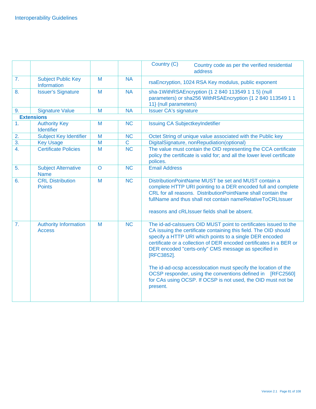|                  |                                               |              |                | Country (C)<br>Country code as per the verified residential<br>address                                                                                                                                                                                                                                                                                                                                                                                                                                                                                   |
|------------------|-----------------------------------------------|--------------|----------------|----------------------------------------------------------------------------------------------------------------------------------------------------------------------------------------------------------------------------------------------------------------------------------------------------------------------------------------------------------------------------------------------------------------------------------------------------------------------------------------------------------------------------------------------------------|
| 7.               | <b>Subject Public Key</b><br>Information      | M            | <b>NA</b>      | rsaEncryption, 1024 RSA Key modulus, public exponent                                                                                                                                                                                                                                                                                                                                                                                                                                                                                                     |
| 8.               | <b>Issuer's Signature</b>                     | M            | <b>NA</b>      | sha-1WithRSAEncryption {1 2 840 113549 1 1 5} (null<br>parameters) or sha256 WithRSAEncryption {1 2 840 113549 1 1<br>11} (null parameters)                                                                                                                                                                                                                                                                                                                                                                                                              |
| 9.               | <b>Signature Value</b>                        | M            | <b>NA</b>      | <b>Issuer CA's signature</b>                                                                                                                                                                                                                                                                                                                                                                                                                                                                                                                             |
|                  | <b>Extensions</b>                             |              |                |                                                                                                                                                                                                                                                                                                                                                                                                                                                                                                                                                          |
| 1.               | <b>Authority Key</b><br><b>Identifier</b>     | M            | <b>NC</b>      | <b>Issuing CA SubjectkeyIndetifier</b>                                                                                                                                                                                                                                                                                                                                                                                                                                                                                                                   |
| 2.               | <b>Subject Key Identifier</b>                 | M            | <b>NC</b>      | Octet String of unique value associated with the Public key                                                                                                                                                                                                                                                                                                                                                                                                                                                                                              |
| $\overline{3}$ . | <b>Key Usage</b>                              | M            | $\overline{C}$ | DigitalSignature, nonRepudiation(optional)                                                                                                                                                                                                                                                                                                                                                                                                                                                                                                               |
| 4.               | <b>Certificate Policies</b>                   | M            | <b>NC</b>      | The value must contain the OID representing the CCA certificate<br>policy the certificate is valid for; and all the lower level certificate<br>polices.                                                                                                                                                                                                                                                                                                                                                                                                  |
| 5.               | <b>Subject Alternative</b><br><b>Name</b>     | $\mathsf{O}$ | <b>NC</b>      | <b>Email Address</b>                                                                                                                                                                                                                                                                                                                                                                                                                                                                                                                                     |
| 6.               | <b>CRL Distribution</b><br><b>Points</b>      | M            | <b>NC</b>      | DistributionPointName MUST be set and MUST contain a<br>complete HTTP URI pointing to a DER encoded full and complete<br>CRL for all reasons. DistributionPointName shall contain the<br>fullName and thus shall not contain nameRelativeToCRLIssuer<br>reasons and cRLIssuer fields shall be absent.                                                                                                                                                                                                                                                    |
| 7.               | <b>Authority Information</b><br><b>Access</b> | M            | <b>NC</b>      | The id-ad-calssuers OID MUST point to certificates issued to the<br>CA issuing the certificate containing this field. The OID should<br>specify a HTTP URI which points to a single DER encoded<br>certificate or a collection of DER encoded certificates in a BER or<br>DER encoded "certs-only" CMS message as specified in<br>[RFC3852].<br>The id-ad-ocsp accesslocation must specify the location of the<br>OCSP responder, using the conventions defined in [RFC2560]<br>for CAs using OCSP. If OCSP is not used, the OID must not be<br>present. |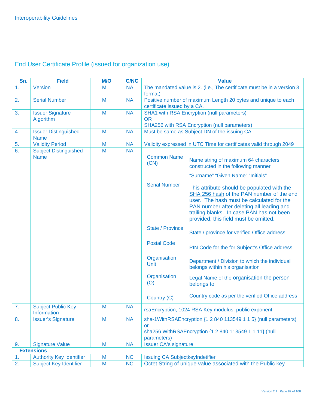# End User Certificate Profile (issued for organization use)

| Sn. | <b>Field</b>                                | <b>M/O</b> | <b>C/NC</b> |                                                                                              | <b>Value</b>                                                                                                                                                                                                                                                             |
|-----|---------------------------------------------|------------|-------------|----------------------------------------------------------------------------------------------|--------------------------------------------------------------------------------------------------------------------------------------------------------------------------------------------------------------------------------------------------------------------------|
| 1.  | <b>Version</b>                              | M          | <b>NA</b>   | format)                                                                                      | The mandated value is 2. (i.e., The certificate must be in a version 3                                                                                                                                                                                                   |
| 2.  | <b>Serial Number</b>                        | M          | <b>NA</b>   | Positive number of maximum Length 20 bytes and unique to each<br>certificate issued by a CA. |                                                                                                                                                                                                                                                                          |
| 3.  | <b>Issuer Signature</b><br>Algorithm        | M          | <b>NA</b>   | <b>OR</b>                                                                                    | <b>SHA1 with RSA Encryption (null parameters)</b><br>SHA256 with RSA Encryption (null parameters)                                                                                                                                                                        |
| 4.  | <b>Issuer Distinguished</b><br><b>Name</b>  | M          | <b>NA</b>   |                                                                                              | Must be same as Subject DN of the issuing CA                                                                                                                                                                                                                             |
| 5.  | <b>Validity Period</b>                      | M          | <b>NA</b>   |                                                                                              | Validity expressed in UTC Time for certificates valid through 2049                                                                                                                                                                                                       |
| 6.  | <b>Subject Distinguished</b><br><b>Name</b> | M          | <b>NA</b>   | <b>Common Name</b><br>(CN)                                                                   | Name string of maximum 64 characters<br>constructed in the following manner<br>"Surname" "Given Name" "Initials"                                                                                                                                                         |
|     |                                             |            |             | <b>Serial Number</b>                                                                         | This attribute should be populated with the<br>SHA 256 hash of the PAN number of the end<br>user. The hash must be calculated for the<br>PAN number after deleting all leading and<br>trailing blanks. In case PAN has not been<br>provided, this field must be omitted. |
|     |                                             |            |             | <b>State / Province</b>                                                                      | State / province for verified Office address                                                                                                                                                                                                                             |
|     |                                             |            |             | <b>Postal Code</b>                                                                           | PIN Code for the for Subject's Office address.                                                                                                                                                                                                                           |
|     |                                             |            |             | Organisation<br>Unit                                                                         | Department / Division to which the individual<br>belongs within his organisation                                                                                                                                                                                         |
|     |                                             |            |             | Organisation<br>(O)                                                                          | Legal Name of the organisation the person<br>belongs to                                                                                                                                                                                                                  |
|     |                                             |            |             | Country (C)                                                                                  | Country code as per the verified Office address                                                                                                                                                                                                                          |
| 7.  | <b>Subject Public Key</b><br>Information    | M          | <b>NA</b>   |                                                                                              | rsaEncryption, 1024 RSA Key modulus, public exponent                                                                                                                                                                                                                     |
| 8.  | <b>Issuer's Signature</b>                   | M          | <b>NA</b>   | <b>or</b><br>parameters)                                                                     | sha-1WithRSAEncryption {1 2 840 113549 1 1 5} (null parameters)<br>sha256 WithRSAEncryption {1 2 840 113549 1 1 11} (null                                                                                                                                                |
| 9.  | <b>Signature Value</b>                      | M          | <b>NA</b>   | <b>Issuer CA's signature</b>                                                                 |                                                                                                                                                                                                                                                                          |
|     | <b>Extensions</b>                           |            |             |                                                                                              |                                                                                                                                                                                                                                                                          |
| 1.  | <b>Authority Key Identifier</b>             | M          | <b>NC</b>   | <b>Issuing CA SubjectkeyIndetifier</b>                                                       |                                                                                                                                                                                                                                                                          |
| 2.  | <b>Subject Key Identifier</b>               | M          | <b>NC</b>   |                                                                                              | Octet String of unique value associated with the Public key                                                                                                                                                                                                              |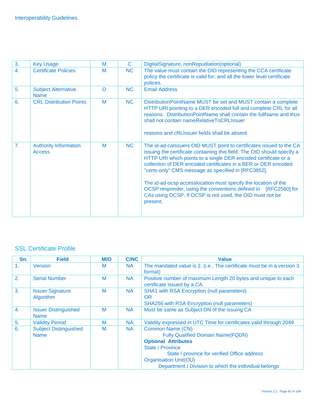| 3.               | <b>Key Usage</b>                              | M        | C.             | DigitalSignature, nonRepudiation(optional)                                                                                                                                                                                                                                                                                                                                                                                                                                                                                                            |
|------------------|-----------------------------------------------|----------|----------------|-------------------------------------------------------------------------------------------------------------------------------------------------------------------------------------------------------------------------------------------------------------------------------------------------------------------------------------------------------------------------------------------------------------------------------------------------------------------------------------------------------------------------------------------------------|
| $\overline{4}$ . | <b>Certificate Policies</b>                   | M        | <b>NC</b>      | The value must contain the OID representing the CCA certificate<br>policy the certificate is valid for; and all the lower level certificate<br>polices.                                                                                                                                                                                                                                                                                                                                                                                               |
| 5.               | <b>Subject Alternative</b><br><b>Name</b>     | $\Omega$ | N <sub>C</sub> | <b>Email Address</b>                                                                                                                                                                                                                                                                                                                                                                                                                                                                                                                                  |
| 6.               | <b>CRL Distribution Points</b>                | M        | <b>NC</b>      | DistributionPointName MUST be set and MUST contain a complete<br>HTTP URI pointing to a DER encoded full and complete CRL for all<br>reasons. DistributionPointName shall contain the fullName and thus<br>shall not contain nameRelativeToCRLIssuer<br>reasons and cRLIssuer fields shall be absent.                                                                                                                                                                                                                                                 |
| 7.               | <b>Authority Information</b><br><b>Access</b> | M        | <b>NC</b>      | The id-ad-calssuers OID MUST point to certificates issued to the CA<br>issuing the certificate containing this field. The OID should specify a<br>HTTP URI which points to a single DER encoded certificate or a<br>collection of DER encoded certificates in a BER or DER encoded<br>"certs-only" CMS message as specified in [RFC3852].<br>The id-ad-ocsp accesslocation must specify the location of the<br>OCSP responder, using the conventions defined in [RFC2560] for<br>CAs using OCSP. If OCSP is not used, the OID must not be<br>present. |

## SSL Certificate Profile

| Sn. | <b>Field</b>                                | <b>M/O</b> | <b>C/NC</b> | <b>Value</b>                                                                                                                                                                                                                                            |
|-----|---------------------------------------------|------------|-------------|---------------------------------------------------------------------------------------------------------------------------------------------------------------------------------------------------------------------------------------------------------|
| 1.  | <b>Version</b>                              | M          | <b>NA</b>   | The mandated value is 2. (i.e., The certificate must be in a version 3<br>format)                                                                                                                                                                       |
| 2.  | <b>Serial Number</b>                        | M          | <b>NA</b>   | Positive number of maximum Length 20 bytes and unique to each<br>certificate issued by a CA.                                                                                                                                                            |
| 3.  | <b>Issuer Signature</b><br>Algorithm        | M          | <b>NA</b>   | <b>SHA1 with RSA Encryption (null parameters)</b><br><b>OR</b><br>SHA256 with RSA Encryption (null parameters)                                                                                                                                          |
| 4.  | <b>Issuer Distinguished</b><br><b>Name</b>  | M          | <b>NA</b>   | Must be same as Subject DN of the issuing CA                                                                                                                                                                                                            |
| 5.  | <b>Validity Period</b>                      | M          | <b>NA</b>   | Validity expressed in UTC Time for certificates valid through 2049                                                                                                                                                                                      |
| 6.  | <b>Subject Distinguished</b><br><b>Name</b> | M          | <b>NA</b>   | Common Name (CN)<br><b>Fully Qualified Domain Name(FQDN)</b><br><b>Optional Attributes</b><br>State / Province<br>State / province for verified Office address<br><b>Organisation Unit(OU)</b><br>Department / Division to which the individual belongs |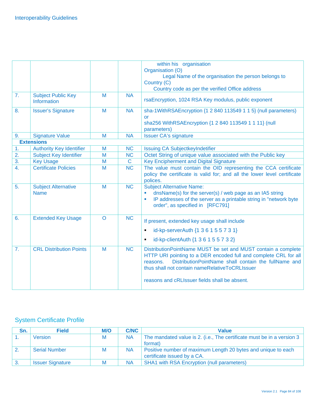|                                                 |                                                                                                                 |                                   | within his organisation                                                                                                                                                                                                                                                                                  |
|-------------------------------------------------|-----------------------------------------------------------------------------------------------------------------|-----------------------------------|----------------------------------------------------------------------------------------------------------------------------------------------------------------------------------------------------------------------------------------------------------------------------------------------------------|
|                                                 |                                                                                                                 |                                   | Organisation (O)                                                                                                                                                                                                                                                                                         |
|                                                 |                                                                                                                 |                                   | Legal Name of the organisation the person belongs to                                                                                                                                                                                                                                                     |
|                                                 |                                                                                                                 |                                   | Country (C)                                                                                                                                                                                                                                                                                              |
|                                                 |                                                                                                                 |                                   | Country code as per the verified Office address                                                                                                                                                                                                                                                          |
| <b>Subject Public Key</b><br><b>Information</b> | M                                                                                                               | <b>NA</b>                         | rsaEncryption, 1024 RSA Key modulus, public exponent                                                                                                                                                                                                                                                     |
| <b>Issuer's Signature</b>                       | M                                                                                                               | <b>NA</b>                         | sha-1WithRSAEncryption {1 2 840 113549 1 1 5} (null parameters)<br><b>or</b><br>sha256 WithRSAEncryption {1 2 840 113549 1 1 11} (null                                                                                                                                                                   |
|                                                 |                                                                                                                 |                                   | parameters)                                                                                                                                                                                                                                                                                              |
|                                                 |                                                                                                                 |                                   | <b>Issuer CA's signature</b>                                                                                                                                                                                                                                                                             |
|                                                 |                                                                                                                 |                                   |                                                                                                                                                                                                                                                                                                          |
|                                                 | M                                                                                                               |                                   | <b>Issuing CA SubjectkeyIndetifier</b>                                                                                                                                                                                                                                                                   |
|                                                 |                                                                                                                 |                                   | Octet String of unique value associated with the Public key                                                                                                                                                                                                                                              |
| <b>Key Usage</b>                                |                                                                                                                 |                                   | <b>Key Encipherment and Digital Signature</b>                                                                                                                                                                                                                                                            |
| <b>Certificate Policies</b>                     | M                                                                                                               | <b>NC</b>                         | The value must contain the OID representing the CCA certificate<br>policy the certificate is valid for; and all the lower level certificate<br>polices.                                                                                                                                                  |
| <b>Subject Alternative</b><br><b>Name</b>       | M                                                                                                               | <b>NC</b>                         | <b>Subject Alternative Name:</b><br>dnsName(s) for the server(s) / web page as an IA5 string<br>IP addresses of the server as a printable string in "network byte<br>×<br>order", as specified in [RFC791]                                                                                               |
| <b>Extended Key Usage</b>                       | $\circ$                                                                                                         | <b>NC</b>                         | If present, extended key usage shall include                                                                                                                                                                                                                                                             |
|                                                 |                                                                                                                 |                                   | id-kp-serverAuth {1 3 6 1 5 5 7 3 1}<br>$\blacksquare$                                                                                                                                                                                                                                                   |
|                                                 |                                                                                                                 |                                   | id-kp-clientAuth {1 3 6 1 5 5 7 3 2}<br>$\blacksquare$                                                                                                                                                                                                                                                   |
| <b>CRL Distribution Points</b>                  | M                                                                                                               | <b>NC</b>                         | DistributionPointName MUST be set and MUST contain a complete<br>HTTP URI pointing to a DER encoded full and complete CRL for all<br>DistributionPointName shall contain the fullName and<br>reasons.<br>thus shall not contain nameRelativeToCRLIssuer<br>reasons and cRLIssuer fields shall be absent. |
|                                                 | <b>Signature Value</b><br><b>Extensions</b><br><b>Authority Key Identifier</b><br><b>Subject Key Identifier</b> | M<br>$\overline{\mathsf{M}}$<br>M | <b>NA</b><br><b>NC</b><br><b>NC</b><br>$\mathbf C$                                                                                                                                                                                                                                                       |

### System Certificate Profile

| Sn.              | <b>Field</b>            | M/O | <b>C/NC</b> | <b>Value</b>                                                           |
|------------------|-------------------------|-----|-------------|------------------------------------------------------------------------|
|                  | Version                 | M   | <b>NA</b>   | The mandated value is 2. (i.e., The certificate must be in a version 3 |
|                  |                         |     |             | format)                                                                |
| $\overline{2}$ . | <b>Serial Number</b>    | M   | <b>NA</b>   | Positive number of maximum Length 20 bytes and unique to each          |
|                  |                         |     |             | certificate issued by a CA.                                            |
|                  | <b>Issuer Signature</b> | м   | <b>NA</b>   | <b>SHA1</b> with RSA Encryption (null parameters)                      |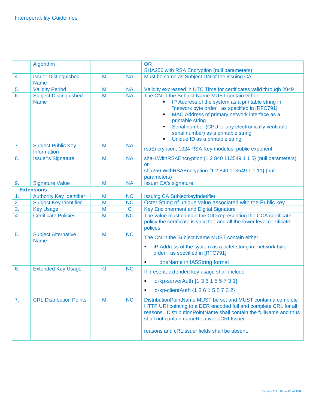|    | Algorithm                                   |         |             | <b>OR</b><br><b>SHA256 with RSA Encryption (null parameters)</b>                                                                                                                                                                                                                                                                                                  |
|----|---------------------------------------------|---------|-------------|-------------------------------------------------------------------------------------------------------------------------------------------------------------------------------------------------------------------------------------------------------------------------------------------------------------------------------------------------------------------|
| 4. | <b>Issuer Distinguished</b><br><b>Name</b>  | M       | <b>NA</b>   | Must be same as Subject DN of the issuing CA                                                                                                                                                                                                                                                                                                                      |
| 5. | <b>Validity Period</b>                      | M       | <b>NA</b>   | Validity expressed in UTC Time for certificates valid through 2049                                                                                                                                                                                                                                                                                                |
| 6. | <b>Subject Distinguished</b><br><b>Name</b> | M       | <b>NA</b>   | The CN in the Subject Name MUST contain either<br>IP Address of the system as a printable string in<br>"network byte order", as specified in [RFC791]<br>MAC Address of primary network interface as a<br>٠<br>printable string<br>Serial number (CPU or any electronically verifiable<br>serial number) as a printable string<br>Unique ID as a printable string |
| 7. | <b>Subject Public Key</b><br>Information    | M       | <b>NA</b>   | rsaEncryption, 1024 RSA Key modulus, public exponent                                                                                                                                                                                                                                                                                                              |
| 8. | <b>Issuer's Signature</b>                   | M       | <b>NA</b>   | sha-1WithRSAEncryption {1 2 840 113549 1 1 5} (null parameters)<br><b>or</b><br>sha256 WithRSAEncryption {1 2 840 113549 1 1 11} (null<br>parameters)                                                                                                                                                                                                             |
| 9. | <b>Signature Value</b>                      | M       | <b>NA</b>   | <b>Issuer CA's signature</b>                                                                                                                                                                                                                                                                                                                                      |
|    | <b>Extensions</b>                           |         |             |                                                                                                                                                                                                                                                                                                                                                                   |
| 1. | <b>Authority Key Identifier</b>             | M       | <b>NC</b>   | <b>Issuing CA SubjectkeyIndetifier</b>                                                                                                                                                                                                                                                                                                                            |
| 2. | <b>Subject Key Identifier</b>               | M       | <b>NC</b>   | Octet String of unique value associated with the Public key                                                                                                                                                                                                                                                                                                       |
| 3. | <b>Key Usage</b>                            | M       | $\mathbf C$ | Key Encipherment and Digital Signature                                                                                                                                                                                                                                                                                                                            |
| 4. | <b>Certificate Policies</b>                 | M       | <b>NC</b>   | The value must contain the OID representing the CCA certificate<br>policy the certificate is valid for; and all the lower level certificate<br>polices.                                                                                                                                                                                                           |
| 5. | <b>Subject Alternative</b><br><b>Name</b>   | M       | <b>NC</b>   | The CN in the Subject Name MUST contain either<br>IP Address of the system as a octet string in "network byte<br>٠<br>order", as specified in [RFC791]<br>dnsName in IA5String format                                                                                                                                                                             |
| 6. | <b>Extended Key Usage</b>                   | $\circ$ | <b>NC</b>   | If present, extended key usage shall include                                                                                                                                                                                                                                                                                                                      |
|    |                                             |         |             | id-kp-serverAuth {1 3 6 1 5 5 7 3 1}                                                                                                                                                                                                                                                                                                                              |
|    |                                             |         |             | id-kp-clientAuth {1 3 6 1 5 5 7 3 2}                                                                                                                                                                                                                                                                                                                              |
| 7. | <b>CRL Distribution Points</b>              | M       | <b>NC</b>   | DistributionPointName MUST be set and MUST contain a complete<br>HTTP URI pointing to a DER encoded full and complete CRL for all<br>reasons. DistributionPointName shall contain the fullName and thus<br>shall not contain nameRelativeToCRLIssuer<br>reasons and cRLIssuer fields shall be absent.                                                             |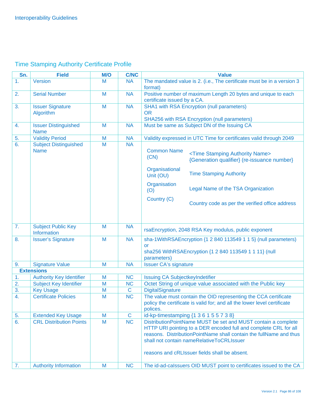# Time Stamping Authority Certificate Profile

| Sn. | <b>Field</b>                                | <b>M/O</b> | <b>C/NC</b> | <b>Value</b>                                                                                                                                                                                                                                                                                                                          |
|-----|---------------------------------------------|------------|-------------|---------------------------------------------------------------------------------------------------------------------------------------------------------------------------------------------------------------------------------------------------------------------------------------------------------------------------------------|
| 1.  | <b>Version</b>                              | M          | <b>NA</b>   | The mandated value is 2. (i.e., The certificate must be in a version 3                                                                                                                                                                                                                                                                |
|     |                                             |            |             | format)                                                                                                                                                                                                                                                                                                                               |
| 2.  | <b>Serial Number</b>                        | M          | <b>NA</b>   | Positive number of maximum Length 20 bytes and unique to each                                                                                                                                                                                                                                                                         |
|     |                                             |            |             | certificate issued by a CA.                                                                                                                                                                                                                                                                                                           |
| 3.  | <b>Issuer Signature</b>                     | M          | <b>NA</b>   | <b>SHA1 with RSA Encryption (null parameters)</b>                                                                                                                                                                                                                                                                                     |
|     | Algorithm                                   |            |             | <b>OR</b>                                                                                                                                                                                                                                                                                                                             |
|     |                                             | M          |             | <b>SHA256 with RSA Encryption (null parameters)</b>                                                                                                                                                                                                                                                                                   |
| 4.  | <b>Issuer Distinguished</b><br><b>Name</b>  |            | <b>NA</b>   | Must be same as Subject DN of the Issuing CA                                                                                                                                                                                                                                                                                          |
| 5.  | <b>Validity Period</b>                      | M          | <b>NA</b>   | Validity expressed in UTC Time for certificates valid through 2049                                                                                                                                                                                                                                                                    |
| 6.  | <b>Subject Distinguished</b><br><b>Name</b> | M          | <b>NA</b>   | <b>Common Name</b><br><time authority="" name="" stamping=""><br/>(CN)<br/>{Generation qualifier} (re-issuance number}<br/>Organisational<br/><b>Time Stamping Authority</b><br/>Unit (OU)<br/>Organisation<br/>Legal Name of the TSA Organization<br/>(O)<br/>Country (C)<br/>Country code as per the verified office address</time> |
| 7.  | <b>Subject Public Key</b><br>Information    | M          | <b>NA</b>   | rsaEncryption, 2048 RSA Key modulus, public exponent                                                                                                                                                                                                                                                                                  |
| 8.  | <b>Issuer's Signature</b>                   | M          | <b>NA</b>   | sha-1WithRSAEncryption {1 2 840 113549 1 1 5} (null parameters)<br><b>or</b><br>sha256 WithRSAEncryption {1 2 840 113549 1 1 11} (null<br>parameters)                                                                                                                                                                                 |
| 9.  | <b>Signature Value</b>                      | M          | <b>NA</b>   | <b>Issuer CA's signature</b>                                                                                                                                                                                                                                                                                                          |
|     | <b>Extensions</b>                           |            |             |                                                                                                                                                                                                                                                                                                                                       |
| 1.  | <b>Authority Key Identifier</b>             | M          | <b>NC</b>   | <b>Issuing CA SubjectkeyIndetifier</b>                                                                                                                                                                                                                                                                                                |
| 2.  | <b>Subject Key Identifier</b>               | M          | <b>NC</b>   | Octet String of unique value associated with the Public key                                                                                                                                                                                                                                                                           |
| 3.  | <b>Key Usage</b>                            | M          | $\mathbf C$ | <b>DigitalSignature</b>                                                                                                                                                                                                                                                                                                               |
| 4.  | <b>Certificate Policies</b>                 | M          | <b>NC</b>   | The value must contain the OID representing the CCA certificate<br>policy the certificate is valid for; and all the lower level certificate<br>polices.                                                                                                                                                                               |
| 5.  | <b>Extended Key Usage</b>                   | M          | $\mathbf C$ | id-kp-timestamping {1 3 6 1 5 5 7 3 8}                                                                                                                                                                                                                                                                                                |
| 6.  | <b>CRL Distribution Points</b>              | M          | <b>NC</b>   | DistributionPointName MUST be set and MUST contain a complete<br>HTTP URI pointing to a DER encoded full and complete CRL for all<br>reasons. Distribution Point Name shall contain the full Name and thus<br>shall not contain nameRelativeToCRLIssuer<br>reasons and cRLIssuer fields shall be absent.                              |
| 7.  | <b>Authority Information</b>                | M          | <b>NC</b>   | The id-ad-calssuers OID MUST point to certificates issued to the CA                                                                                                                                                                                                                                                                   |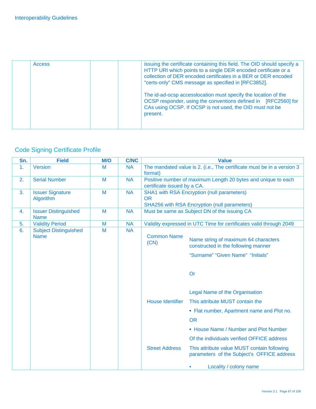| <b>Access</b> | issuing the certificate containing this field. The OID should specify a<br>HTTP URI which points to a single DER encoded certificate or a<br>collection of DER encoded certificates in a BER or DER encoded<br>"certs-only" CMS message as specified in [RFC3852]. |
|---------------|--------------------------------------------------------------------------------------------------------------------------------------------------------------------------------------------------------------------------------------------------------------------|
|               | The id-ad-ocsp accesslocation must specify the location of the<br>OCSP responder, using the conventions defined in [RFC2560] for<br>CAs using OCSP. If OCSP is not used, the OID must not be<br>present.                                                           |

# Code Signing Certificate Profile

| Sn. | <b>Field</b>                 | M/O | <b>C/NC</b> |                             | <b>Value</b>                                                                                        |
|-----|------------------------------|-----|-------------|-----------------------------|-----------------------------------------------------------------------------------------------------|
| 1.  | Version                      | M   | <b>NA</b>   | format)                     | The mandated value is 2. (i.e., The certificate must be in a version 3                              |
| 2.  | <b>Serial Number</b>         | M   | <b>NA</b>   | certificate issued by a CA. | Positive number of maximum Length 20 bytes and unique to each                                       |
| 3.  | <b>Issuer Signature</b>      | M   | <b>NA</b>   |                             | <b>SHA1 with RSA Encryption (null parameters)</b>                                                   |
|     | Algorithm                    |     |             | <b>OR</b>                   |                                                                                                     |
| 4.  | <b>Issuer Distinguished</b>  | M   | <b>NA</b>   |                             | <b>SHA256 with RSA Encryption (null parameters)</b><br>Must be same as Subject DN of the issuing CA |
|     | <b>Name</b>                  |     |             |                             |                                                                                                     |
| 5.  | <b>Validity Period</b>       | M   | <b>NA</b>   |                             | Validity expressed in UTC Time for certificates valid through 2049                                  |
| 6.  | <b>Subject Distinguished</b> | M   | <b>NA</b>   |                             |                                                                                                     |
|     | <b>Name</b>                  |     |             | <b>Common Name</b>          | Name string of maximum 64 characters                                                                |
|     |                              |     |             | (CN)                        | constructed in the following manner                                                                 |
|     |                              |     |             |                             | "Surname" "Given Name" "Initials"                                                                   |
|     |                              |     |             |                             |                                                                                                     |
|     |                              |     |             |                             |                                                                                                     |
|     |                              |     |             |                             | Or                                                                                                  |
|     |                              |     |             |                             | Legal Name of the Organisation                                                                      |
|     |                              |     |             | <b>House Identifier</b>     | This attribute MUST contain the                                                                     |
|     |                              |     |             |                             | • Flat number, Apartment name and Plot no.                                                          |
|     |                              |     |             |                             | <b>OR</b>                                                                                           |
|     |                              |     |             |                             | • House Name / Number and Plot Number                                                               |
|     |                              |     |             |                             | Of the individuals verified OFFICE address                                                          |
|     |                              |     |             | <b>Street Address</b>       | This attribute value MUST contain following<br>parameters of the Subject's OFFICE address           |
|     |                              |     |             |                             | Locality / colony name                                                                              |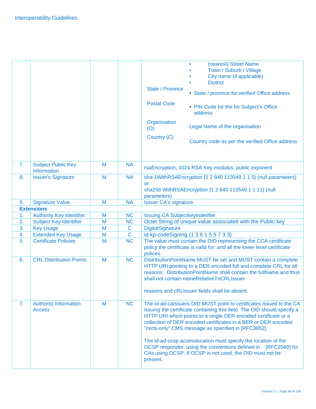|    |                                                          |        |                               | (nearest) Street Name<br>Town / Suburb / Village<br>City name (if applicable)<br><b>District</b><br><b>State / Province</b><br>• State / province for verified Office address<br><b>Postal Code</b><br>• PIN Code for the for Subject's Office<br>address.<br>Organisation<br>Legal Name of the organisation<br>(O)<br>Country (C)<br>Country code as per the verified Office address                                                                                                                                                                 |
|----|----------------------------------------------------------|--------|-------------------------------|-------------------------------------------------------------------------------------------------------------------------------------------------------------------------------------------------------------------------------------------------------------------------------------------------------------------------------------------------------------------------------------------------------------------------------------------------------------------------------------------------------------------------------------------------------|
| 7. | <b>Subject Public Key</b><br>Information                 | M      | <b>NA</b>                     | rsaEncryption, 1024 RSA Key modulus, public exponent                                                                                                                                                                                                                                                                                                                                                                                                                                                                                                  |
| 8. | <b>Issuer's Signature</b>                                | M      | <b>NA</b>                     | sha-1WithRSAEncryption {1 2 840 113549 1 1 5} (null parameters)<br><b>or</b><br>sha256 WithRSAEncryption {1 2 840 113549 1 1 11} (null<br>parameters)                                                                                                                                                                                                                                                                                                                                                                                                 |
| 9. | <b>Signature Value</b>                                   | M      | <b>NA</b>                     | <b>Issuer CA's signature</b>                                                                                                                                                                                                                                                                                                                                                                                                                                                                                                                          |
|    | <b>Extensions</b>                                        |        |                               |                                                                                                                                                                                                                                                                                                                                                                                                                                                                                                                                                       |
| 1. | <b>Authority Key Identifier</b>                          | M      | <b>NC</b>                     | <b>Issuing CA SubjectkeyIndetifier</b>                                                                                                                                                                                                                                                                                                                                                                                                                                                                                                                |
| 2. | <b>Subject Key Identifier</b>                            | M      | <b>NC</b>                     | Octet String of unique value associated with the Public key                                                                                                                                                                                                                                                                                                                                                                                                                                                                                           |
| 3. | <b>Key Usage</b>                                         | M<br>M | $\mathbf C$<br>$\overline{C}$ | <b>DigitalSignature</b>                                                                                                                                                                                                                                                                                                                                                                                                                                                                                                                               |
| 4. | <b>Extended Key Usage</b><br><b>Certificate Policies</b> | M      | <b>NC</b>                     | id-kp-codeSigning {1 3 6 1 5 5 7 3 3}                                                                                                                                                                                                                                                                                                                                                                                                                                                                                                                 |
| 5. |                                                          |        |                               | The value must contain the OID representing the CCA certificate<br>policy the certificate is valid for; and all the lower level certificate<br>polices.                                                                                                                                                                                                                                                                                                                                                                                               |
| 6. | <b>CRL Distribution Points</b>                           | M      | <b>NC</b>                     | DistributionPointName MUST be set and MUST contain a complete<br>HTTP URI pointing to a DER encoded full and complete CRL for all<br>reasons. Distribution Point Name shall contain the full Name and thus<br>shall not contain nameRelativeToCRLIssuer<br>reasons and cRLIssuer fields shall be absent.                                                                                                                                                                                                                                              |
| 7. | <b>Authority Information</b><br><b>Access</b>            | M      | NC                            | The id-ad-calssuers OID MUST point to certificates issued to the CA<br>issuing the certificate containing this field. The OID should specify a<br>HTTP URI which points to a single DER encoded certificate or a<br>collection of DER encoded certificates in a BER or DER encoded<br>"certs-only" CMS message as specified in [RFC3852].<br>The id-ad-ocsp accesslocation must specify the location of the<br>OCSP responder, using the conventions defined in [RFC2560] for<br>CAs using OCSP. If OCSP is not used, the OID must not be<br>present. |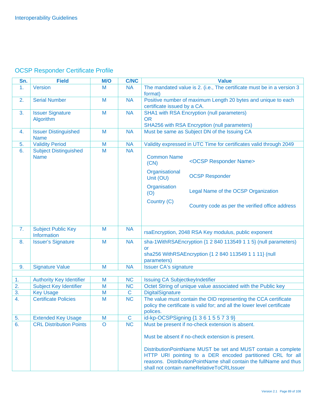### OCSP Responder Certificate Profile

| Sn. | <b>Field</b>                                | M/O            | <b>C/NC</b> | <b>Value</b>                                                                                                                                                                                                                                    |
|-----|---------------------------------------------|----------------|-------------|-------------------------------------------------------------------------------------------------------------------------------------------------------------------------------------------------------------------------------------------------|
| 1.  | Version                                     | M              | <b>NA</b>   | The mandated value is 2. (i.e., The certificate must be in a version 3<br>format)                                                                                                                                                               |
| 2.  | <b>Serial Number</b>                        | M              | <b>NA</b>   | Positive number of maximum Length 20 bytes and unique to each<br>certificate issued by a CA.                                                                                                                                                    |
| 3.  | <b>Issuer Signature</b><br>Algorithm        | M              | <b>NA</b>   | <b>SHA1 with RSA Encryption (null parameters)</b><br><b>OR</b><br>SHA256 with RSA Encryption (null parameters)                                                                                                                                  |
| 4.  | <b>Issuer Distinguished</b><br><b>Name</b>  | M              | <b>NA</b>   | Must be same as Subject DN of the Issuing CA                                                                                                                                                                                                    |
| 5.  | <b>Validity Period</b>                      | M              | <b>NA</b>   | Validity expressed in UTC Time for certificates valid through 2049                                                                                                                                                                              |
| 6.  | <b>Subject Distinguished</b><br><b>Name</b> | M              | <b>NA</b>   | <b>Common Name</b><br><ocsp name="" responder=""><br/>(CN)</ocsp>                                                                                                                                                                               |
|     |                                             |                |             | Organisational<br><b>OCSP Responder</b><br>Unit (OU)                                                                                                                                                                                            |
|     |                                             |                |             | Organisation<br>Legal Name of the OCSP Organization<br>(O)                                                                                                                                                                                      |
|     |                                             |                |             | Country (C)<br>Country code as per the verified office address                                                                                                                                                                                  |
|     |                                             |                |             |                                                                                                                                                                                                                                                 |
| 7.  | <b>Subject Public Key</b><br>Information    | M              | <b>NA</b>   | rsaEncryption, 2048 RSA Key modulus, public exponent                                                                                                                                                                                            |
| 8.  | <b>Issuer's Signature</b>                   | M              | <b>NA</b>   | sha-1WithRSAEncryption {1 2 840 113549 1 1 5} (null parameters)<br><b>or</b><br>sha256 WithRSAEncryption {1 2 840 113549 1 1 11} (null<br>parameters)                                                                                           |
| 9.  | <b>Signature Value</b>                      | M              | <b>NA</b>   | <b>Issuer CA's signature</b>                                                                                                                                                                                                                    |
|     |                                             |                |             |                                                                                                                                                                                                                                                 |
| 1.  | <b>Authority Key Identifier</b>             | M              | <b>NC</b>   | Issuing CA SubjectkeyIndetifier                                                                                                                                                                                                                 |
| 2.  | <b>Subject Key Identifier</b>               | M              | <b>NC</b>   | Octet String of unique value associated with the Public key                                                                                                                                                                                     |
| 3.  | <b>Key Usage</b>                            | M              | $\mathbf C$ | <b>DigitalSignature</b>                                                                                                                                                                                                                         |
| 4.  | <b>Certificate Policies</b>                 | M              | <b>NC</b>   | The value must contain the OID representing the CCA certificate<br>policy the certificate is valid for; and all the lower level certificate<br>polices.                                                                                         |
| 5.  | <b>Extended Key Usage</b>                   | M              | $\mathbf C$ | id-kp-OCSPSigning {1 3 6 1 5 5 7 3 9}                                                                                                                                                                                                           |
| 6.  | <b>CRL Distribution Points</b>              | $\overline{O}$ | NC          | Must be present if no-check extension is absent.                                                                                                                                                                                                |
|     |                                             |                |             | Must be absent if no-check extension is present.                                                                                                                                                                                                |
|     |                                             |                |             | DistributionPointName MUST be set and MUST contain a complete<br>HTTP URI pointing to a DER encoded partitioned CRL for all<br>reasons. Distribution PointName shall contain the fullName and thus<br>shall not contain nameRelativeToCRLIssuer |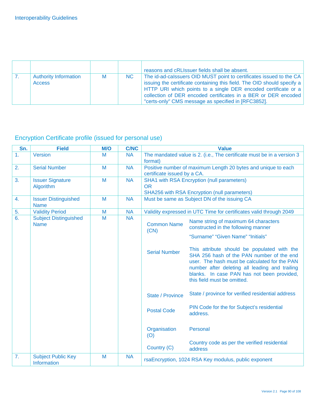|                                               |   |    | reasons and cRLIssuer fields shall be absent.                                                                                                                                                                                                                                                                                             |
|-----------------------------------------------|---|----|-------------------------------------------------------------------------------------------------------------------------------------------------------------------------------------------------------------------------------------------------------------------------------------------------------------------------------------------|
| <b>Authority Information</b><br><b>Access</b> | M | NC | The id-ad-calssuers OID MUST point to certificates issued to the CA<br>issuing the certificate containing this field. The OID should specify a<br>HTTP URI which points to a single DER encoded certificate or a<br>collection of DER encoded certificates in a BER or DER encoded<br>"certs-only" CMS message as specified in [RFC3852]. |

# Encryption Certificate profile (issued for personal use)

| Sn.            | <b>Field</b>                                    | <b>M/O</b> | <b>C/NC</b> |                             | <b>Value</b>                                                                                                                                                                                                                                                             |
|----------------|-------------------------------------------------|------------|-------------|-----------------------------|--------------------------------------------------------------------------------------------------------------------------------------------------------------------------------------------------------------------------------------------------------------------------|
| 1 <sub>1</sub> | Version                                         | M          | <b>NA</b>   | format)                     | The mandated value is 2. (i.e., The certificate must be in a version 3                                                                                                                                                                                                   |
| 2.             | <b>Serial Number</b>                            | M          | <b>NA</b>   | certificate issued by a CA. | Positive number of maximum Length 20 bytes and unique to each                                                                                                                                                                                                            |
| 3.             | <b>Issuer Signature</b><br>Algorithm            | M          | <b>NA</b>   | <b>OR</b>                   | <b>SHA1 with RSA Encryption (null parameters)</b><br><b>SHA256 with RSA Encryption (null parameters)</b>                                                                                                                                                                 |
| 4.             | <b>Issuer Distinguished</b><br><b>Name</b>      | M          | <b>NA</b>   |                             | Must be same as Subject DN of the issuing CA                                                                                                                                                                                                                             |
| 5.             | <b>Validity Period</b>                          | M          | <b>NA</b>   |                             | Validity expressed in UTC Time for certificates valid through 2049                                                                                                                                                                                                       |
| 6.             | <b>Subject Distinguished</b><br><b>Name</b>     | M          | <b>NA</b>   | <b>Common Name</b><br>(CN)  | Name string of maximum 64 characters<br>constructed in the following manner                                                                                                                                                                                              |
|                |                                                 |            |             |                             | "Surname" "Given Name" "Initials"                                                                                                                                                                                                                                        |
|                |                                                 |            |             | <b>Serial Number</b>        | This attribute should be populated with the<br>SHA 256 hash of the PAN number of the end<br>user. The hash must be calculated for the PAN<br>number after deleting all leading and trailing<br>blanks. In case PAN has not been provided,<br>this field must be omitted. |
|                |                                                 |            |             | <b>State / Province</b>     | State / province for verified residential address                                                                                                                                                                                                                        |
|                |                                                 |            |             | <b>Postal Code</b>          | PIN Code for the for Subject's residential<br>address.                                                                                                                                                                                                                   |
|                |                                                 |            |             | Organisation<br>(O)         | Personal                                                                                                                                                                                                                                                                 |
|                |                                                 |            |             | Country (C)                 | Country code as per the verified residential<br>address                                                                                                                                                                                                                  |
| 7.             | <b>Subject Public Key</b><br><b>Information</b> | M          | <b>NA</b>   |                             | rsaEncryption, 1024 RSA Key modulus, public exponent                                                                                                                                                                                                                     |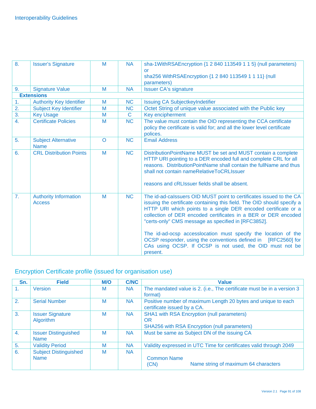| $\overline{8}$ . | <b>Issuer's Signature</b>                     | M       | <b>NA</b>   | sha-1WithRSAEncryption {1 2 840 113549 1 1 5} (null parameters)<br><b>or</b><br>sha256 WithRSAEncryption {1 2 840 113549 1 1 11} (null<br>parameters)                                                                                                                                                                                                                                                                                                                                                                                                 |
|------------------|-----------------------------------------------|---------|-------------|-------------------------------------------------------------------------------------------------------------------------------------------------------------------------------------------------------------------------------------------------------------------------------------------------------------------------------------------------------------------------------------------------------------------------------------------------------------------------------------------------------------------------------------------------------|
| 9.               | <b>Signature Value</b>                        | M       | <b>NA</b>   | <b>Issuer CA's signature</b>                                                                                                                                                                                                                                                                                                                                                                                                                                                                                                                          |
|                  | <b>Extensions</b>                             |         |             |                                                                                                                                                                                                                                                                                                                                                                                                                                                                                                                                                       |
| 1.               | <b>Authority Key Identifier</b>               | M       | <b>NC</b>   | <b>Issuing CA SubjectkeyIndetifier</b>                                                                                                                                                                                                                                                                                                                                                                                                                                                                                                                |
| 2.               | <b>Subject Key Identifier</b>                 | M       | <b>NC</b>   | Octet String of unique value associated with the Public key                                                                                                                                                                                                                                                                                                                                                                                                                                                                                           |
| 3.               | <b>Key Usage</b>                              | M       | $\mathbf C$ | Key encipherment                                                                                                                                                                                                                                                                                                                                                                                                                                                                                                                                      |
| $\overline{4}$ . | <b>Certificate Policies</b>                   | M       | <b>NC</b>   | The value must contain the OID representing the CCA certificate<br>policy the certificate is valid for; and all the lower level certificate<br>polices.                                                                                                                                                                                                                                                                                                                                                                                               |
| 5.               | <b>Subject Alternative</b><br><b>Name</b>     | $\circ$ | <b>NC</b>   | <b>Email Address</b>                                                                                                                                                                                                                                                                                                                                                                                                                                                                                                                                  |
| 6.               | <b>CRL Distribution Points</b>                | M       | <b>NC</b>   | DistributionPointName MUST be set and MUST contain a complete<br>HTTP URI pointing to a DER encoded full and complete CRL for all<br>reasons. DistributionPointName shall contain the fullName and thus<br>shall not contain nameRelativeToCRLIssuer<br>reasons and cRLIssuer fields shall be absent.                                                                                                                                                                                                                                                 |
| 7.               | <b>Authority Information</b><br><b>Access</b> | M       | <b>NC</b>   | The id-ad-calssuers OID MUST point to certificates issued to the CA<br>issuing the certificate containing this field. The OID should specify a<br>HTTP URI which points to a single DER encoded certificate or a<br>collection of DER encoded certificates in a BER or DER encoded<br>"certs-only" CMS message as specified in [RFC3852].<br>The id-ad-ocsp accesslocation must specify the location of the<br>OCSP responder, using the conventions defined in [RFC2560] for<br>CAs using OCSP. If OCSP is not used, the OID must not be<br>present. |

# Encryption Certificate profile (issued for organisation use)

| Sn.              | <b>Field</b>                                | <b>M/O</b> | <b>C/NC</b> | <b>Value</b>                                                                                                          |
|------------------|---------------------------------------------|------------|-------------|-----------------------------------------------------------------------------------------------------------------------|
| 1.               | Version                                     | М          | <b>NA</b>   | The mandated value is 2. (i.e., The certificate must be in a version 3<br>format)                                     |
| 2.               | <b>Serial Number</b>                        | M          | <b>NA</b>   | Positive number of maximum Length 20 bytes and unique to each<br>certificate issued by a CA.                          |
| 3.               | <b>Issuer Signature</b><br>Algorithm        | M          | <b>NA</b>   | <b>SHA1 with RSA Encryption (null parameters)</b><br><b>OR</b><br><b>SHA256 with RSA Encryption (null parameters)</b> |
| $\overline{4}$ . | <b>Issuer Distinguished</b><br><b>Name</b>  | M          | <b>NA</b>   | Must be same as Subject DN of the issuing CA                                                                          |
| 5.               | <b>Validity Period</b>                      | M          | <b>NA</b>   | Validity expressed in UTC Time for certificates valid through 2049                                                    |
| 6.               | <b>Subject Distinguished</b><br><b>Name</b> | M          | <b>NA</b>   | <b>Common Name</b><br>Name string of maximum 64 characters<br>(CN)                                                    |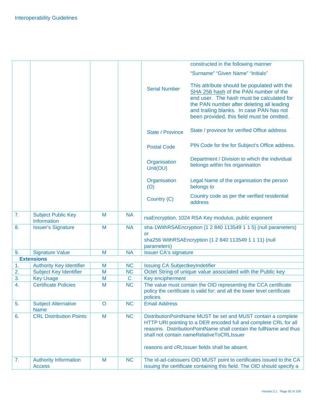|    |                                           |         |                          |                                        | constructed in the following manner                                                                                                                                                                                                                                                                   |
|----|-------------------------------------------|---------|--------------------------|----------------------------------------|-------------------------------------------------------------------------------------------------------------------------------------------------------------------------------------------------------------------------------------------------------------------------------------------------------|
|    |                                           |         |                          |                                        |                                                                                                                                                                                                                                                                                                       |
|    |                                           |         |                          |                                        | "Surname" "Given Name" "Initials"                                                                                                                                                                                                                                                                     |
|    |                                           |         |                          | <b>Serial Number</b>                   | This attribute should be populated with the<br>SHA 256 hash of the PAN number of the<br>end user. The hash must be calculated for<br>the PAN number after deleting all leading<br>and trailing blanks. In case PAN has not<br>been provided, this field must be omitted.                              |
|    |                                           |         |                          | <b>State / Province</b>                | State / province for verified Office address                                                                                                                                                                                                                                                          |
|    |                                           |         |                          | <b>Postal Code</b>                     | PIN Code for the for Subject's Office address.                                                                                                                                                                                                                                                        |
|    |                                           |         |                          | Organisation<br>Unit(OU)               | Department / Division to which the individual<br>belongs within his organisation                                                                                                                                                                                                                      |
|    |                                           |         |                          | Organisation<br>(O)                    | Legal Name of the organisation the person<br>belongs to                                                                                                                                                                                                                                               |
|    |                                           |         |                          | Country (C)                            | Country code as per the verified residential<br>address                                                                                                                                                                                                                                               |
| 7. | <b>Subject Public Key</b>                 | M       | <b>NA</b>                |                                        |                                                                                                                                                                                                                                                                                                       |
|    | Information                               |         |                          |                                        | rsaEncryption, 1024 RSA Key modulus, public exponent                                                                                                                                                                                                                                                  |
| 8. | <b>Issuer's Signature</b>                 | M       | <b>NA</b>                |                                        | sha-1WithRSAEncryption {1 2 840 113549 1 1 5} (null parameters)                                                                                                                                                                                                                                       |
|    |                                           |         |                          | <b>or</b><br>parameters)               | sha256 WithRSAEncryption {1 2 840 113549 1 1 11} (null                                                                                                                                                                                                                                                |
| 9. | <b>Signature Value</b>                    | M       | <b>NA</b>                | <b>Issuer CA's signature</b>           |                                                                                                                                                                                                                                                                                                       |
|    | <b>Extensions</b>                         |         |                          |                                        |                                                                                                                                                                                                                                                                                                       |
| 1. | <b>Authority Key Identifier</b>           | M       | <b>NC</b>                | <b>Issuing CA SubjectkeyIndetifier</b> |                                                                                                                                                                                                                                                                                                       |
| 2. | <b>Subject Key Identifier</b>             | M       | <b>NC</b>                |                                        | Octet String of unique value associated with the Public key                                                                                                                                                                                                                                           |
| 3. | <b>Key Usage</b>                          | M       | $\mathbf C$<br><b>NC</b> | Key encipherment                       |                                                                                                                                                                                                                                                                                                       |
| 4. | <b>Certificate Policies</b>               | M       |                          | polices.                               | The value must contain the OID representing the CCA certificate<br>policy the certificate is valid for; and all the lower level certificate                                                                                                                                                           |
| 5. | <b>Subject Alternative</b><br><b>Name</b> | $\circ$ | <b>NC</b>                | <b>Email Address</b>                   |                                                                                                                                                                                                                                                                                                       |
| 6. | <b>CRL Distribution Points</b>            | M       | <b>NC</b>                |                                        | DistributionPointName MUST be set and MUST contain a complete<br>HTTP URI pointing to a DER encoded full and complete CRL for all<br>reasons. DistributionPointName shall contain the fullName and thus<br>shall not contain nameRelativeToCRLIssuer<br>reasons and cRLIssuer fields shall be absent. |
| 7. | <b>Authority Information</b>              | M       | <b>NC</b>                |                                        | The id-ad-calssuers OID MUST point to certificates issued to the CA                                                                                                                                                                                                                                   |
|    | <b>Access</b>                             |         |                          |                                        | issuing the certificate containing this field. The OID should specify a                                                                                                                                                                                                                               |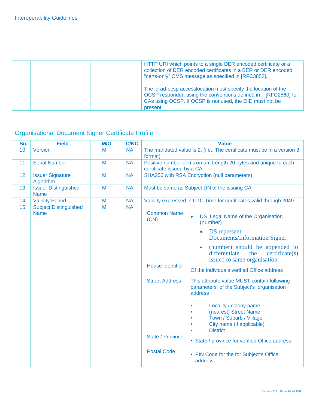| HTTP URI which points to a single DER encoded certificate or a<br>collection of DER encoded certificates in a BER or DER encoded<br>"certs-only" CMS message as specified in [RFC3852].                  |
|----------------------------------------------------------------------------------------------------------------------------------------------------------------------------------------------------------|
| The id-ad-ocsp accesslocation must specify the location of the<br>OCSP responder, using the conventions defined in [RFC2560] for<br>CAs using OCSP. If OCSP is not used, the OID must not be<br>present. |

# Organisational Document Signer Certificate Profile

| Sn. | <b>Field</b>                                | M/O | <b>C/NC</b> | <b>Value</b>                                                                                                                |
|-----|---------------------------------------------|-----|-------------|-----------------------------------------------------------------------------------------------------------------------------|
| 10. | Version                                     | M   | <b>NA</b>   | The mandated value is 2. (i.e., The certificate must be in a version 3<br>format)                                           |
| 11. | <b>Serial Number</b>                        | M   | <b>NA</b>   | Positive number of maximum Length 20 bytes and unique to each<br>certificate issued by a CA.                                |
| 12. | <b>Issuer Signature</b><br>Algorithm        | M   | <b>NA</b>   | <b>SHA256 with RSA Encryption (null parameters)</b>                                                                         |
| 13. | <b>Issuer Distinguished</b><br><b>Name</b>  | M   | <b>NA</b>   | Must be same as Subject DN of the issuing CA                                                                                |
| 14. | <b>Validity Period</b>                      | M   | <b>NA</b>   | Validity expressed in UTC Time for certificates valid through 2049                                                          |
| 15. | <b>Subject Distinguished</b><br><b>Name</b> | M   | <b>NA</b>   | <b>Common Name</b><br>DS Legal Name of the Organisation<br>(CN)<br>(number)                                                 |
|     |                                             |     |             | <b>DS</b> represent<br>$\bullet$<br>Documents/Information Signer.                                                           |
|     |                                             |     |             | (number) should be appended to<br>$\bullet$<br>differentiate<br>the<br>centricate(s)<br>issued to same organisation         |
|     |                                             |     |             | <b>House Identifier</b><br>Of the individuals verified Office address                                                       |
|     |                                             |     |             | <b>Street Address</b><br>This attribute value MUST contain following<br>parameters of the Subject's organisation<br>address |
|     |                                             |     |             | Locality / colony name<br>(nearest) Street Name<br>Town / Suburb / Village<br>City name (if applicable)<br><b>District</b>  |
|     |                                             |     |             | <b>State / Province</b><br>• State / province for verified Office address                                                   |
|     |                                             |     |             | <b>Postal Code</b><br>• PIN Code for the for Subject's Office<br>address.                                                   |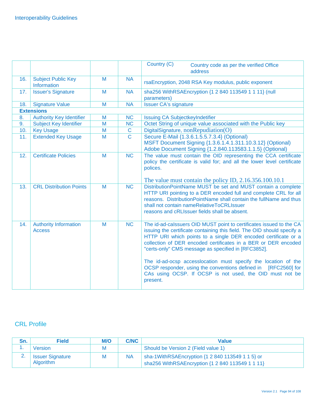|     |                                               |   |                | Country (C)<br>Country code as per the verified Office<br>address                                                                                                                                                                                                                                                                                                                                                                                                                                                                                     |
|-----|-----------------------------------------------|---|----------------|-------------------------------------------------------------------------------------------------------------------------------------------------------------------------------------------------------------------------------------------------------------------------------------------------------------------------------------------------------------------------------------------------------------------------------------------------------------------------------------------------------------------------------------------------------|
| 16. | <b>Subject Public Key</b><br>Information      | M | <b>NA</b>      | rsaEncryption, 2048 RSA Key modulus, public exponent                                                                                                                                                                                                                                                                                                                                                                                                                                                                                                  |
| 17. | <b>Issuer's Signature</b>                     | M | <b>NA</b>      | sha256 WithRSAEncryption {1 2 840 113549 1 1 11} (null<br>parameters)                                                                                                                                                                                                                                                                                                                                                                                                                                                                                 |
| 18. | <b>Signature Value</b>                        | M | <b>NA</b>      | <b>Issuer CA's signature</b>                                                                                                                                                                                                                                                                                                                                                                                                                                                                                                                          |
|     | <b>Extensions</b>                             |   |                |                                                                                                                                                                                                                                                                                                                                                                                                                                                                                                                                                       |
| 8.  | <b>Authority Key Identifier</b>               | M | <b>NC</b>      | <b>Issuing CA SubjectkeyIndetifier</b>                                                                                                                                                                                                                                                                                                                                                                                                                                                                                                                |
| 9.  | <b>Subject Key Identifier</b>                 | M | <b>NC</b>      | Octet String of unique value associated with the Public key                                                                                                                                                                                                                                                                                                                                                                                                                                                                                           |
| 10. | <b>Key Usage</b>                              | M | $\mathbf C$    | DigitalSignature, nonRepudiation(O)                                                                                                                                                                                                                                                                                                                                                                                                                                                                                                                   |
| 11. | <b>Extended Key Usage</b>                     | M | $\overline{C}$ | Secure E-Mail {1.3.6.1.5.5.7.3.4} (Optional)<br>MSFT Document Signing {1.3.6.1.4.1.311.10.3.12} (Optional)<br>Adobe Document Signing {1.2.840.113583.1.1.5} (Optional)                                                                                                                                                                                                                                                                                                                                                                                |
| 12. | <b>Certificate Policies</b>                   | M | <b>NC</b>      | The value must contain the OID representing the CCA certificate<br>policy the certificate is valid for; and all the lower level certificate<br>polices.                                                                                                                                                                                                                                                                                                                                                                                               |
| 13. | <b>CRL Distribution Points</b>                | M | <b>NC</b>      | The value must contain the policy ID, 2.16.356.100.10.1<br>DistributionPointName MUST be set and MUST contain a complete<br>HTTP URI pointing to a DER encoded full and complete CRL for all<br>reasons. Distribution Point Name shall contain the full Name and thus<br>shall not contain nameRelativeToCRLIssuer<br>reasons and cRLIssuer fields shall be absent.                                                                                                                                                                                   |
| 14. | <b>Authority Information</b><br><b>Access</b> | M | <b>NC</b>      | The id-ad-calssuers OID MUST point to certificates issued to the CA<br>issuing the certificate containing this field. The OID should specify a<br>HTTP URI which points to a single DER encoded certificate or a<br>collection of DER encoded certificates in a BER or DER encoded<br>"certs-only" CMS message as specified in [RFC3852].<br>The id-ad-ocsp accesslocation must specify the location of the<br>OCSP responder, using the conventions defined in [RFC2560] for<br>CAs using OCSP. If OCSP is not used, the OID must not be<br>present. |

### CRL Profile

| Sn.      | <b>Field</b>                         | M/O | <b>C/NC</b> | Value                                                                                                |
|----------|--------------------------------------|-----|-------------|------------------------------------------------------------------------------------------------------|
|          | Version                              | М   |             | Should be Version 2 (Field value 1)                                                                  |
| <u>.</u> | <b>Issuer Signature</b><br>Algorithm | M   | <b>NA</b>   | sha-1WithRSAEncryption {1 2 840 113549 1 1 5} or<br>sha256 WithRSAEncryption {1 2 840 113549 1 1 11} |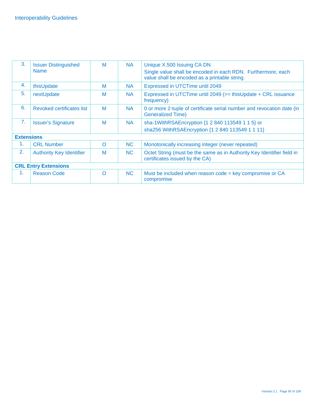| 3.                | <b>Issuer Distinguished</b><br><b>Name</b> | M        | <b>NA</b> | Unique X.500 Issuing CA DN<br>Single value shall be encoded in each RDN. Furthermore, each<br>value shall be encoded as a printable string. |
|-------------------|--------------------------------------------|----------|-----------|---------------------------------------------------------------------------------------------------------------------------------------------|
| 4.                | thisUpdate                                 | M        | <b>NA</b> | Expressed in UTCTime until 2049                                                                                                             |
| 5.                | nextUpdate                                 | M        | <b>NA</b> | Expressed in UTCTime until 2049 (>= thisUpdate + CRL issuance<br>frequency)                                                                 |
| 6.                | Revoked certificates list                  | M        | <b>NA</b> | 0 or more 2-tuple of certificate serial number and revocation date (in<br><b>Generalized Time)</b>                                          |
| 7 <sub>1</sub>    | <b>Issuer's Signature</b>                  | M        | <b>NA</b> | sha-1WithRSAEncryption {1 2 840 113549 1 1 5} or<br>sha256 WithRSAEncryption {1 2 840 113549 1 1 11}                                        |
| <b>Extensions</b> |                                            |          |           |                                                                                                                                             |
| 1.                | <b>CRL Number</b>                          | $\Omega$ | <b>NC</b> | Monotonically increasing integer (never repeated)                                                                                           |
| 2.                | <b>Authority Key Identifier</b>            | M        | NC        | Octet String (must be the same as in Authority Key Identifier field in<br>certificates issued by the CA)                                    |
|                   | <b>CRL Entry Extensions</b>                |          |           |                                                                                                                                             |
| 1 <sub>1</sub>    | <b>Reason Code</b>                         | $\Omega$ | <b>NC</b> | Must be included when reason code = key compromise or CA<br>compromise                                                                      |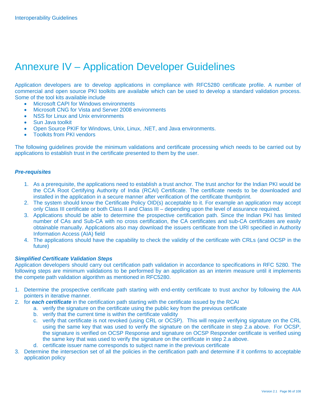# Annexure IV – Application Developer Guidelines

Application developers are to develop applications in compliance with RFC5280 certificate profile. A number of commercial and open source PKI toolkits are available which can be used to develop a standard validation process. Some of the tool kits available include

- Microsoft CAPI for Windows environments
- Microsoft CNG for Vista and Server 2008 environments
- NSS for Linux and Unix environments
- Sun Java toolkit
- Open Source PKIF for Windows, Unix, Linux, .NET, and Java environments.
- Toolkits from PKI vendors

The following guidelines provide the minimum validations and certificate processing which needs to be carried out by applications to establish trust in the certificate presented to them by the user.

#### *Pre-requisites*

- 1. As a prerequisite, the applications need to establish a trust anchor. The trust anchor for the Indian PKI would be the CCA Root Certifying Authority of India (RCAI) Certificate. The certificate needs to be downloaded and installed in the application in a secure manner after verification of the certificate thumbprint.
- 2. The system should know the Certificate Policy OID(s) acceptable to it. For example an application may accept only Class III certificate or both Class II and Class III – depending upon the level of assurance required.
- 3. Applications should be able to determine the prospective certification path. Since the Indian PKI has limited number of CAs and Sub-CA with no cross certification, the CA certificates and sub-CA certificates are easily obtainable manually. Applications also may download the issuers certificate from the URI specified in Authority Information Access (AIA) field
- 4. The applications should have the capability to check the validity of the certificate with CRLs (and OCSP in the future)

#### *Simplified Certificate Validation Steps*

Application developers should carry out certification path validation in accordance to specifications in RFC 5280. The following steps are minimum validations to be performed by an application as an interim measure until it implements the compete path validation algorithm as mentioned in RFC5280.

- 1. Determine the prospective certificate path starting with end-entity certificate to trust anchor by following the AIA pointers in iterative manner.
- 2. for *each certificate* in the certification path starting with the certificate issued by the RCAI
	- a. verify the signature on the certificate using the public key from the previous certificate
	- b. verify that the current time is within the certificate validity
	- c. verify that certificate is not revoked (using CRL or OCSP). This will require verifying signature on the CRL using the same key that was used to verify the signature on the certificate in step 2.a above. For OCSP, the signature is verified on OCSP Response and signature on OCSP Responder certificate is verified using the same key that was used to verify the signature on the certificate in step 2.a above.
	- d. certificate issuer name corresponds to subject name in the previous certificate
- 3. Determine the intersection set of all the policies in the certification path and determine if it confirms to acceptable application policy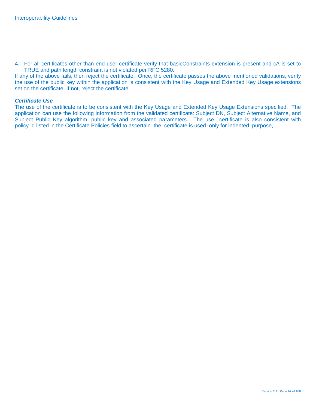4. For all certificates other than end user certificate verify that basicConstraints extension is present and cA is set to TRUE and path length constraint is not violated per RFC 5280.

If any of the above fails, then reject the certificate. Once, the certificate passes the above mentioned validations, verify the use of the public key within the application is consistent with the Key Usage and Extended Key Usage extensions set on the certificate. If not, reject the certificate.

#### *Certificate Use*

The use of the certificate is to be consistent with the Key Usage and Extended Key Usage Extensions specified. The application can use the following information from the validated certificate: Subject DN, Subject Alternative Name, and Subject Public Key algorithm, public key and associated parameters. The use certificate is also consistent with policy-id listed in the Certificate Policies field to ascertain the certificate is used only for indented purpose,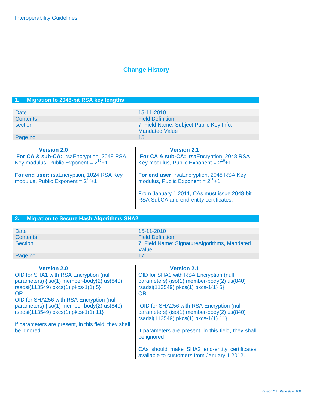# **Change History**

### **1. Migration to 2048-bit RSA key lengths**

| Date            | $15 - 11 - 2010$                                                 |
|-----------------|------------------------------------------------------------------|
| <b>Contents</b> | <b>Field Definition</b>                                          |
| section         | 7. Field Name: Subject Public Key Info,<br><b>Mandated Value</b> |
| Page no         | 15                                                               |

| <b>Version 2.0</b>                                                                    | <b>Version 2.1</b>                                                                                            |
|---------------------------------------------------------------------------------------|---------------------------------------------------------------------------------------------------------------|
| For CA & sub-CA: rsaEncryption, 2048 RSA<br>Key modulus, Public Exponent = $2^{16}+1$ | <b>For CA &amp; sub-CA:</b> rsaEncryption, $\overline{2048}$ RSA<br>Key modulus, Public Exponent = $2^{16}+1$ |
| For end user: rsaEncryption, 1024 RSA Key<br>modulus, Public Exponent = $2^{16}+1$    | For end user: rsaEncryption, 2048 RSA Key modulus, Public Exponent = $2^{16}+1$                               |
|                                                                                       | From January 1,2011, CAs must issue 2048-bit<br>RSA SubCA and end-entity certificates.                        |

### **2. Migration to Secure Hash Algorithms SHA2**

| Date            | 15-11-2010                                            |
|-----------------|-------------------------------------------------------|
| <b>Contents</b> | <b>Field Definition</b>                               |
| <b>Section</b>  | 7. Field Name: SignatureAlgorithms, Mandated<br>Value |
| Page no         | 17                                                    |

| <b>Version 2.0</b>                                                                                                                                                                     | <b>Version 2.1</b>                                                                                                                       |
|----------------------------------------------------------------------------------------------------------------------------------------------------------------------------------------|------------------------------------------------------------------------------------------------------------------------------------------|
| OID for SHA1 with RSA Encryption (null<br>parameters) {iso(1) member-body(2) us(840)<br>rsadsi(113549) pkcs(1) pkcs-1(1) 5}<br><b>OR</b>                                               | OID for SHA1 with RSA Encryption (null<br>parameters) {iso(1) member-body(2) us(840)<br>rsadsi(113549) pkcs(1) pkcs-1(1) 5}<br><b>OR</b> |
| OID for SHA256 with RSA Encryption (null<br>parameters) {iso(1) member-body(2) us(840)<br>rsadsi(113549) pkcs(1) pkcs-1(1) 11}<br>If parameters are present, in this field, they shall | OID for SHA256 with RSA Encryption (null<br>parameters) {iso(1) member-body(2) us(840)<br>rsadsi(113549) pkcs(1) pkcs-1(1) 11}           |
| be ignored.                                                                                                                                                                            | If parameters are present, in this field, they shall<br>be ignored                                                                       |
|                                                                                                                                                                                        | CAs should make SHA2 end-entity certificates<br>available to customers from January 1 2012.                                              |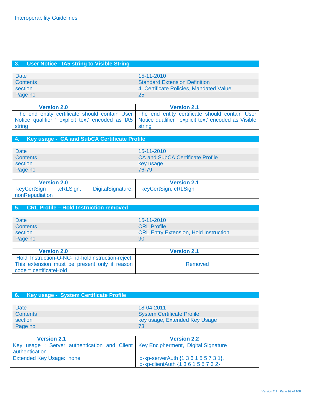### **3. User Notice - IA5 string to Visible String**

| Date            | $15 - 11 - 2010$                        |
|-----------------|-----------------------------------------|
| <b>Contents</b> | <b>Standard Extension Definition</b>    |
| section         | 4. Certificate Policies, Mandated Value |
| Page no         | 25                                      |
|                 |                                         |

| <b>Version 2.0</b> | <b>Version 2.1</b>                                                                                                                                                                                                   |
|--------------------|----------------------------------------------------------------------------------------------------------------------------------------------------------------------------------------------------------------------|
| string             | The end entity certificate should contain User   The end entity certificate should contain User<br>Notice qualifier ' explicit text' encoded as IA5   Notice qualifier ' explicit text' encoded as Visible<br>string |

### **4. Key usage - CA and SubCA Certificate Profile**

| Date            | $15 - 11 - 2010$                        |
|-----------------|-----------------------------------------|
| <b>Contents</b> | <b>CA and SubCA Certificate Profile</b> |
| section         | key usage                               |
| Page no         | 76-79                                   |

| <b>Version 2.0</b>            |           |                   | <b>Version 2.1</b>   |  |
|-------------------------------|-----------|-------------------|----------------------|--|
| keyCertSign<br>nonRepudiation | ,cRLSign, | DigitalSignature, | keyCertSign, cRLSign |  |

#### **5. CRL Profile – Hold Instruction removed**

| Date     | 15-11-2010                                   |
|----------|----------------------------------------------|
| Contents | <b>CRL</b> Profile                           |
| section  | <b>CRL Entry Extension, Hold Instruction</b> |
| Page no  | 90                                           |

| <b>Version 2.0</b>                                                                                                             | <b>Version 2.1</b> |
|--------------------------------------------------------------------------------------------------------------------------------|--------------------|
| Hold Instruction-O-NC- id-holdinstruction-reject.<br>This extension must be present only if reason<br>$code = certificateHold$ | Removed            |

### **6. Key usage - System Certificate Profile**

| Date            | 18-04-2011                        |
|-----------------|-----------------------------------|
| <b>Contents</b> | <b>System Certificate Profile</b> |
| section         | key usage, Extended Key Usage     |
| Page no         | 73                                |

| <b>Version 2.1</b>                                                                                   | <b>Version 2.2</b>                                                                          |
|------------------------------------------------------------------------------------------------------|---------------------------------------------------------------------------------------------|
| Key usage : Server authentication and Client   Key Encipherment, Digital Signature<br>authentication |                                                                                             |
| Extended Key Usage: none                                                                             | id-kp-serverAuth $\{1\ 3\ 6\ 1\ 5\ 5\ 7\ 3\ 1\}$ ,<br>lid-kp-clientAuth {1 3 6 1 5 5 7 3 2} |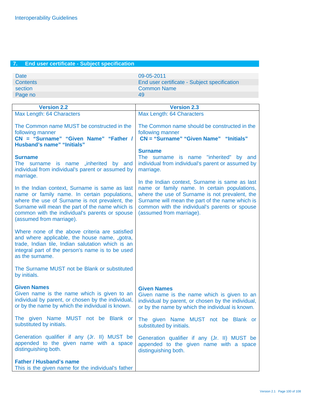### **7. End user certificate - Subject specification**

| <b>Date</b> | 09-05-2011                                   |
|-------------|----------------------------------------------|
| Contents    | End user certificate - Subject specification |
| section     | Common Name                                  |
| Page no     | 49                                           |
|             |                                              |

| <b>Version 2.2</b>                                                                                                                                                                                                                                                                | <b>Version 2.3</b>                                                                                                                                                                                                                                                                |
|-----------------------------------------------------------------------------------------------------------------------------------------------------------------------------------------------------------------------------------------------------------------------------------|-----------------------------------------------------------------------------------------------------------------------------------------------------------------------------------------------------------------------------------------------------------------------------------|
| Max Length: 64 Characters                                                                                                                                                                                                                                                         | Max Length: 64 Characters                                                                                                                                                                                                                                                         |
| The Common name MUST be constructed in the<br>following manner<br>CN = "Surname" "Given Name" "Father /<br><b>Husband's name" "Initials"</b>                                                                                                                                      | The Common name should be constructed in the<br>following manner<br>CN = "Surname" "Given Name" "Initials"                                                                                                                                                                        |
| <b>Surname</b><br>The surname is name "inherited by and<br>individual from individual's parent or assumed by<br>marriage.                                                                                                                                                         | <b>Surname</b><br>The surname is name "inherited" by and<br>individual from individual's parent or assumed by<br>marriage.                                                                                                                                                        |
| In the Indian context, Surname is same as last<br>name or family name. In certain populations,<br>where the use of Surname is not prevalent, the<br>Surname will mean the part of the name which is<br>common with the individual's parents or spouse<br>(assumed from marriage). | In the Indian context, Surname is same as last<br>name or family name. In certain populations,<br>where the use of Surname is not prevalent, the<br>Surname will mean the part of the name which is<br>common with the individual's parents or spouse<br>(assumed from marriage). |
| Where none of the above criteria are satisfied<br>and where applicable, the house name, "gotra,<br>trade, Indian tile, Indian salutation which is an<br>integral part of the person's name is to be used<br>as the surname.                                                       |                                                                                                                                                                                                                                                                                   |
| The Surname MUST not be Blank or substituted<br>by initials.                                                                                                                                                                                                                      |                                                                                                                                                                                                                                                                                   |
| <b>Given Names</b><br>Given name is the name which is given to an<br>individual by parent, or chosen by the individual,<br>or by the name by which the individual is known.                                                                                                       | <b>Given Names</b><br>Given name is the name which is given to an<br>individual by parent, or chosen by the individual,<br>or by the name by which the individual is known.                                                                                                       |
| The given Name MUST not be Blank or<br>substituted by initials.                                                                                                                                                                                                                   | The given Name MUST not be Blank or<br>substituted by initials.                                                                                                                                                                                                                   |
| Generation qualifier if any (Jr. II) MUST be<br>appended to the given name with a space<br>distinguishing both.                                                                                                                                                                   | Generation qualifier if any (Jr. II) MUST be<br>appended to the given name with a space<br>distinguishing both.                                                                                                                                                                   |
| <b>Father / Husband's name</b><br>This is the given name for the individual's father                                                                                                                                                                                              |                                                                                                                                                                                                                                                                                   |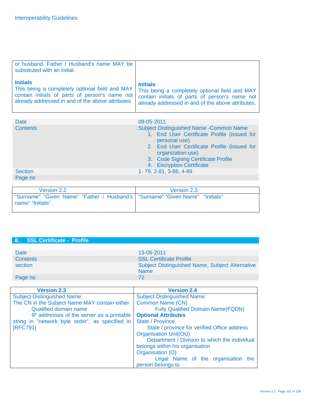| or husband. Father / Husband's name MAY be<br>substituted with an initial.                                                                                              |                                                                                                                                                                          |
|-------------------------------------------------------------------------------------------------------------------------------------------------------------------------|--------------------------------------------------------------------------------------------------------------------------------------------------------------------------|
| <b>Initials</b><br>This being a completely optional field and MAY<br>contain initials of parts of person's name not<br>already addressed in and of the above attributes | <b>Initials</b><br>This being a completely optional field and MAY<br>contain initials of parts of person's name not<br>already addressed in and of the above attributes. |

| <b>Date</b>     | 09-05-2011                                                                                                                                                                                                                                              |
|-----------------|---------------------------------------------------------------------------------------------------------------------------------------------------------------------------------------------------------------------------------------------------------|
| <b>Contents</b> | <b>Subject Distinguished Name - Common Name</b><br>1. End User Certificate Profile (issued for<br>personal use)<br>2. End User Certificate Profile (issued for<br>organization use)<br>3. Code Signing Certificate Profile<br>4. Encryption Certificate |
| <b>Section</b>  | 1-79, 2-81, 3-86, 4-89                                                                                                                                                                                                                                  |
| Page no         |                                                                                                                                                                                                                                                         |

| Version 2.2                                                                                        | Version 2.3 |
|----------------------------------------------------------------------------------------------------|-------------|
| "Surname" "Given Name" "Father / Husband's   "Surname" "Given Name" "Initials"<br>name" "Initials" |             |

### **8. SSL Certificate - Profile**

| Date<br><b>Contents</b> | 13-06-2011<br><b>SSL Certificate Profile</b>                          |
|-------------------------|-----------------------------------------------------------------------|
| section                 | <b>Subject Distinguished Name, Subject Alternative</b><br><b>Name</b> |
| Page no                 | 72                                                                    |

| <b>Version 2.3</b>                              | <b>Version 2.4</b>                            |
|-------------------------------------------------|-----------------------------------------------|
| <b>Subject Distinguished Name:</b>              | <b>Subject Distinguished Name:</b>            |
| The CN in the Subject Name MAY contain either   | Common Name (CN)                              |
| <b>Qualified domain name</b>                    | <b>Fully Qualified Domain Name(FQDN)</b>      |
| IP addresses of the server as a printable       | <b>Optional Attributes</b>                    |
| string in "network byte order", as specified in | <b>State / Province</b>                       |
| [RFC791]                                        | State / province for verified Office address  |
|                                                 | <b>Organisation Unit(OU)</b>                  |
|                                                 | Department / Division to which the individual |
|                                                 | belongs within his organisation               |
|                                                 | Organisation (O)                              |
|                                                 | Legal Name of the organisation the            |
|                                                 | person belongs to                             |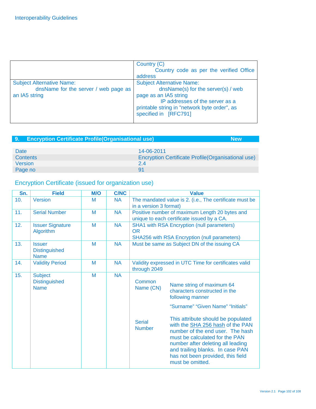|                                                                                           | Country (C)<br>Country code as per the verified Office<br>address                                                                                                                                           |
|-------------------------------------------------------------------------------------------|-------------------------------------------------------------------------------------------------------------------------------------------------------------------------------------------------------------|
| <b>Subject Alternative Name:</b><br>dnsName for the server / web page as<br>an IA5 string | <b>Subject Alternative Name:</b><br>dnsName(s) for the server(s) / web<br>page as an IA5 string<br>IP addresses of the server as a<br>printable string in "network byte order", as<br>specified in [RFC791] |

| <b>Encryption Certificate Profile (Organisational use)</b><br>⊟9.⊹ | <b>New</b>                                                 |
|--------------------------------------------------------------------|------------------------------------------------------------|
|                                                                    |                                                            |
| Date                                                               | 14-06-2011                                                 |
| <b>Contents</b>                                                    | <b>Encryption Certificate Profile (Organisational use)</b> |
| Version                                                            | 24                                                         |
| Page no                                                            | 91                                                         |

# Encryption Certificate (issued for organization use)

| Sn. | <b>Field</b>                                          | M/O | <b>C/NC</b> |                                                                                   | <b>Value</b>                                                                                                                                                                                                                                                                                                                                                                                          |
|-----|-------------------------------------------------------|-----|-------------|-----------------------------------------------------------------------------------|-------------------------------------------------------------------------------------------------------------------------------------------------------------------------------------------------------------------------------------------------------------------------------------------------------------------------------------------------------------------------------------------------------|
| 10. | Version                                               | M   | <b>NA</b>   | The mandated value is 2. (i.e., The certificate must be<br>in a version 3 format) |                                                                                                                                                                                                                                                                                                                                                                                                       |
| 11. | <b>Serial Number</b>                                  | M   | <b>NA</b>   |                                                                                   | Positive number of maximum Length 20 bytes and<br>unique to each certificate issued by a CA.                                                                                                                                                                                                                                                                                                          |
| 12. | <b>Issuer Signature</b><br>Algorithm                  | M   | <b>NA</b>   | <b>OR</b>                                                                         | <b>SHA1 with RSA Encryption (null parameters)</b><br>SHA256 with RSA Encryption (null parameters)                                                                                                                                                                                                                                                                                                     |
| 13. | <b>Issuer</b><br><b>Distinguished</b><br><b>Name</b>  | M   | <b>NA</b>   |                                                                                   | Must be same as Subject DN of the issuing CA                                                                                                                                                                                                                                                                                                                                                          |
| 14. | <b>Validity Period</b>                                | M   | <b>NA</b>   | through 2049                                                                      | Validity expressed in UTC Time for certificates valid                                                                                                                                                                                                                                                                                                                                                 |
| 15. | <b>Subject</b><br><b>Distinguished</b><br><b>Name</b> | M   | <b>NA</b>   | Common<br>Name (CN)<br><b>Serial</b><br><b>Number</b>                             | Name string of maximum 64<br>characters constructed in the<br>following manner<br>"Surname" "Given Name" "Initials"<br>This attribute should be populated<br>with the SHA 256 hash of the PAN<br>number of the end user. The hash<br>must be calculated for the PAN<br>number after deleting all leading<br>and trailing blanks. In case PAN<br>has not been provided, this field<br>must be omitted. |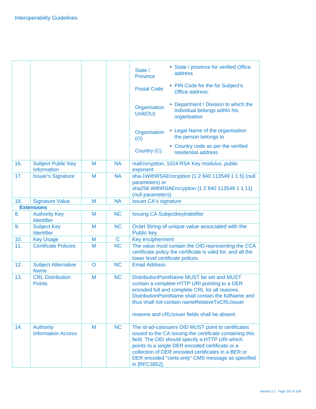|                   |                                               |         |              | • State / province for verified Office<br>State /<br>address<br>Province                                                                                                                                                                                                                                                                        |
|-------------------|-----------------------------------------------|---------|--------------|-------------------------------------------------------------------------------------------------------------------------------------------------------------------------------------------------------------------------------------------------------------------------------------------------------------------------------------------------|
|                   |                                               |         |              | • PIN Code for the for Subject's<br><b>Postal Code</b><br>Office address.                                                                                                                                                                                                                                                                       |
|                   |                                               |         |              | • Department / Division to which the<br>Organisation<br>individual belongs within his<br>Unit(OU)<br>organisation                                                                                                                                                                                                                               |
|                   |                                               |         |              | • Legal Name of the organisation<br>Organisation<br>the person belongs to<br>(O)                                                                                                                                                                                                                                                                |
|                   |                                               |         |              | • Country code as per the verified<br>Country (C)<br>residential address                                                                                                                                                                                                                                                                        |
| 16.               | <b>Subject Public Key</b><br>Information      | M       | <b>NA</b>    | rsaEncryption, 1024 RSA Key modulus, public<br>exponent                                                                                                                                                                                                                                                                                         |
| 17.               | <b>Issuer's Signature</b>                     | M       | <b>NA</b>    | sha-1WithRSAEncryption {1 2 840 113549 1 1 5} (null<br>parameters) or<br>sha256 WithRSAEncryption {1 2 840 113549 1 1 11}<br>(null parameters)                                                                                                                                                                                                  |
| 18.               | <b>Signature Value</b>                        | M       | <b>NA</b>    | <b>Issuer CA's signature</b>                                                                                                                                                                                                                                                                                                                    |
|                   | <b>Extensions</b>                             |         |              |                                                                                                                                                                                                                                                                                                                                                 |
| 8.                | <b>Authority Key</b><br><b>Identifier</b>     | M       | <b>NC</b>    | <b>Issuing CA SubjectkeyIndetifier</b>                                                                                                                                                                                                                                                                                                          |
| 9.                | <b>Subject Key</b><br><b>Identifier</b>       | M       | <b>NC</b>    | Octet String of unique value associated with the<br><b>Public key</b>                                                                                                                                                                                                                                                                           |
| 10.               | <b>Key Usage</b>                              | $M$     | $\mathsf{C}$ | Key encipherment                                                                                                                                                                                                                                                                                                                                |
| $\overline{11}$ . | <b>Certificate Policies</b>                   | M       | <b>NC</b>    | The value must contain the OID representing the CCA<br>certificate policy the certificate is valid for; and all the<br>lower level certificate polices.                                                                                                                                                                                         |
| 12.               | <b>Subject Alternative</b><br><b>Name</b>     | $\circ$ | <b>NC</b>    | <b>Email Address</b>                                                                                                                                                                                                                                                                                                                            |
| 13.               | <b>CRL Distribution</b><br><b>Points</b>      | M       | <b>NC</b>    | DistributionPointName MUST be set and MUST<br>contain a complete HTTP URI pointing to a DER<br>encoded full and complete CRL for all reasons.<br>DistributionPointName shall contain the fullName and<br>thus shall not contain nameRelativeToCRLIssuer<br>reasons and cRLIssuer fields shall be absent.                                        |
| 14.               | <b>Authority</b><br><b>Information Access</b> | M       | <b>NC</b>    | The id-ad-calssuers OID MUST point to certificates<br>issued to the CA issuing the certificate containing this<br>field. The OID should specify a HTTP URI which<br>points to a single DER encoded certificate or a<br>collection of DER encoded certificates in a BER or<br>DER encoded "certs-only" CMS message as specified<br>in [RFC3852]. |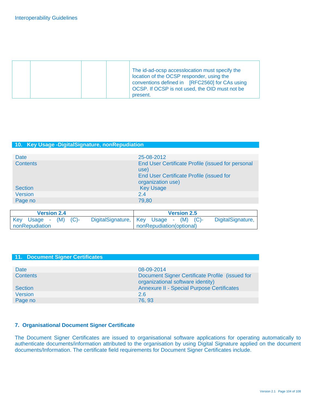|  | The id-ad-ocsp accessocation must specify the<br>location of the OCSP responder, using the<br>conventions defined in [RFC2560] for CAs using<br>OCSP. If OCSP is not used, the OID must not be<br>present. |
|--|------------------------------------------------------------------------------------------------------------------------------------------------------------------------------------------------------------|
|--|------------------------------------------------------------------------------------------------------------------------------------------------------------------------------------------------------------|

### **10. Key Usage -DigitalSignature, nonRepudiation**

| <b>Date</b>     | 25-08-2012                                                                                                                 |
|-----------------|----------------------------------------------------------------------------------------------------------------------------|
| <b>Contents</b> | End User Certificate Profile (issued for personal<br>use)<br>End User Certificate Profile (issued for<br>organization use) |
| <b>Section</b>  | <b>Key Usage</b>                                                                                                           |
| <b>Version</b>  | 2.4                                                                                                                        |
| Page no         | 79,80                                                                                                                      |

| <b>Version 2.4</b>                                         | <b>Version 2.5</b>                 |
|------------------------------------------------------------|------------------------------------|
| DigitalSignature, Key Usage -<br>Key Usage - $(M)$ $(C)$ - | DigitalSignature,<br>$(M)$ $(C)$ - |
| nonRepudiation                                             | nonRepudiation(optional)           |

### **11. Document Signer Certificates**  Date 08-09-2014 Contents Document Signer Certificate Profile (issued for organizational software identity) Section **Annexure II - Special Purpose Certificates** Version 2.6 Page no 76, 93

#### **7. Organisational Document Signer Certificate**

The Document Signer Certificates are issued to organisational software applications for operating automatically to authenticate documents/information attributed to the organisation by using Digital Signature applied on the document documents/Information. The certificate field requirements for Document Signer Certificates include.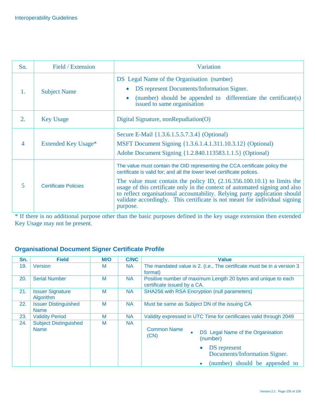| Sn.              | Field / Extension           | <b>Variation</b>                                                                                                                                                                                                                                                                                                                                                                                                                                                                         |
|------------------|-----------------------------|------------------------------------------------------------------------------------------------------------------------------------------------------------------------------------------------------------------------------------------------------------------------------------------------------------------------------------------------------------------------------------------------------------------------------------------------------------------------------------------|
| 1.               | <b>Subject Name</b>         | DS Legal Name of the Organisation (number)<br>DS represent Documents/Information Signer.<br>(number) should be appended to differentiate the certificate(s)<br>$\bullet$<br>issued to same organisation                                                                                                                                                                                                                                                                                  |
| $\overline{2}$ . | <b>Key Usage</b>            | Digital Signature, nonRepudiation(O)                                                                                                                                                                                                                                                                                                                                                                                                                                                     |
| $\overline{4}$   | Extended Key Usage*         | Secure E-Mail {1.3.6.1.5.5.7.3.4} (Optional)<br>MSFT Document Signing {1.3.6.1.4.1.311.10.3.12} (Optional)<br>Adobe Document Signing {1.2.840.113583.1.1.5} (Optional)                                                                                                                                                                                                                                                                                                                   |
| 5                | <b>Certificate Policies</b> | The value must contain the OID representing the CCA certificate policy the<br>certificate is valid for; and all the lower level certificate polices.<br>The value must contain the policy ID, $(2.16.356.100.10.1)$ to limits the<br>usage of this certificate only in the context of automated signing and also<br>to reflect organisational accountability. Relying party application should<br>validate accordingly. This certificate is not meant for individual signing<br>purpose. |

\* If there is no additional purpose other than the basic purposes defined in the key usage extension then extended Key Usage may not be present.

### **Organisational Document Signer Certificate Profile**

| Sn. | <b>Field</b>                                | M/O | <b>C/NC</b> | <b>Value</b>                                                                                              |
|-----|---------------------------------------------|-----|-------------|-----------------------------------------------------------------------------------------------------------|
| 19. | Version                                     | M   | <b>NA</b>   | The mandated value is 2. (i.e., The certificate must be in a version 3<br>format)                         |
| 20. | <b>Serial Number</b>                        | M   | <b>NA</b>   | Positive number of maximum Length 20 bytes and unique to each<br>certificate issued by a CA.              |
| 21. | <b>Issuer Signature</b><br>Algorithm        | M   | <b>NA</b>   | <b>SHA256 with RSA Encryption (null parameters)</b>                                                       |
| 22. | <b>Issuer Distinguished</b><br><b>Name</b>  | M   | <b>NA</b>   | Must be same as Subject DN of the issuing CA                                                              |
| 23. | <b>Validity Period</b>                      | M   | <b>NA</b>   | Validity expressed in UTC Time for certificates valid through 2049                                        |
| 24. | <b>Subject Distinguished</b><br><b>Name</b> | M   | <b>NA</b>   | <b>Common Name</b><br>DS Legal Name of the Organisation<br>(CN)<br>(number)                               |
|     |                                             |     |             | DS represent<br>$\bullet$<br>Documents/Information Signer.<br>(number) should be appended to<br>$\bullet$ |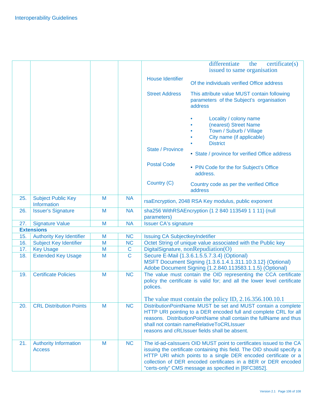|     |                                               |   |             | differentiate<br>the<br>$c$ ertificate $(s)$<br>issued to same organisation                                                                                                                                                                                                                                                                                      |
|-----|-----------------------------------------------|---|-------------|------------------------------------------------------------------------------------------------------------------------------------------------------------------------------------------------------------------------------------------------------------------------------------------------------------------------------------------------------------------|
|     |                                               |   |             | <b>House Identifier</b><br>Of the individuals verified Office address                                                                                                                                                                                                                                                                                            |
|     |                                               |   |             | <b>Street Address</b><br>This attribute value MUST contain following<br>parameters of the Subject's organisation<br>address                                                                                                                                                                                                                                      |
|     |                                               |   |             | Locality / colony name<br>(nearest) Street Name<br>Town / Suburb / Village<br>City name (if applicable)<br><b>District</b><br><b>State / Province</b><br>• State / province for verified Office address                                                                                                                                                          |
|     |                                               |   |             | <b>Postal Code</b><br>• PIN Code for the for Subject's Office<br>address.                                                                                                                                                                                                                                                                                        |
|     |                                               |   |             | Country (C)<br>Country code as per the verified Office<br>address                                                                                                                                                                                                                                                                                                |
| 25. | <b>Subject Public Key</b><br>Information      | M | <b>NA</b>   | rsaEncryption, 2048 RSA Key modulus, public exponent                                                                                                                                                                                                                                                                                                             |
| 26. | <b>Issuer's Signature</b>                     | M | <b>NA</b>   | sha256 WithRSAEncryption {1 2 840 113549 1 1 11} (null<br>parameters)                                                                                                                                                                                                                                                                                            |
| 27. | <b>Signature Value</b>                        | M | <b>NA</b>   | <b>Issuer CA's signature</b>                                                                                                                                                                                                                                                                                                                                     |
|     | <b>Extensions</b>                             |   |             |                                                                                                                                                                                                                                                                                                                                                                  |
| 15. | <b>Authority Key Identifier</b>               | M | <b>NC</b>   | Issuing CA SubjectkeyIndetifier                                                                                                                                                                                                                                                                                                                                  |
| 16. | <b>Subject Key Identifier</b>                 | M | <b>NC</b>   | Octet String of unique value associated with the Public key                                                                                                                                                                                                                                                                                                      |
| 17. | <b>Key Usage</b>                              | M | $\mathbf C$ | DigitalSignature, nonRepudiation(O)                                                                                                                                                                                                                                                                                                                              |
| 18. | <b>Extended Key Usage</b>                     | M | $\mathbf C$ | Secure E-Mail {1.3.6.1.5.5.7.3.4} (Optional)<br>MSFT Document Signing {1.3.6.1.4.1.311.10.3.12} (Optional)<br>Adobe Document Signing {1.2.840.113583.1.1.5} (Optional)                                                                                                                                                                                           |
| 19. | <b>Certificate Policies</b>                   | M | <b>NC</b>   | The value must contain the OID representing the CCA certificate<br>policy the certificate is valid for; and all the lower level certificate<br>polices.                                                                                                                                                                                                          |
| 20. | <b>CRL Distribution Points</b>                | M | <b>NC</b>   | The value must contain the policy ID, 2.16.356.100.10.1<br>DistributionPointName MUST be set and MUST contain a complete<br>HTTP URI pointing to a DER encoded full and complete CRL for all<br>reasons. DistributionPointName shall contain the fullName and thus<br>shall not contain nameRelativeToCRLIssuer<br>reasons and cRLIssuer fields shall be absent. |
| 21. | <b>Authority Information</b><br><b>Access</b> | M | <b>NC</b>   | The id-ad-calssuers OID MUST point to certificates issued to the CA<br>issuing the certificate containing this field. The OID should specify a<br>HTTP URI which points to a single DER encoded certificate or a<br>collection of DER encoded certificates in a BER or DER encoded<br>"certs-only" CMS message as specified in [RFC3852].                        |